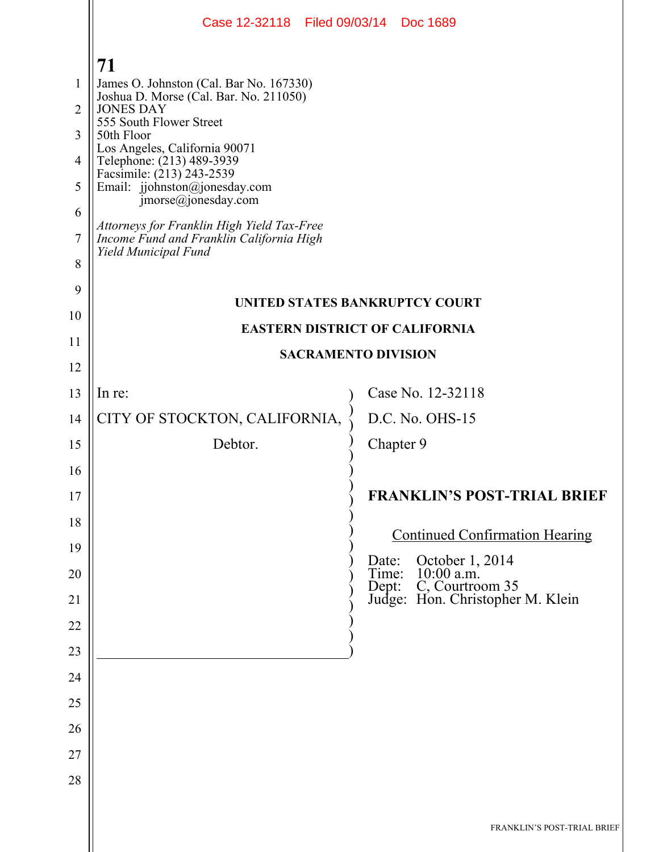|                | Case 12-32118 Filed 09/03/14 Doc 1689                                                                          |                            |           |                                                                                                        |
|----------------|----------------------------------------------------------------------------------------------------------------|----------------------------|-----------|--------------------------------------------------------------------------------------------------------|
|                | 71                                                                                                             |                            |           |                                                                                                        |
| 1              | James O. Johnston (Cal. Bar No. 167330)                                                                        |                            |           |                                                                                                        |
| $\overline{2}$ | Joshua D. Morse (Cal. Bar. No. 211050)<br><b>JONES DAY</b>                                                     |                            |           |                                                                                                        |
| 3              | 555 South Flower Street<br>50th Floor                                                                          |                            |           |                                                                                                        |
| 4              | Los Angeles, California 90071                                                                                  |                            |           |                                                                                                        |
| 5              | Telephone: (213) 489-3939<br>Facsimile: (213) 243-2539<br>Email: jjohnston@jonesday.com<br>jmorse@jonesday.com |                            |           |                                                                                                        |
| 6              |                                                                                                                |                            |           |                                                                                                        |
| 7              | Attorneys for Franklin High Yield Tax-Free<br>Income Fund and Franklin California High<br>Yield Municipal Fund |                            |           |                                                                                                        |
| 8              |                                                                                                                |                            |           |                                                                                                        |
| 9              | <b>UNITED STATES BANKRUPTCY COURT</b>                                                                          |                            |           |                                                                                                        |
| 10             | <b>EASTERN DISTRICT OF CALIFORNIA</b>                                                                          |                            |           |                                                                                                        |
| 11             |                                                                                                                | <b>SACRAMENTO DIVISION</b> |           |                                                                                                        |
| 12             |                                                                                                                |                            |           |                                                                                                        |
| 13             | In re:                                                                                                         |                            |           | Case No. 12-32118                                                                                      |
| 14             | CITY OF STOCKTON, CALIFORNIA,                                                                                  |                            |           | D.C. No. OHS-15                                                                                        |
| 15             | Debtor.                                                                                                        |                            | Chapter 9 |                                                                                                        |
| 16             |                                                                                                                |                            |           |                                                                                                        |
| 17             |                                                                                                                |                            |           | <b>FRANKLIN'S POST-TRIAL BRIEF</b>                                                                     |
| 18             |                                                                                                                |                            |           | <b>Continued Confirmation Hearing</b>                                                                  |
| 19             |                                                                                                                |                            |           |                                                                                                        |
| 20             |                                                                                                                |                            |           | Date: October 1, 2014<br>Time: 10:00 a.m.<br>Dept: C, Courtroom 35<br>Judge: Hon. Christopher M. Klein |
| 21             |                                                                                                                |                            |           |                                                                                                        |
| 22             |                                                                                                                |                            |           |                                                                                                        |
| 23             |                                                                                                                |                            |           |                                                                                                        |
| 24             |                                                                                                                |                            |           |                                                                                                        |
| 25             |                                                                                                                |                            |           |                                                                                                        |
| 26             |                                                                                                                |                            |           |                                                                                                        |
| 27             |                                                                                                                |                            |           |                                                                                                        |
| 28             |                                                                                                                |                            |           |                                                                                                        |
|                |                                                                                                                |                            |           |                                                                                                        |
|                |                                                                                                                |                            |           | FRANKLIN'S POST-TRIAL BRIEF                                                                            |
|                |                                                                                                                |                            |           |                                                                                                        |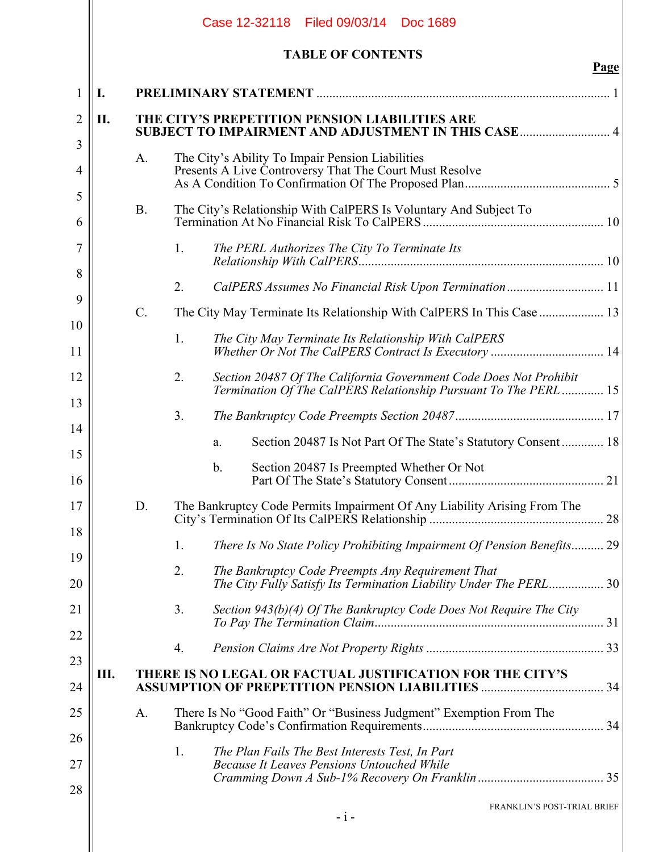|     |            | <b>TABLE OF CONTENTS</b>                                                                                    | <u>Page</u>                                                                                                                                                                                                                                                                                                                                                                                                                                                                                                                                      |
|-----|------------|-------------------------------------------------------------------------------------------------------------|--------------------------------------------------------------------------------------------------------------------------------------------------------------------------------------------------------------------------------------------------------------------------------------------------------------------------------------------------------------------------------------------------------------------------------------------------------------------------------------------------------------------------------------------------|
| I.  |            |                                                                                                             |                                                                                                                                                                                                                                                                                                                                                                                                                                                                                                                                                  |
| II. |            |                                                                                                             |                                                                                                                                                                                                                                                                                                                                                                                                                                                                                                                                                  |
|     | A.         | The City's Ability To Impair Pension Liabilities<br>Presents A Live Controversy That The Court Must Resolve |                                                                                                                                                                                                                                                                                                                                                                                                                                                                                                                                                  |
|     | <b>B</b> . | The City's Relationship With CalPERS Is Voluntary And Subject To                                            |                                                                                                                                                                                                                                                                                                                                                                                                                                                                                                                                                  |
|     |            | 1.<br>The PERL Authorizes The City To Terminate Its                                                         |                                                                                                                                                                                                                                                                                                                                                                                                                                                                                                                                                  |
|     |            | 2.                                                                                                          |                                                                                                                                                                                                                                                                                                                                                                                                                                                                                                                                                  |
|     | $C$ .      |                                                                                                             |                                                                                                                                                                                                                                                                                                                                                                                                                                                                                                                                                  |
|     |            | The City May Terminate Its Relationship With CalPERS<br>1.                                                  |                                                                                                                                                                                                                                                                                                                                                                                                                                                                                                                                                  |
|     |            | Section 20487 Of The California Government Code Does Not Prohibit<br>2.                                     |                                                                                                                                                                                                                                                                                                                                                                                                                                                                                                                                                  |
|     |            | 3 <sub>1</sub>                                                                                              |                                                                                                                                                                                                                                                                                                                                                                                                                                                                                                                                                  |
|     |            | a.                                                                                                          |                                                                                                                                                                                                                                                                                                                                                                                                                                                                                                                                                  |
|     |            | Section 20487 Is Preempted Whether Or Not<br>$b_{\cdot}$<br>Part Of The State's Statutory Consent           | 21                                                                                                                                                                                                                                                                                                                                                                                                                                                                                                                                               |
|     | D.         | The Bankruptcy Code Permits Impairment Of Any Liability Arising From The                                    |                                                                                                                                                                                                                                                                                                                                                                                                                                                                                                                                                  |
|     |            | 1.                                                                                                          |                                                                                                                                                                                                                                                                                                                                                                                                                                                                                                                                                  |
|     |            | 2.<br>The Bankruptcy Code Preempts Any Requirement That                                                     |                                                                                                                                                                                                                                                                                                                                                                                                                                                                                                                                                  |
|     |            | 3.<br>Section 943(b)(4) Of The Bankruptcy Code Does Not Require The City                                    |                                                                                                                                                                                                                                                                                                                                                                                                                                                                                                                                                  |
|     |            | 4.                                                                                                          |                                                                                                                                                                                                                                                                                                                                                                                                                                                                                                                                                  |
| Ш.  |            |                                                                                                             |                                                                                                                                                                                                                                                                                                                                                                                                                                                                                                                                                  |
|     | A.         | There Is No "Good Faith" Or "Business Judgment" Exemption From The                                          |                                                                                                                                                                                                                                                                                                                                                                                                                                                                                                                                                  |
|     |            | The Plan Fails The Best Interests Test, In Part<br>1.                                                       |                                                                                                                                                                                                                                                                                                                                                                                                                                                                                                                                                  |
|     |            | <b>Because It Leaves Pensions Untouched While</b>                                                           |                                                                                                                                                                                                                                                                                                                                                                                                                                                                                                                                                  |
|     |            | - i -                                                                                                       |                                                                                                                                                                                                                                                                                                                                                                                                                                                                                                                                                  |
|     |            |                                                                                                             | THE CITY'S PREPETITION PENSION LIABILITIES ARE<br>CalPERS Assumes No Financial Risk Upon Termination 11<br>Whether Or Not The CalPERS Contract Is Executory  14<br>Termination Of The CalPERS Relationship Pursuant To The PERL  15<br>Section 20487 Is Not Part Of The State's Statutory Consent 18<br>There Is No State Policy Prohibiting Impairment Of Pension Benefits 29<br>The City Fully Satisfy Its Termination Liability Under The PERL 30<br>THERE IS NO LEGAL OR FACTUAL JUSTIFICATION FOR THE CITY'S<br>FRANKLIN'S POST-TRIAL BRIEF |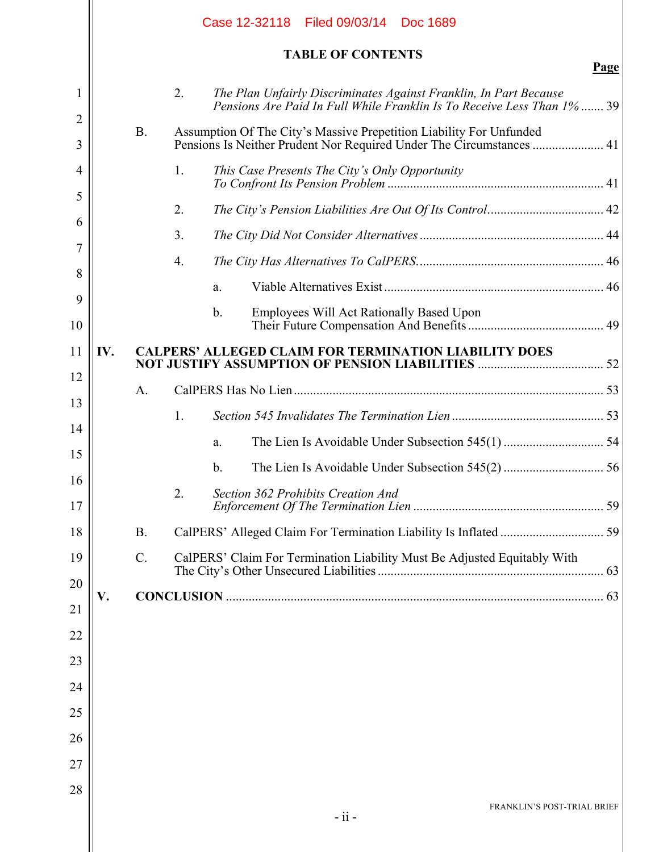|         |     |                 | Case 12-32118 Filed 09/03/14 Doc 1689                                                                                                       |
|---------|-----|-----------------|---------------------------------------------------------------------------------------------------------------------------------------------|
|         |     |                 | <b>TABLE OF CONTENTS</b><br>Page                                                                                                            |
| 1       |     |                 | 2.<br>The Plan Unfairly Discriminates Against Franklin, In Part Because                                                                     |
| 2       |     |                 | Pensions Are Paid In Full While Franklin Is To Receive Less Than 1% 39                                                                      |
| 3       |     | <b>B.</b>       | Assumption Of The City's Massive Prepetition Liability For Unfunded<br>Pensions Is Neither Prudent Nor Required Under The Circumstances  41 |
| 4       |     |                 | 1.<br>This Case Presents The City's Only Opportunity                                                                                        |
| 5       |     |                 | 2.                                                                                                                                          |
| 6       |     |                 | 3.                                                                                                                                          |
| 7       |     |                 | 4.                                                                                                                                          |
| 8       |     |                 | a.                                                                                                                                          |
| 9<br>10 |     |                 | $\mathbf b$ .<br><b>Employees Will Act Rationally Based Upon</b>                                                                            |
| 11      | IV. |                 | <b>CALPERS' ALLEGED CLAIM FOR TERMINATION LIABILITY DOES</b>                                                                                |
| 12      |     | A.              |                                                                                                                                             |
| 13      |     |                 | 1.                                                                                                                                          |
| 14      |     |                 | a.                                                                                                                                          |
| 15      |     |                 | b.                                                                                                                                          |
| 16      |     |                 | 2.<br><b>Section 362 Prohibits Creation And</b>                                                                                             |
| 17      |     |                 |                                                                                                                                             |
| 18      |     | <b>B.</b>       |                                                                                                                                             |
| 19      |     | $\mathcal{C}$ . | CalPERS' Claim For Termination Liability Must Be Adjusted Equitably With                                                                    |
| 20      | V.  |                 |                                                                                                                                             |
| 21      |     |                 |                                                                                                                                             |
| 22      |     |                 |                                                                                                                                             |
| 23      |     |                 |                                                                                                                                             |
| 24      |     |                 |                                                                                                                                             |
| 25      |     |                 |                                                                                                                                             |
| 26      |     |                 |                                                                                                                                             |
| 27      |     |                 |                                                                                                                                             |
| 28      |     |                 | FRANKLIN'S POST-TRIAL BRIEF<br>- ii -                                                                                                       |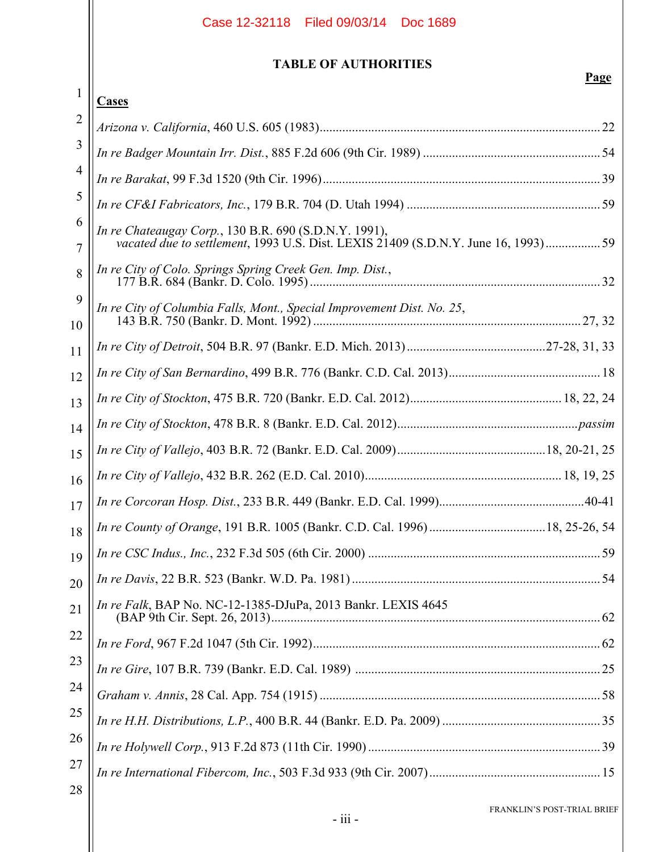## **TABLE OF AUTHORITIES**

|          | Page                                                                                                                                        |
|----------|---------------------------------------------------------------------------------------------------------------------------------------------|
| 1        | Cases                                                                                                                                       |
| 2        |                                                                                                                                             |
| 3        |                                                                                                                                             |
| 4        |                                                                                                                                             |
| 5        |                                                                                                                                             |
| 6<br>7   | In re Chateaugay Corp., 130 B.R. 690 (S.D.N.Y. 1991),<br>vacated due to settlement, 1993 U.S. Dist. LEXIS 21409 (S.D.N.Y. June 16, 1993) 59 |
| 8        | In re City of Colo. Springs Spring Creek Gen. Imp. Dist.,                                                                                   |
| 9<br>10  | In re City of Columbia Falls, Mont., Special Improvement Dist. No. 25,                                                                      |
| 11       |                                                                                                                                             |
| 12       |                                                                                                                                             |
| 13       |                                                                                                                                             |
| 14       |                                                                                                                                             |
| 15       |                                                                                                                                             |
| 16       |                                                                                                                                             |
| 17       |                                                                                                                                             |
| 18       |                                                                                                                                             |
| 19       |                                                                                                                                             |
| 20       |                                                                                                                                             |
| 21       | In re Falk, BAP No. NC-12-1385-DJuPa, 2013 Bankr. LEXIS 4645                                                                                |
| 22       |                                                                                                                                             |
| 23       |                                                                                                                                             |
| 24       |                                                                                                                                             |
| 25       |                                                                                                                                             |
| 26       |                                                                                                                                             |
| 27<br>28 |                                                                                                                                             |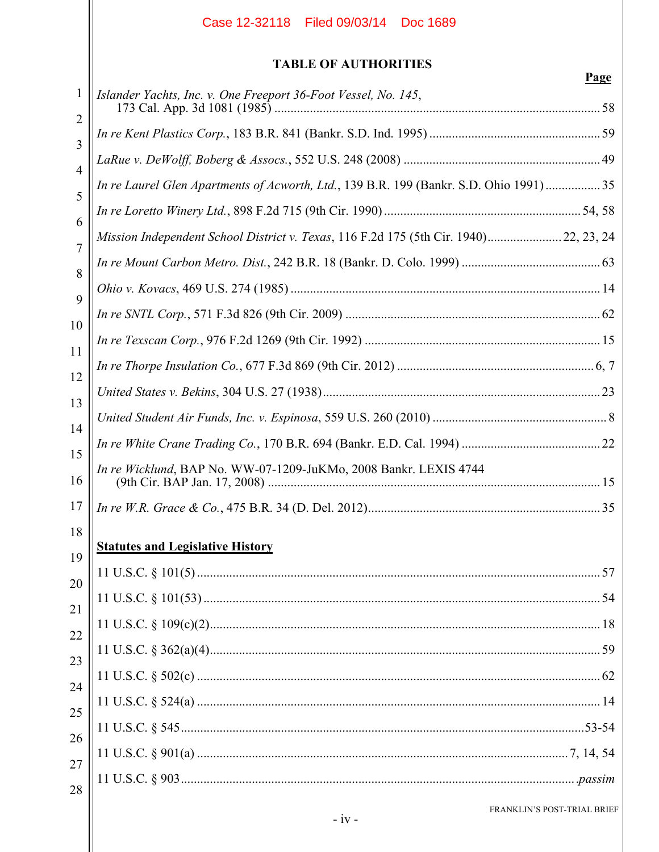## **TABLE OF AUTHORITIES**

| 1              | Islander Yachts, Inc. v. One Freeport 36-Foot Vessel, No. 145,                        |
|----------------|---------------------------------------------------------------------------------------|
| 2<br>3         |                                                                                       |
| 4              |                                                                                       |
| 5              | In re Laurel Glen Apartments of Acworth, Ltd., 139 B.R. 199 (Bankr. S.D. Ohio 1991)35 |
| 6              |                                                                                       |
| $\overline{7}$ | Mission Independent School District v. Texas, 116 F.2d 175 (5th Cir. 1940) 22, 23, 24 |
| 8              |                                                                                       |
| 9              |                                                                                       |
| 10             |                                                                                       |
| 11             |                                                                                       |
| 12             |                                                                                       |
| 13             |                                                                                       |
| 14             |                                                                                       |
| 15             |                                                                                       |
| 16             | In re Wicklund, BAP No. WW-07-1209-JuKMo, 2008 Bankr. LEXIS 4744                      |
| 17             |                                                                                       |
| 18             | <b>Statutes and Legislative History</b>                                               |
| 19             |                                                                                       |
| 20             |                                                                                       |
| 21             |                                                                                       |
| 22             |                                                                                       |
| 23<br>24       |                                                                                       |
| 25             |                                                                                       |
| 26             |                                                                                       |
| 27             |                                                                                       |
| 28             |                                                                                       |
|                | FRANKLIN'S POST-TRIAL BRIEF                                                           |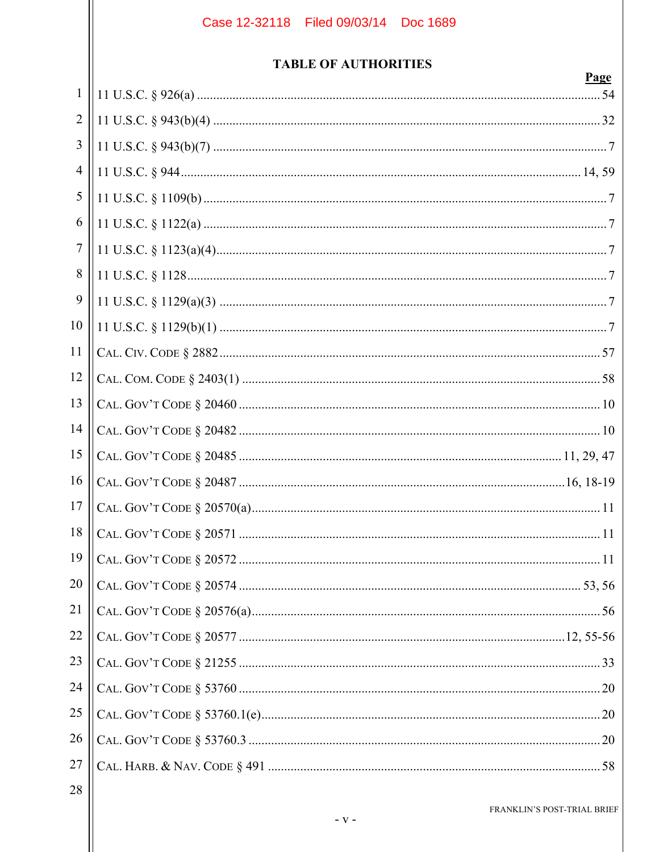## **TABLE OF AUTHORITIES**

|                | Page |
|----------------|------|
| $\mathbf{1}$   |      |
| $\overline{2}$ |      |
| 3              |      |
| $\overline{4}$ |      |
| 5              |      |
| 6              |      |
| $\overline{7}$ |      |
| 8              |      |
| 9              |      |
| 10             |      |
| 11             |      |
| 12             |      |
| 13             |      |
| 14             |      |
| 15             |      |
| 16             |      |
| 17             |      |
| 18             |      |
| 19             |      |
| 20             |      |
| 21             |      |
| 22             |      |
| 23             |      |
| 24             |      |
| 25             |      |
| 26             |      |
| 27             |      |
| 28             |      |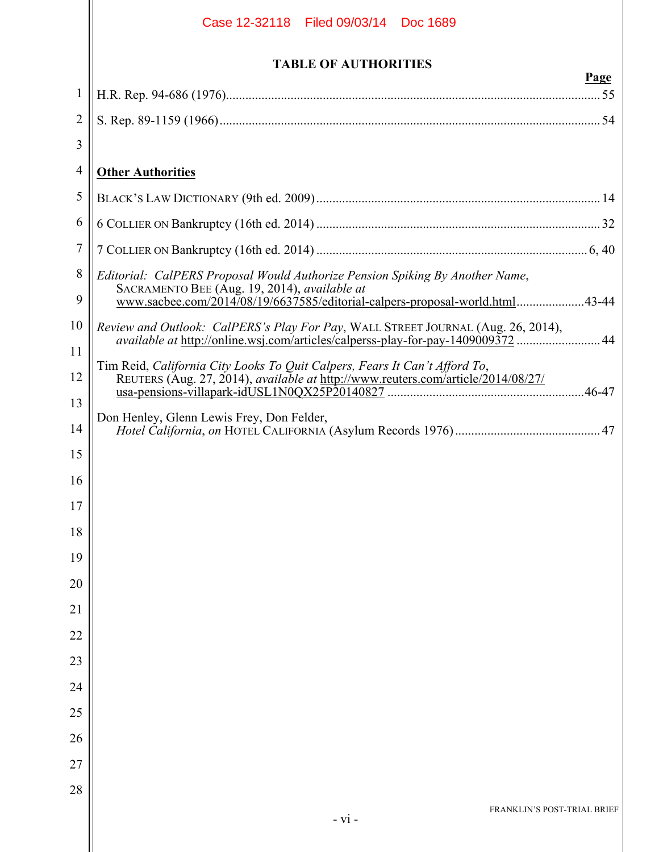|              | Case 12-32118   Filed 09/03/14   Doc 1689                                                                                    |
|--------------|------------------------------------------------------------------------------------------------------------------------------|
|              | <b>TABLE OF AUTHORITIES</b><br><b>Page</b>                                                                                   |
| $\mathbf{1}$ |                                                                                                                              |
| 2            |                                                                                                                              |
| 3            |                                                                                                                              |
| 4            | <b>Other Authorities</b>                                                                                                     |
| 5            |                                                                                                                              |
| 6            |                                                                                                                              |
| 7            |                                                                                                                              |
| 8            | Editorial: CalPERS Proposal Would Authorize Pension Spiking By Another Name,                                                 |
| 9            | SACRAMENTO BEE (Aug. 19, 2014), available at<br>www.sacbee.com/2014/08/19/6637585/editorial-calpers-proposal-world.html43-44 |
| 10           | <i>Review and Outlook: CalPERS's Play For Pay, WALL STREET JOURNAL (Aug. 26, 2014),</i>                                      |
| 11           | available at http://online.wsj.com/articles/calperss-play-for-pay-1409009372  44                                             |
| 12           | Tim Reid, California City Looks To Quit Calpers, Fears It Can't Afford To,                                                   |
| 13           |                                                                                                                              |
| 14           | Don Henley, Glenn Lewis Frey, Don Felder,                                                                                    |
| 15           |                                                                                                                              |
| 16           |                                                                                                                              |
| 17           |                                                                                                                              |
| 18           |                                                                                                                              |
| 19           |                                                                                                                              |
| 20           |                                                                                                                              |
| 21           |                                                                                                                              |
| 22           |                                                                                                                              |
| 23           |                                                                                                                              |
| 24           |                                                                                                                              |
| 25           |                                                                                                                              |
| 26           |                                                                                                                              |
| 27           |                                                                                                                              |
| 28           |                                                                                                                              |
|              | FRANKLIN'S POST-TRIAL BRIEF<br>$- vi -$                                                                                      |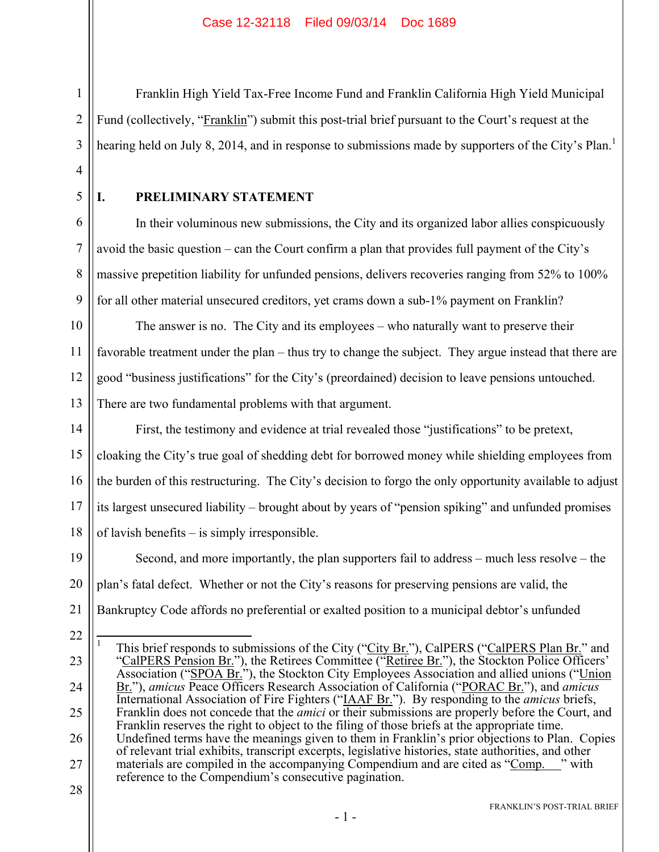Franklin High Yield Tax-Free Income Fund and Franklin California High Yield Municipal Fund (collectively, "Franklin") submit this post-trial brief pursuant to the Court's request at the hearing held on July 8, 2014, and in response to submissions made by supporters of the City's Plan.<sup>1</sup>

4 5

6

7

8

9

1

2

3

## **I. PRELIMINARY STATEMENT**

In their voluminous new submissions, the City and its organized labor allies conspicuously avoid the basic question – can the Court confirm a plan that provides full payment of the City's massive prepetition liability for unfunded pensions, delivers recoveries ranging from 52% to 100% for all other material unsecured creditors, yet crams down a sub-1% payment on Franklin?

10 11 12 13 The answer is no. The City and its employees – who naturally want to preserve their favorable treatment under the plan – thus try to change the subject. They argue instead that there are good "business justifications" for the City's (preordained) decision to leave pensions untouched. There are two fundamental problems with that argument.

14 15 16 17 18 First, the testimony and evidence at trial revealed those "justifications" to be pretext, cloaking the City's true goal of shedding debt for borrowed money while shielding employees from the burden of this restructuring. The City's decision to forgo the only opportunity available to adjust its largest unsecured liability – brought about by years of "pension spiking" and unfunded promises of lavish benefits – is simply irresponsible.

19 20 21 Second, and more importantly, the plan supporters fail to address – much less resolve – the plan's fatal defect. Whether or not the City's reasons for preserving pensions are valid, the Bankruptcy Code affords no preferential or exalted position to a municipal debtor's unfunded

- 22
- 23 24 25 26 27  $\frac{1}{1}$ This brief responds to submissions of the City ("City Br."), CalPERS ("CalPERS Plan Br." and "CalPERS Pension Br."), the Retirees Committee ("Retiree Br."), the Stockton Police Officers' Association ("SPOA Br."), the Stockton City Employees Association and allied unions ("Union Br."), *amicus* Peace Officers Research Association of California ("PORAC Br."), and *amicus* International Association of Fire Fighters ("IAAF Br."). By responding to the *amicus* briefs, Franklin does not concede that the *amici* or their submissions are properly before the Court, and Franklin reserves the right to object to the filing of those briefs at the appropriate time. Undefined terms have the meanings given to them in Franklin's prior objections to Plan. Copies of relevant trial exhibits, transcript excerpts, legislative histories, state authorities, and other materials are compiled in the accompanying Compendium and are cited as "Comp. " with reference to the Compendium's consecutive pagination.
- 28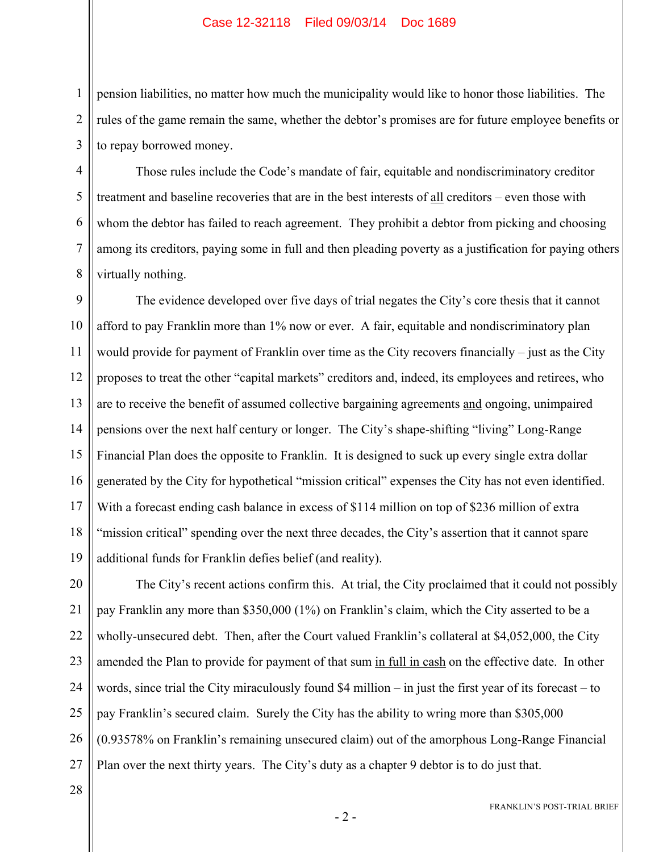pension liabilities, no matter how much the municipality would like to honor those liabilities. The rules of the game remain the same, whether the debtor's promises are for future employee benefits or to repay borrowed money.

Those rules include the Code's mandate of fair, equitable and nondiscriminatory creditor treatment and baseline recoveries that are in the best interests of all creditors – even those with whom the debtor has failed to reach agreement. They prohibit a debtor from picking and choosing among its creditors, paying some in full and then pleading poverty as a justification for paying others virtually nothing.

9 10 11 12 13 14 15 16 17 18 19 The evidence developed over five days of trial negates the City's core thesis that it cannot afford to pay Franklin more than 1% now or ever. A fair, equitable and nondiscriminatory plan would provide for payment of Franklin over time as the City recovers financially – just as the City proposes to treat the other "capital markets" creditors and, indeed, its employees and retirees, who are to receive the benefit of assumed collective bargaining agreements and ongoing, unimpaired pensions over the next half century or longer. The City's shape-shifting "living" Long-Range Financial Plan does the opposite to Franklin. It is designed to suck up every single extra dollar generated by the City for hypothetical "mission critical" expenses the City has not even identified. With a forecast ending cash balance in excess of \$114 million on top of \$236 million of extra "mission critical" spending over the next three decades, the City's assertion that it cannot spare additional funds for Franklin defies belief (and reality).

20 21 22 23 24 25 26 27 The City's recent actions confirm this. At trial, the City proclaimed that it could not possibly pay Franklin any more than \$350,000 (1%) on Franklin's claim, which the City asserted to be a wholly-unsecured debt. Then, after the Court valued Franklin's collateral at \$4,052,000, the City amended the Plan to provide for payment of that sum in full in cash on the effective date. In other words, since trial the City miraculously found \$4 million – in just the first year of its forecast – to pay Franklin's secured claim. Surely the City has the ability to wring more than \$305,000 (0.93578% on Franklin's remaining unsecured claim) out of the amorphous Long-Range Financial Plan over the next thirty years. The City's duty as a chapter 9 debtor is to do just that.

28

1

2

3

4

5

6

7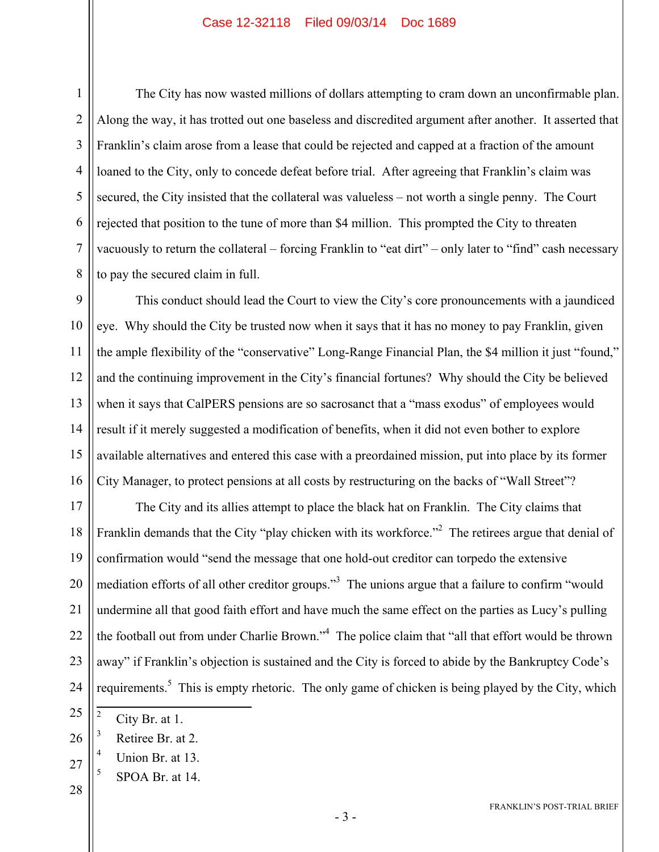1

The City has now wasted millions of dollars attempting to cram down an unconfirmable plan. Along the way, it has trotted out one baseless and discredited argument after another. It asserted that Franklin's claim arose from a lease that could be rejected and capped at a fraction of the amount loaned to the City, only to concede defeat before trial. After agreeing that Franklin's claim was secured, the City insisted that the collateral was valueless – not worth a single penny. The Court rejected that position to the tune of more than \$4 million. This prompted the City to threaten vacuously to return the collateral – forcing Franklin to "eat dirt" – only later to "find" cash necessary to pay the secured claim in full.

This conduct should lead the Court to view the City's core pronouncements with a jaundiced eye. Why should the City be trusted now when it says that it has no money to pay Franklin, given the ample flexibility of the "conservative" Long-Range Financial Plan, the \$4 million it just "found," and the continuing improvement in the City's financial fortunes? Why should the City be believed when it says that CalPERS pensions are so sacrosanct that a "mass exodus" of employees would result if it merely suggested a modification of benefits, when it did not even bother to explore available alternatives and entered this case with a preordained mission, put into place by its former City Manager, to protect pensions at all costs by restructuring on the backs of "Wall Street"?

19 20 21 22 23 24 The City and its allies attempt to place the black hat on Franklin. The City claims that Franklin demands that the City "play chicken with its workforce."<sup>2</sup> The retirees argue that denial of confirmation would "send the message that one hold-out creditor can torpedo the extensive mediation efforts of all other creditor groups."<sup>3</sup> The unions argue that a failure to confirm "would undermine all that good faith effort and have much the same effect on the parties as Lucy's pulling the football out from under Charlie Brown."<sup>4</sup> The police claim that "all that effort would be thrown away" if Franklin's objection is sustained and the City is forced to abide by the Bankruptcy Code's requirements.<sup>5</sup> This is empty rhetoric. The only game of chicken is being played by the City, which

- 5 SPOA Br. at 14.
- 28

 $\frac{1}{2}$ City Br. at 1.

<sup>26</sup> 3 Retiree Br. at 2.

<sup>27</sup> 4 Union Br. at 13.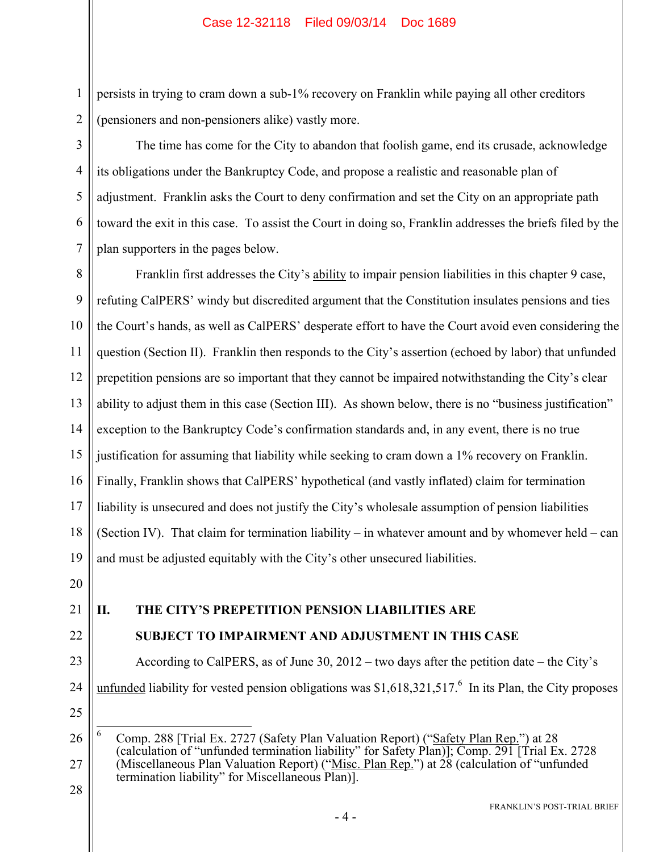persists in trying to cram down a sub-1% recovery on Franklin while paying all other creditors (pensioners and non-pensioners alike) vastly more.

The time has come for the City to abandon that foolish game, end its crusade, acknowledge its obligations under the Bankruptcy Code, and propose a realistic and reasonable plan of adjustment. Franklin asks the Court to deny confirmation and set the City on an appropriate path toward the exit in this case. To assist the Court in doing so, Franklin addresses the briefs filed by the plan supporters in the pages below.

8 9 10 11 12 13 14 15 16 17 18 19 Franklin first addresses the City's ability to impair pension liabilities in this chapter 9 case, refuting CalPERS' windy but discredited argument that the Constitution insulates pensions and ties the Court's hands, as well as CalPERS' desperate effort to have the Court avoid even considering the question (Section II). Franklin then responds to the City's assertion (echoed by labor) that unfunded prepetition pensions are so important that they cannot be impaired notwithstanding the City's clear ability to adjust them in this case (Section III). As shown below, there is no "business justification" exception to the Bankruptcy Code's confirmation standards and, in any event, there is no true justification for assuming that liability while seeking to cram down a 1% recovery on Franklin. Finally, Franklin shows that CalPERS' hypothetical (and vastly inflated) claim for termination liability is unsecured and does not justify the City's wholesale assumption of pension liabilities (Section IV). That claim for termination liability – in whatever amount and by whomever held – can and must be adjusted equitably with the City's other unsecured liabilities.

20

1

2

3

4

5

6

7

#### 21 **II. THE CITY'S PREPETITION PENSION LIABILITIES ARE**

22

23

24

## **SUBJECT TO IMPAIRMENT AND ADJUSTMENT IN THIS CASE**

According to CalPERS, as of June 30, 2012 – two days after the petition date – the City's unfunded liability for vested pension obligations was  $$1,618,321,517$ .<sup>6</sup> In its Plan, the City proposes

- 25
- 26 27 6 Comp. 288 [Trial Ex. 2727 (Safety Plan Valuation Report) ("Safety Plan Rep.") at 28 (calculation of "unfunded termination liability" for Safety Plan)]; Comp. 291 [Trial Ex. 2728 (Miscellaneous Plan Valuation Report) ("Misc. Plan Rep.") at 28 (calculation of "unfunded termination liability" for Miscellaneous Plan)].
- 28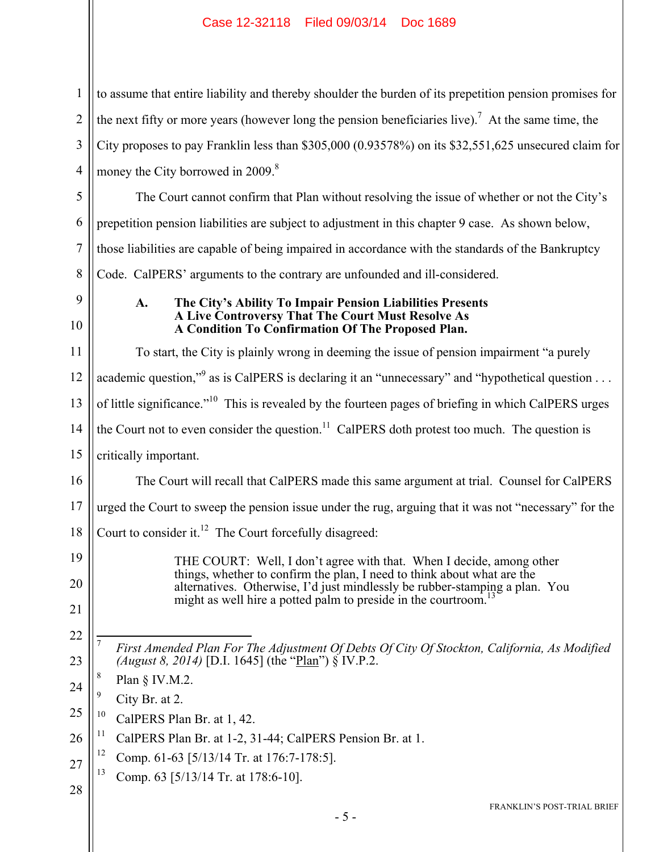to assume that entire liability and thereby shoulder the burden of its prepetition pension promises for the next fifty or more years (however long the pension beneficiaries live).<sup>7</sup> At the same time, the City proposes to pay Franklin less than \$305,000 (0.93578%) on its \$32,551,625 unsecured claim for money the City borrowed in 2009.<sup>8</sup>

The Court cannot confirm that Plan without resolving the issue of whether or not the City's prepetition pension liabilities are subject to adjustment in this chapter 9 case. As shown below, those liabilities are capable of being impaired in accordance with the standards of the Bankruptcy Code. CalPERS' arguments to the contrary are unfounded and ill-considered.

## 9 10

1

2

3

4

5

6

7

8

#### **A. The City's Ability To Impair Pension Liabilities Presents A Live Controversy That The Court Must Resolve As A Condition To Confirmation Of The Proposed Plan.**

11 12 13 14 15 16 17 18 19 20 21 22 23 24 25 26 27 To start, the City is plainly wrong in deeming the issue of pension impairment "a purely academic question,"<sup>9</sup> as is CalPERS is declaring it an "unnecessary" and "hypothetical question  $\dots$ of little significance."10 This is revealed by the fourteen pages of briefing in which CalPERS urges the Court not to even consider the question.<sup>11</sup> CalPERS doth protest too much. The question is critically important. The Court will recall that CalPERS made this same argument at trial. Counsel for CalPERS urged the Court to sweep the pension issue under the rug, arguing that it was not "necessary" for the Court to consider it.<sup>12</sup> The Court forcefully disagreed: THE COURT: Well, I don't agree with that. When I decide, among other things, whether to confirm the plan, I need to think about what are the alternatives. Otherwise, I'd just mindlessly be rubber-stamping a plan. You might as well hire a potted palm to preside in the courtroom.<sup>1</sup>  $\overline{a}$ 7 *First Amended Plan For The Adjustment Of Debts Of City Of Stockton, California, As Modified (August 8, 2014)* [D.I. 1645] (the "Plan") § IV.P.2. 8 Plan § IV.M.2. 9 City Br. at 2.  $10$  CalPERS Plan Br. at 1, 42. <sup>11</sup> CalPERS Plan Br. at 1-2, 31-44; CalPERS Pension Br. at 1. <sup>12</sup> Comp. 61-63 [5/13/14 Tr. at 176:7-178:5]. 13 Comp. 63 [5/13/14 Tr. at 178:6-10].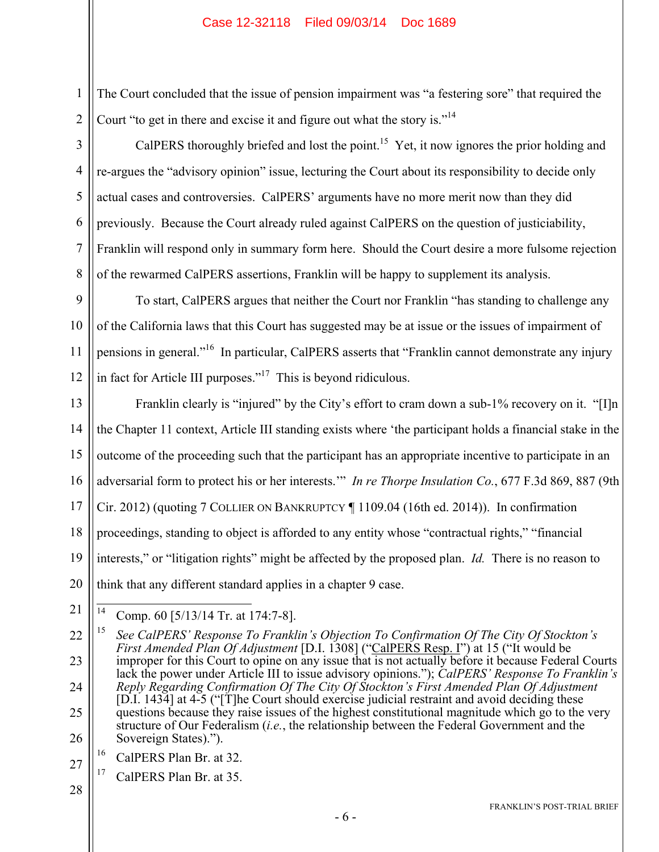The Court concluded that the issue of pension impairment was "a festering sore" that required the Court "to get in there and excise it and figure out what the story is."14

CalPERS thoroughly briefed and lost the point.<sup>15</sup> Yet, it now ignores the prior holding and re-argues the "advisory opinion" issue, lecturing the Court about its responsibility to decide only actual cases and controversies. CalPERS' arguments have no more merit now than they did previously. Because the Court already ruled against CalPERS on the question of justiciability, Franklin will respond only in summary form here. Should the Court desire a more fulsome rejection of the rewarmed CalPERS assertions, Franklin will be happy to supplement its analysis.

9 10 11 12 To start, CalPERS argues that neither the Court nor Franklin "has standing to challenge any of the California laws that this Court has suggested may be at issue or the issues of impairment of pensions in general."<sup>16</sup> In particular, CalPERS asserts that "Franklin cannot demonstrate any injury in fact for Article III purposes."<sup>17</sup> This is beyond ridiculous.

13 14 15 16 17 18 19 20 Franklin clearly is "injured" by the City's effort to cram down a sub-1% recovery on it. "[I]n the Chapter 11 context, Article III standing exists where 'the participant holds a financial stake in the outcome of the proceeding such that the participant has an appropriate incentive to participate in an adversarial form to protect his or her interests.'" *In re Thorpe Insulation Co.*, 677 F.3d 869, 887 (9th Cir. 2012) (quoting 7 COLLIER ON BANKRUPTCY ¶ 1109.04 (16th ed. 2014)). In confirmation proceedings, standing to object is afforded to any entity whose "contractual rights," "financial interests," or "litigation rights" might be affected by the proposed plan. *Id.* There is no reason to think that any different standard applies in a chapter 9 case.

21  $14$ Comp. 60 [5/13/14 Tr. at 174:7-8].

22 23 24 25 26 15 *See CalPERS' Response To Franklin's Objection To Confirmation Of The City Of Stockton's First Amended Plan Of Adjustment* [D.I. 1308] ("CalPERS Resp. I") at 15 ("It would be improper for this Court to opine on any issue that is not actually before it because Federal Courts lack the power under Article III to issue advisory opinions."); *CalPERS' Response To Franklin's Reply Regarding Confirmation Of The City Of Stockton's First Amended Plan Of Adjustment* [D.I. 1434] at 4-5 ("[T]he Court should exercise judicial restraint and avoid deciding these questions because they raise issues of the highest constitutional magnitude which go to the very structure of Our Federalism (*i.e.*, the relationship between the Federal Government and the Sovereign States).").

- 16 CalPERS Plan Br. at 32.
- 27 <sup>17</sup> CalPERS Plan Br. at 35.
- 28

1

2

3

4

5

6

7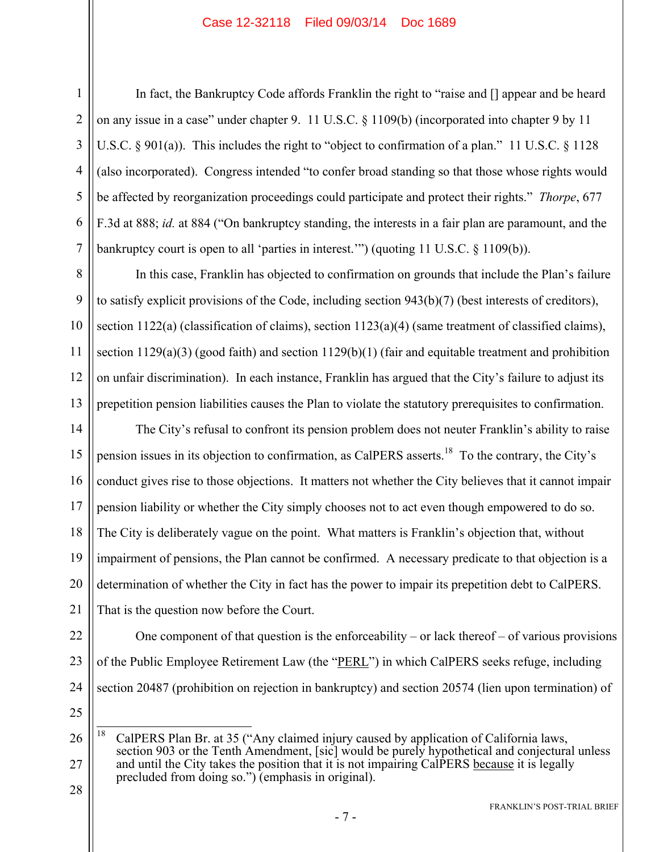In fact, the Bankruptcy Code affords Franklin the right to "raise and [] appear and be heard on any issue in a case" under chapter 9. 11 U.S.C. § 1109(b) (incorporated into chapter 9 by 11 U.S.C.  $\S$  901(a)). This includes the right to "object to confirmation of a plan." 11 U.S.C.  $\S$  1128 (also incorporated). Congress intended "to confer broad standing so that those whose rights would be affected by reorganization proceedings could participate and protect their rights." *Thorpe*, 677 F.3d at 888; *id.* at 884 ("On bankruptcy standing, the interests in a fair plan are paramount, and the bankruptcy court is open to all 'parties in interest.'") (quoting 11 U.S.C. § 1109(b)).

In this case, Franklin has objected to confirmation on grounds that include the Plan's failure to satisfy explicit provisions of the Code, including section 943(b)(7) (best interests of creditors), section 1122(a) (classification of claims), section 1123(a)(4) (same treatment of classified claims), section  $1129(a)(3)$  (good faith) and section  $1129(b)(1)$  (fair and equitable treatment and prohibition on unfair discrimination). In each instance, Franklin has argued that the City's failure to adjust its prepetition pension liabilities causes the Plan to violate the statutory prerequisites to confirmation.

15 16 17 18 The City's refusal to confront its pension problem does not neuter Franklin's ability to raise pension issues in its objection to confirmation, as CalPERS asserts.18 To the contrary, the City's conduct gives rise to those objections. It matters not whether the City believes that it cannot impair pension liability or whether the City simply chooses not to act even though empowered to do so. The City is deliberately vague on the point. What matters is Franklin's objection that, without impairment of pensions, the Plan cannot be confirmed. A necessary predicate to that objection is a determination of whether the City in fact has the power to impair its prepetition debt to CalPERS. That is the question now before the Court.

One component of that question is the enforceability – or lack thereof – of various provisions

22 23

- 24 25
- 26 27 18 CalPERS Plan Br. at 35 ("Any claimed injury caused by application of California laws, section 903 or the Tenth Amendment, [sic] would be purely hypothetical and conjectural unless and until the City takes the position that it is not impairing CalPERS because it is legally precluded from doing so.") (emphasis in original).

of the Public Employee Retirement Law (the "PERL") in which CalPERS seeks refuge, including

section 20487 (prohibition on rejection in bankruptcy) and section 20574 (lien upon termination) of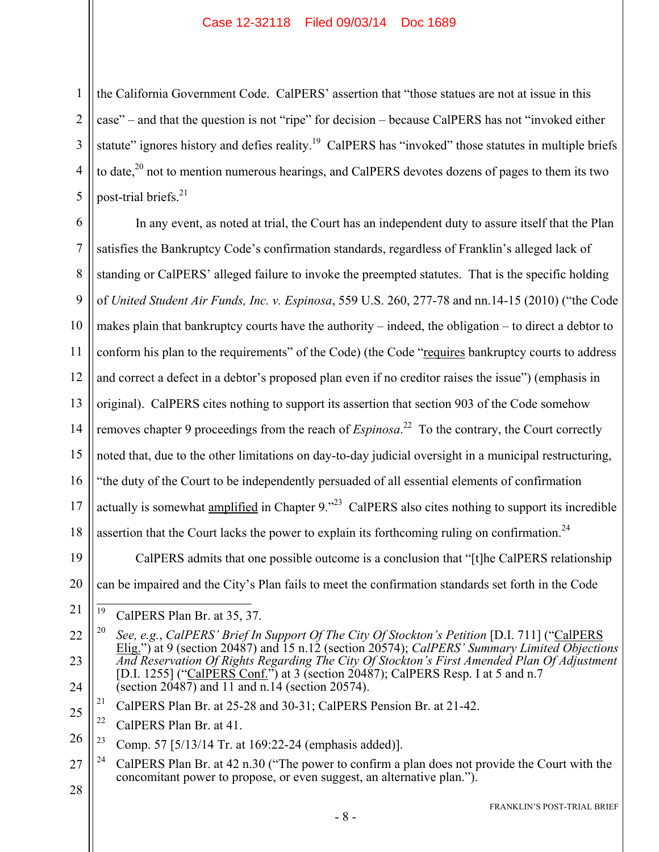the California Government Code. CalPERS' assertion that "those statues are not at issue in this case" – and that the question is not "ripe" for decision – because CalPERS has not "invoked either statute" ignores history and defies reality.<sup>19</sup> CalPERS has "invoked" those statutes in multiple briefs to date,<sup>20</sup> not to mention numerous hearings, and CalPERS devotes dozens of pages to them its two post-trial briefs.<sup>21</sup>

6 7 8 9 10 11 12 13 14 15 16 17 18 In any event, as noted at trial, the Court has an independent duty to assure itself that the Plan satisfies the Bankruptcy Code's confirmation standards, regardless of Franklin's alleged lack of standing or CalPERS' alleged failure to invoke the preempted statutes. That is the specific holding of *United Student Air Funds, Inc. v. Espinosa*, 559 U.S. 260, 277-78 and nn.14-15 (2010) ("the Code makes plain that bankruptcy courts have the authority – indeed, the obligation – to direct a debtor to conform his plan to the requirements" of the Code) (the Code "requires bankruptcy courts to address and correct a defect in a debtor's proposed plan even if no creditor raises the issue") (emphasis in original). CalPERS cites nothing to support its assertion that section 903 of the Code somehow removes chapter 9 proceedings from the reach of *Espinosa*. 22 To the contrary, the Court correctly noted that, due to the other limitations on day-to-day judicial oversight in a municipal restructuring, "the duty of the Court to be independently persuaded of all essential elements of confirmation actually is somewhat amplified in Chapter 9.<sup>23</sup> CalPERS also cites nothing to support its incredible assertion that the Court lacks the power to explain its forthcoming ruling on confirmation.<sup>24</sup>

19 20 CalPERS admits that one possible outcome is a conclusion that "[t]he CalPERS relationship can be impaired and the City's Plan fails to meet the confirmation standards set forth in the Code

28

1

2

3

4

<sup>21</sup> 19 CalPERS Plan Br. at 35, 37.

<sup>22</sup> 23 24 20 *See, e.g.*, *CalPERS' Brief In Support Of The City Of Stockton's Petition* [D.I. 711] ("CalPERS Elig.") at 9 (section 20487) and 15 n.12 (section 20574); *CalPERS' Summary Limited Objections And Reservation Of Rights Regarding The City Of Stockton's First Amended Plan Of Adjustment* [D.I. 1255] ("CalPERS Conf.") at 3 (section 20487); CalPERS Resp. I at 5 and n.7 (section  $20\overline{487}$ ) and 11 and n.14 (section 20574).

<sup>25</sup> <sup>21</sup> CalPERS Plan Br. at 25-28 and 30-31; CalPERS Pension Br. at 21-42.

<sup>&</sup>lt;sup>22</sup> CalPERS Plan Br. at 41.

<sup>26</sup> <sup>23</sup> Comp. 57 [5/13/14 Tr. at 169:22-24 (emphasis added)].

<sup>27</sup> <sup>24</sup> CalPERS Plan Br. at 42 n.30 ("The power to confirm a plan does not provide the Court with the concomitant power to propose, or even suggest, an alternative plan.").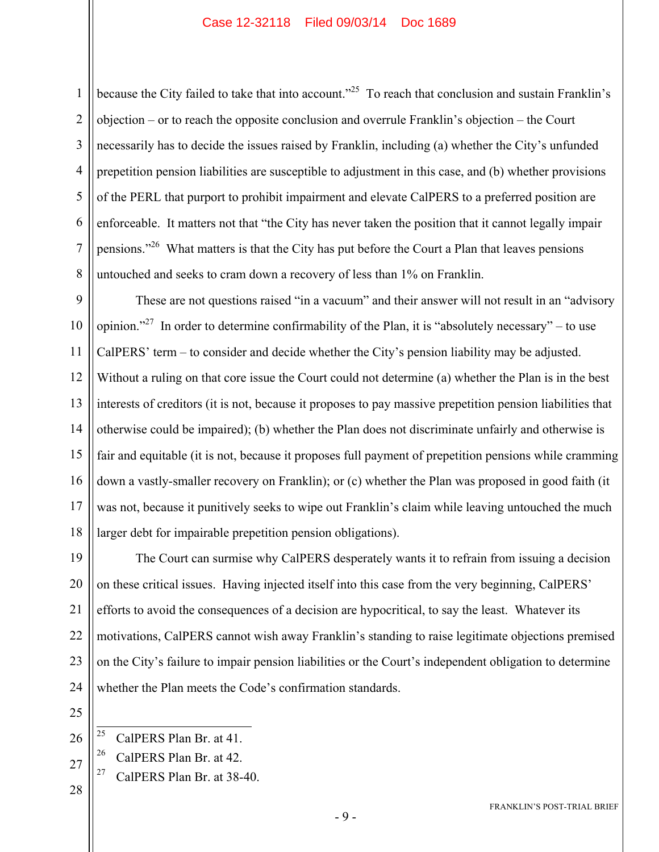2 3 4 5 6 7 8 because the City failed to take that into account.<sup>225</sup> To reach that conclusion and sustain Franklin's objection – or to reach the opposite conclusion and overrule Franklin's objection – the Court necessarily has to decide the issues raised by Franklin, including (a) whether the City's unfunded prepetition pension liabilities are susceptible to adjustment in this case, and (b) whether provisions of the PERL that purport to prohibit impairment and elevate CalPERS to a preferred position are enforceable. It matters not that "the City has never taken the position that it cannot legally impair pensions."<sup>26</sup> What matters is that the City has put before the Court a Plan that leaves pensions untouched and seeks to cram down a recovery of less than 1% on Franklin.

9 10 11 12 13 14 15 16 17 18 These are not questions raised "in a vacuum" and their answer will not result in an "advisory opinion."<sup>27</sup> In order to determine confirmability of the Plan, it is "absolutely necessary" – to use CalPERS' term – to consider and decide whether the City's pension liability may be adjusted. Without a ruling on that core issue the Court could not determine (a) whether the Plan is in the best interests of creditors (it is not, because it proposes to pay massive prepetition pension liabilities that otherwise could be impaired); (b) whether the Plan does not discriminate unfairly and otherwise is fair and equitable (it is not, because it proposes full payment of prepetition pensions while cramming down a vastly-smaller recovery on Franklin); or (c) whether the Plan was proposed in good faith (it was not, because it punitively seeks to wipe out Franklin's claim while leaving untouched the much larger debt for impairable prepetition pension obligations).

19 20 21 22 23 24 The Court can surmise why CalPERS desperately wants it to refrain from issuing a decision on these critical issues. Having injected itself into this case from the very beginning, CalPERS' efforts to avoid the consequences of a decision are hypocritical, to say the least. Whatever its motivations, CalPERS cannot wish away Franklin's standing to raise legitimate objections premised on the City's failure to impair pension liabilities or the Court's independent obligation to determine whether the Plan meets the Code's confirmation standards.

25 26

1

- 26 CalPERS Plan Br. at 42.
- <sup>27</sup> CalPERS Plan Br. at  $38-40$ .
- 28

<sup>25</sup> CalPERS Plan Br. at 41.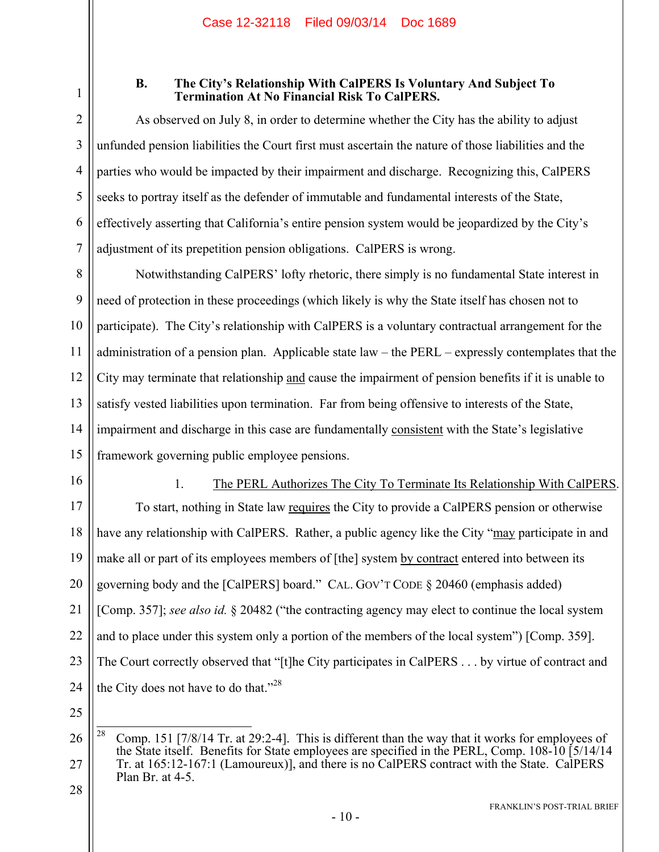1

#### **B. The City's Relationship With CalPERS Is Voluntary And Subject To Termination At No Financial Risk To CalPERS.**

2 3 4 5 6 7 As observed on July 8, in order to determine whether the City has the ability to adjust unfunded pension liabilities the Court first must ascertain the nature of those liabilities and the parties who would be impacted by their impairment and discharge. Recognizing this, CalPERS seeks to portray itself as the defender of immutable and fundamental interests of the State, effectively asserting that California's entire pension system would be jeopardized by the City's adjustment of its prepetition pension obligations. CalPERS is wrong.

8 9 10 11 12 13 14 15 Notwithstanding CalPERS' lofty rhetoric, there simply is no fundamental State interest in need of protection in these proceedings (which likely is why the State itself has chosen not to participate). The City's relationship with CalPERS is a voluntary contractual arrangement for the administration of a pension plan. Applicable state law – the PERL – expressly contemplates that the City may terminate that relationship and cause the impairment of pension benefits if it is unable to satisfy vested liabilities upon termination. Far from being offensive to interests of the State, impairment and discharge in this case are fundamentally consistent with the State's legislative framework governing public employee pensions.

16

## 1. The PERL Authorizes The City To Terminate Its Relationship With CalPERS.

17 18 19 20 21 22 23 24 To start, nothing in State law requires the City to provide a CalPERS pension or otherwise have any relationship with CalPERS. Rather, a public agency like the City "may participate in and make all or part of its employees members of [the] system by contract entered into between its governing body and the [CalPERS] board." CAL. GOV'T CODE § 20460 (emphasis added) [Comp. 357]; *see also id.* § 20482 ("the contracting agency may elect to continue the local system and to place under this system only a portion of the members of the local system") [Comp. 359]. The Court correctly observed that "[t]he City participates in CalPERS . . . by virtue of contract and the City does not have to do that."<sup>28</sup>

25

<sup>26</sup> 27 28 28 Comp. 151 [7/8/14 Tr. at 29:2-4]. This is different than the way that it works for employees of the State itself. Benefits for State employees are specified in the PERL, Comp. 108-10 [5/14/14 Tr. at 165:12-167:1 (Lamoureux)], and there is no CalPERS contract with the State. CalPERS Plan Br. at 4-5.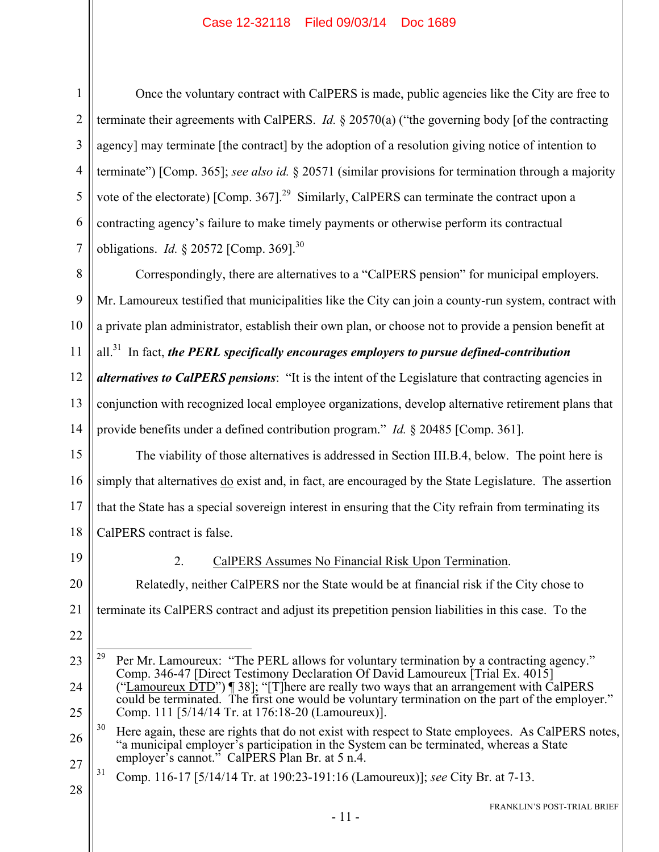1 2 3 4 5 6 7 Once the voluntary contract with CalPERS is made, public agencies like the City are free to terminate their agreements with CalPERS. *Id.* § 20570(a) ("the governing body [of the contracting agency] may terminate [the contract] by the adoption of a resolution giving notice of intention to terminate") [Comp. 365]; *see also id.* § 20571 (similar provisions for termination through a majority vote of the electorate)  $[Comp. 367]$ <sup>29</sup> Similarly, CalPERS can terminate the contract upon a contracting agency's failure to make timely payments or otherwise perform its contractual obligations. *Id.* § 20572 [Comp. 369].<sup>30</sup>

8 9 10 11 Correspondingly, there are alternatives to a "CalPERS pension" for municipal employers. Mr. Lamoureux testified that municipalities like the City can join a county-run system, contract with a private plan administrator, establish their own plan, or choose not to provide a pension benefit at all.31 In fact, *the PERL specifically encourages employers to pursue defined-contribution* 

12 13 14 *alternatives to CalPERS pensions*: "It is the intent of the Legislature that contracting agencies in conjunction with recognized local employee organizations, develop alternative retirement plans that provide benefits under a defined contribution program." *Id.* § 20485 [Comp. 361].

15 16 17 18 The viability of those alternatives is addressed in Section III.B.4, below. The point here is simply that alternatives do exist and, in fact, are encouraged by the State Legislature. The assertion that the State has a special sovereign interest in ensuring that the City refrain from terminating its CalPERS contract is false.

19

2. CalPERS Assumes No Financial Risk Upon Termination.

20 21 22 Relatedly, neither CalPERS nor the State would be at financial risk if the City chose to terminate its CalPERS contract and adjust its prepetition pension liabilities in this case. To the

<sup>23</sup> 24 25 29 Per Mr. Lamoureux: "The PERL allows for voluntary termination by a contracting agency." Comp. 346-47 [Direct Testimony Declaration Of David Lamoureux [Trial Ex. 4015] ("Lamoureux  $\overline{DTD}$ ") [38]; "[T]here are really two ways that an arrangement with CalPERS could be terminated. The first one would be voluntary termination on the part of the employer." Comp. 111 [5/14/14 Tr. at 176:18-20 (Lamoureux)].

<sup>26</sup> 27 <sup>30</sup> Here again, these are rights that do not exist with respect to State employees. As CalPERS notes, "a municipal employer's participation in the System can be terminated, whereas a State employer's cannot." CalPERS Plan Br. at 5 n.4.

<sup>28</sup> 31 Comp. 116-17 [5/14/14 Tr. at 190:23-191:16 (Lamoureux)]; *see* City Br. at 7-13.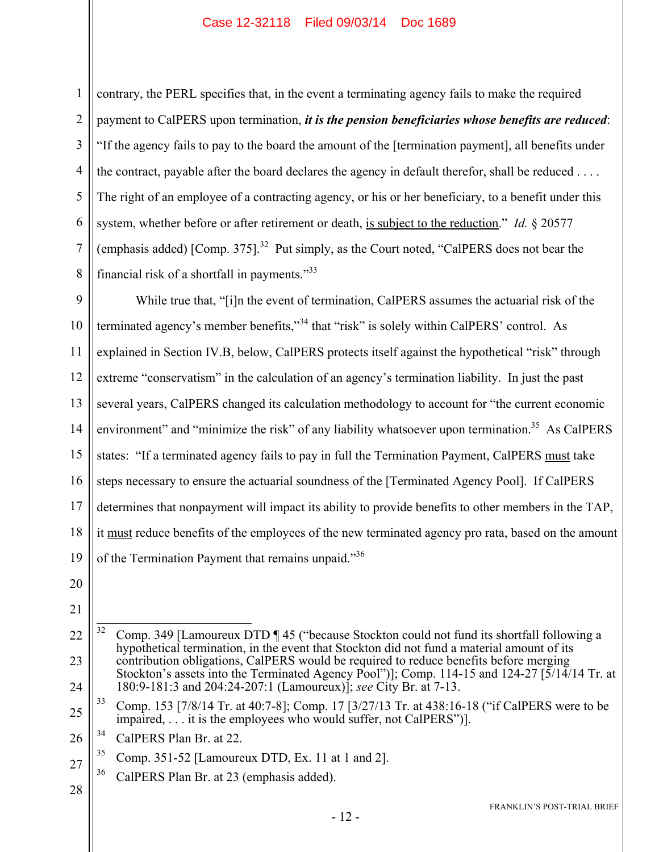1 2 3 4 5 6 7 8 contrary, the PERL specifies that, in the event a terminating agency fails to make the required payment to CalPERS upon termination, *it is the pension beneficiaries whose benefits are reduced*: "If the agency fails to pay to the board the amount of the [termination payment], all benefits under the contract, payable after the board declares the agency in default therefor, shall be reduced . . . . The right of an employee of a contracting agency, or his or her beneficiary, to a benefit under this system, whether before or after retirement or death, is subject to the reduction." *Id.* § 20577 (emphasis added) [Comp. 375].<sup>32</sup> Put simply, as the Court noted, "CalPERS does not bear the financial risk of a shortfall in payments."33

9 10 11 12 13 14 15 16 17 18 19 While true that, "[i]n the event of termination, CalPERS assumes the actuarial risk of the terminated agency's member benefits,"<sup>34</sup> that "risk" is solely within CalPERS' control. As explained in Section IV.B, below, CalPERS protects itself against the hypothetical "risk" through extreme "conservatism" in the calculation of an agency's termination liability. In just the past several years, CalPERS changed its calculation methodology to account for "the current economic environment" and "minimize the risk" of any liability whatsoever upon termination.<sup>35</sup> As CalPERS states: "If a terminated agency fails to pay in full the Termination Payment, CalPERS must take steps necessary to ensure the actuarial soundness of the [Terminated Agency Pool]. If CalPERS determines that nonpayment will impact its ability to provide benefits to other members in the TAP, it must reduce benefits of the employees of the new terminated agency pro rata, based on the amount of the Termination Payment that remains unpaid."<sup>36</sup>

- 20
- 21
- 
- 22 23 24 32 32 Comp. 349 [Lamoureux DTD ¶ 45 ("because Stockton could not fund its shortfall following a hypothetical termination, in the event that Stockton did not fund a material amount of its contribution obligations, CalPERS would be required to reduce benefits before merging Stockton's assets into the Terminated Agency Pool")]; Comp. 114-15 and 124-27 [5/14/14 Tr. at 180:9-181:3 and 204:24-207:1 (Lamoureux)]; *see* City Br. at 7-13.
- 25 33 Comp. 153 [7/8/14 Tr. at 40:7-8]; Comp. 17 [3/27/13 Tr. at 438:16-18 ("if CalPERS were to be impaired, . . . it is the employees who would suffer, not CalPERS")].
- 26 34 CalPERS Plan Br. at 22.
- 27  $35$  Comp. 351-52 [Lamoureux DTD, Ex. 11 at 1 and 2].
	- <sup>36</sup> CalPERS Plan Br. at 23 (emphasis added).
- 28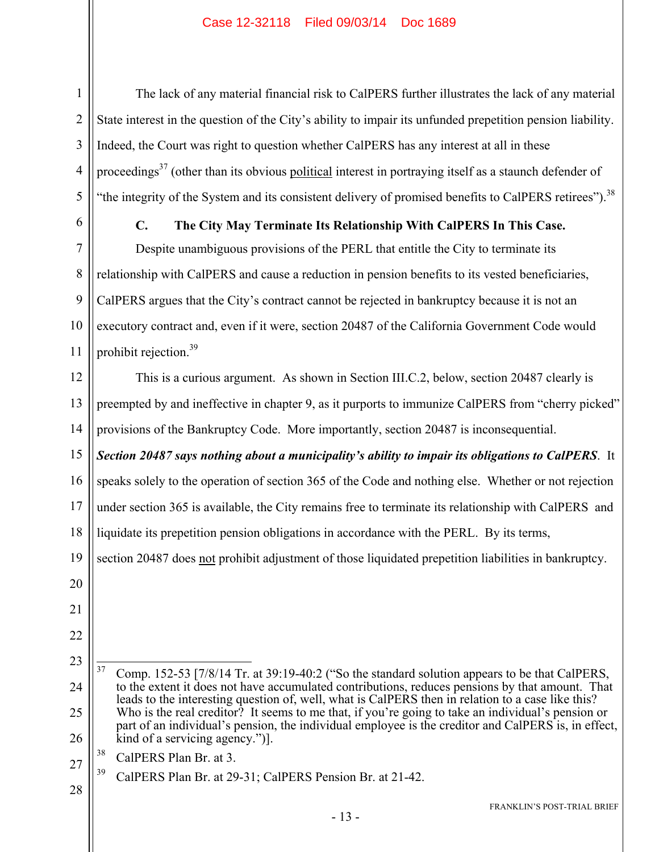The lack of any material financial risk to CalPERS further illustrates the lack of any material State interest in the question of the City's ability to impair its unfunded prepetition pension liability. Indeed, the Court was right to question whether CalPERS has any interest at all in these proceedings<sup>37</sup> (other than its obvious political interest in portraying itself as a staunch defender of "the integrity of the System and its consistent delivery of promised benefits to CalPERS retirees").<sup>38</sup>

1

2

3

4

5

6

#### **C. The City May Terminate Its Relationship With CalPERS In This Case.**

7 8 9 10 11 Despite unambiguous provisions of the PERL that entitle the City to terminate its relationship with CalPERS and cause a reduction in pension benefits to its vested beneficiaries, CalPERS argues that the City's contract cannot be rejected in bankruptcy because it is not an executory contract and, even if it were, section 20487 of the California Government Code would prohibit rejection.<sup>39</sup>

12 13 14 This is a curious argument. As shown in Section III.C.2, below, section 20487 clearly is preempted by and ineffective in chapter 9, as it purports to immunize CalPERS from "cherry picked" provisions of the Bankruptcy Code. More importantly, section 20487 is inconsequential.

15 16 17 18 *Section 20487 says nothing about a municipality's ability to impair its obligations to CalPERS*. It speaks solely to the operation of section 365 of the Code and nothing else. Whether or not rejection under section 365 is available, the City remains free to terminate its relationship with CalPERS and liquidate its prepetition pension obligations in accordance with the PERL. By its terms,

19 section 20487 does not prohibit adjustment of those liquidated prepetition liabilities in bankruptcy.

- 20 21
- 22
- 23

27 39 CalPERS Plan Br. at 29-31; CalPERS Pension Br. at 21-42.

<sup>24</sup> 25 26  $37$ 37 Comp. 152-53 [7/8/14 Tr. at 39:19-40:2 ("So the standard solution appears to be that CalPERS, to the extent it does not have accumulated contributions, reduces pensions by that amount. That leads to the interesting question of, well, what is CalPERS then in relation to a case like this? Who is the real creditor? It seems to me that, if you're going to take an individual's pension or part of an individual's pension, the individual employee is the creditor and CalPERS is, in effect, kind of a servicing agency.")].

<sup>38</sup> CalPERS Plan Br. at 3.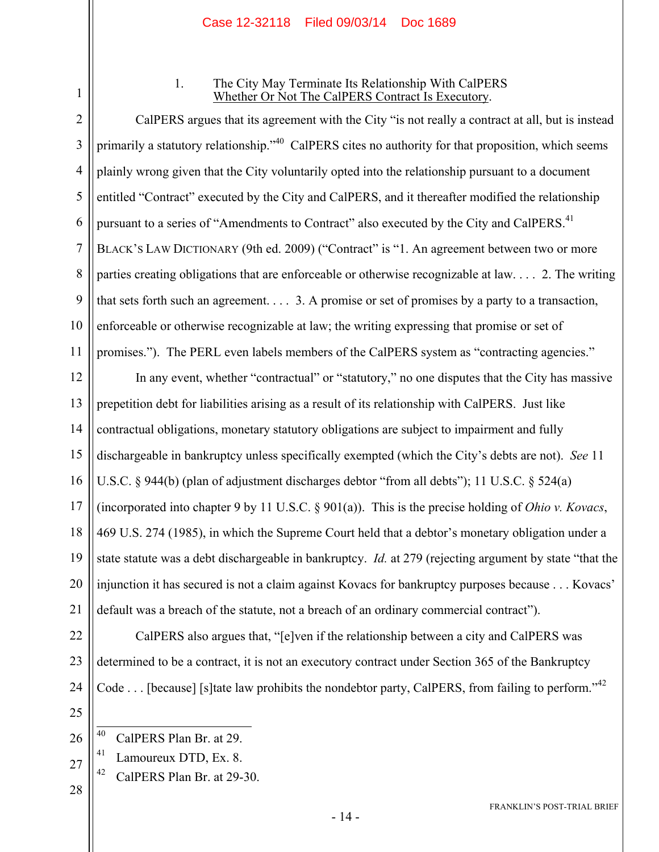1

#### 1. The City May Terminate Its Relationship With CalPERS Whether Or Not The CalPERS Contract Is Executory.

2 3 4 5 6 7 8 9 10 11 CalPERS argues that its agreement with the City "is not really a contract at all, but is instead primarily a statutory relationship."<sup>40</sup> CalPERS cites no authority for that proposition, which seems plainly wrong given that the City voluntarily opted into the relationship pursuant to a document entitled "Contract" executed by the City and CalPERS, and it thereafter modified the relationship pursuant to a series of "Amendments to Contract" also executed by the City and CalPERS.<sup>41</sup> BLACK'S LAW DICTIONARY (9th ed. 2009) ("Contract" is "1. An agreement between two or more parties creating obligations that are enforceable or otherwise recognizable at law. . . . 2. The writing that sets forth such an agreement. . . . 3. A promise or set of promises by a party to a transaction, enforceable or otherwise recognizable at law; the writing expressing that promise or set of promises."). The PERL even labels members of the CalPERS system as "contracting agencies."

12 13 14 15 16 17 18 19 20 21 In any event, whether "contractual" or "statutory," no one disputes that the City has massive prepetition debt for liabilities arising as a result of its relationship with CalPERS. Just like contractual obligations, monetary statutory obligations are subject to impairment and fully dischargeable in bankruptcy unless specifically exempted (which the City's debts are not). *See* 11 U.S.C. § 944(b) (plan of adjustment discharges debtor "from all debts"); 11 U.S.C. § 524(a) (incorporated into chapter 9 by 11 U.S.C. § 901(a)). This is the precise holding of *Ohio v. Kovacs*, 469 U.S. 274 (1985), in which the Supreme Court held that a debtor's monetary obligation under a state statute was a debt dischargeable in bankruptcy. *Id.* at 279 (rejecting argument by state "that the injunction it has secured is not a claim against Kovacs for bankruptcy purposes because . . . Kovacs' default was a breach of the statute, not a breach of an ordinary commercial contract").

22 23 CalPERS also argues that, "[e]ven if the relationship between a city and CalPERS was determined to be a contract, it is not an executory contract under Section 365 of the Bankruptcy Code . . . [because] [s]tate law prohibits the nondebtor party, CalPERS, from failing to perform."<sup>42</sup>

 $42$  CalPERS Plan Br. at 29-30.

<sup>40</sup> CalPERS Plan Br. at 29.

<sup>41</sup> Lamoureux DTD, Ex. 8.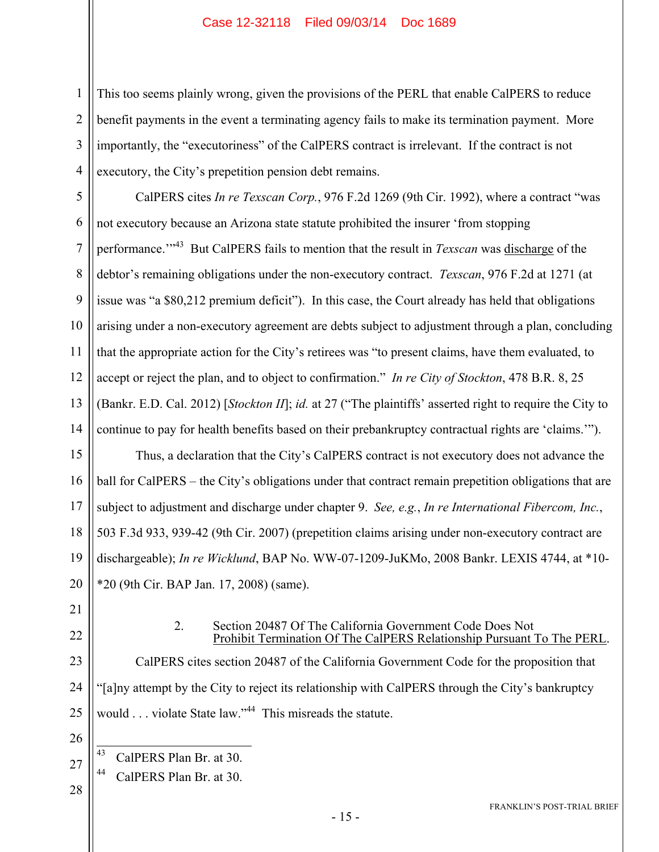2 3 4 This too seems plainly wrong, given the provisions of the PERL that enable CalPERS to reduce benefit payments in the event a terminating agency fails to make its termination payment. More importantly, the "executoriness" of the CalPERS contract is irrelevant. If the contract is not executory, the City's prepetition pension debt remains.

5 6 7 8 9 10 11 12 13 14 CalPERS cites *In re Texscan Corp.*, 976 F.2d 1269 (9th Cir. 1992), where a contract "was not executory because an Arizona state statute prohibited the insurer 'from stopping performance.'"43 But CalPERS fails to mention that the result in *Texscan* was discharge of the debtor's remaining obligations under the non-executory contract. *Texscan*, 976 F.2d at 1271 (at issue was "a \$80,212 premium deficit"). In this case, the Court already has held that obligations arising under a non-executory agreement are debts subject to adjustment through a plan, concluding that the appropriate action for the City's retirees was "to present claims, have them evaluated, to accept or reject the plan, and to object to confirmation." *In re City of Stockton*, 478 B.R. 8, 25 (Bankr. E.D. Cal. 2012) [*Stockton II*]; *id.* at 27 ("The plaintiffs' asserted right to require the City to continue to pay for health benefits based on their prebankruptcy contractual rights are 'claims.'").

15 16 17 18 19 20 Thus, a declaration that the City's CalPERS contract is not executory does not advance the ball for CalPERS – the City's obligations under that contract remain prepetition obligations that are subject to adjustment and discharge under chapter 9. *See, e.g.*, *In re International Fibercom, Inc.*, 503 F.3d 933, 939-42 (9th Cir. 2007) (prepetition claims arising under non-executory contract are dischargeable); *In re Wicklund*, BAP No. WW-07-1209-JuKMo, 2008 Bankr. LEXIS 4744, at \*10- \*20 (9th Cir. BAP Jan. 17, 2008) (same).

21

1

22

#### 2. Section 20487 Of The California Government Code Does Not Prohibit Termination Of The CalPERS Relationship Pursuant To The PERL.

23 24 25 CalPERS cites section 20487 of the California Government Code for the proposition that "[a]ny attempt by the City to reject its relationship with CalPERS through the City's bankruptcy would . . . violate State law."<sup>44</sup> This misreads the statute.

26

43

CalPERS Plan Br. at 30.

27 44 CalPERS Plan Br. at 30.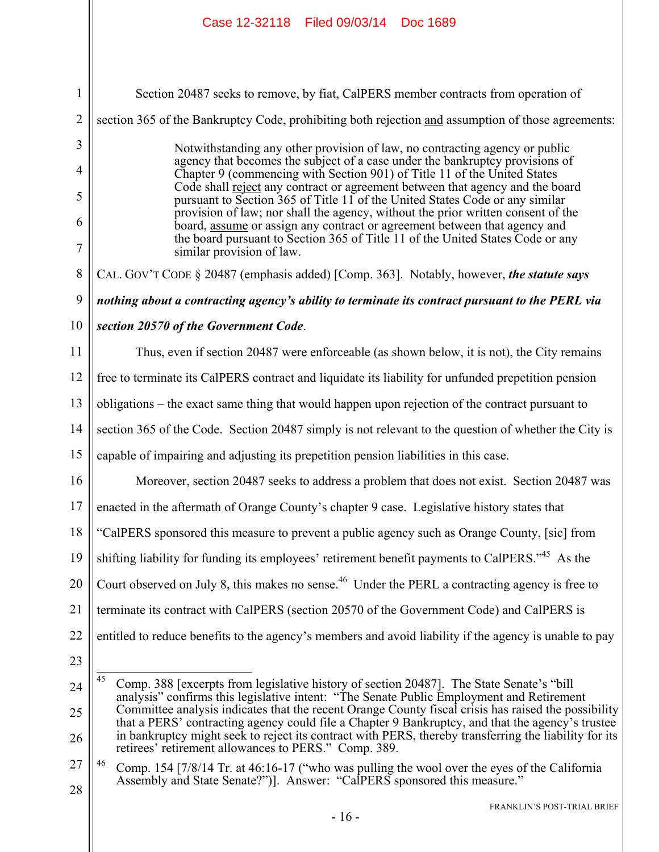1 2 3 4 5 6 7 8 9 10 11 12 13 14 15 16 17 18 19 20 21 22 23 24 25 26 27 Section 20487 seeks to remove, by fiat, CalPERS member contracts from operation of section 365 of the Bankruptcy Code, prohibiting both rejection and assumption of those agreements: Notwithstanding any other provision of law, no contracting agency or public agency that becomes the subject of a case under the bankruptcy provisions of Chapter 9 (commencing with Section 901) of Title 11 of the United States Code shall reject any contract or agreement between that agency and the board pursuant to Section 365 of Title 11 of the United States Code or any similar provision of law; nor shall the agency, without the prior written consent of the board, assume or assign any contract or agreement between that agency and the board pursuant to Section 365 of Title 11 of the United States Code or any similar provision of law. CAL. GOV'T CODE § 20487 (emphasis added) [Comp. 363]. Notably, however, *the statute says nothing about a contracting agency's ability to terminate its contract pursuant to the PERL via section 20570 of the Government Code*. Thus, even if section 20487 were enforceable (as shown below, it is not), the City remains free to terminate its CalPERS contract and liquidate its liability for unfunded prepetition pension obligations – the exact same thing that would happen upon rejection of the contract pursuant to section 365 of the Code. Section 20487 simply is not relevant to the question of whether the City is capable of impairing and adjusting its prepetition pension liabilities in this case. Moreover, section 20487 seeks to address a problem that does not exist. Section 20487 was enacted in the aftermath of Orange County's chapter 9 case. Legislative history states that "CalPERS sponsored this measure to prevent a public agency such as Orange County, [sic] from shifting liability for funding its employees' retirement benefit payments to CalPERS."<sup>45</sup> As the Court observed on July 8, this makes no sense.<sup>46</sup> Under the PERL a contracting agency is free to terminate its contract with CalPERS (section 20570 of the Government Code) and CalPERS is entitled to reduce benefits to the agency's members and avoid liability if the agency is unable to pay 45 45 Comp. 388 [excerpts from legislative history of section 20487]. The State Senate's "bill analysis" confirms this legislative intent: "The Senate Public Employment and Retirement Committee analysis indicates that the recent Orange County fiscal crisis has raised the possibility that a PERS' contracting agency could file a Chapter 9 Bankruptcy, and that the agency's trustee in bankruptcy might seek to reject its contract with PERS, thereby transferring the liability for its retirees' retirement allowances to PERS." Comp. 389. <sup>46</sup> Comp. 154 [7/8/14 Tr. at 46:16-17 ("who was pulling the wool over the eyes of the California

28

Assembly and State Senate?")]. Answer: "CalPERS sponsored this measure."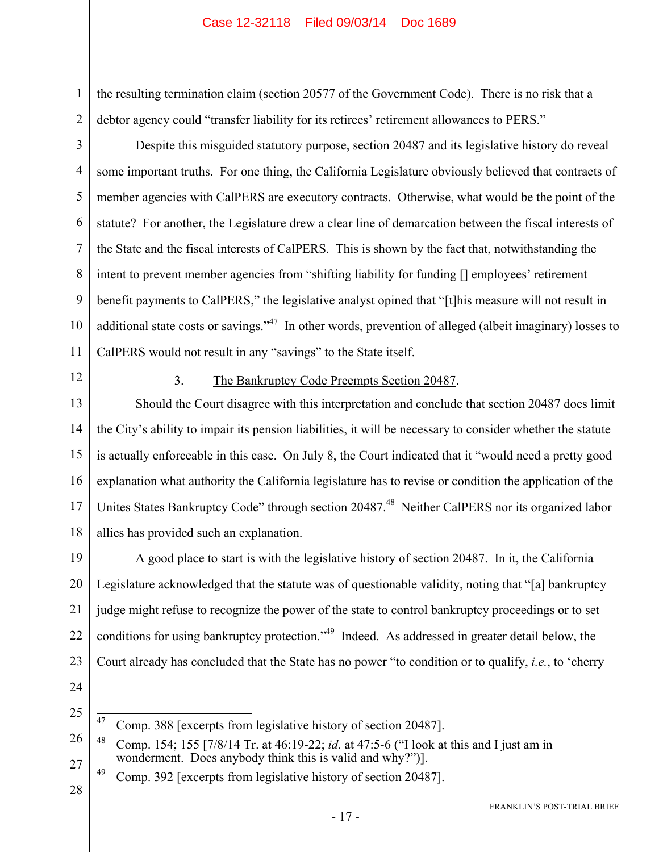the resulting termination claim (section 20577 of the Government Code). There is no risk that a debtor agency could "transfer liability for its retirees' retirement allowances to PERS."

Despite this misguided statutory purpose, section 20487 and its legislative history do reveal some important truths. For one thing, the California Legislature obviously believed that contracts of member agencies with CalPERS are executory contracts. Otherwise, what would be the point of the statute? For another, the Legislature drew a clear line of demarcation between the fiscal interests of the State and the fiscal interests of CalPERS. This is shown by the fact that, notwithstanding the intent to prevent member agencies from "shifting liability for funding [] employees' retirement benefit payments to CalPERS," the legislative analyst opined that "[t]his measure will not result in additional state costs or savings."<sup>47</sup> In other words, prevention of alleged (albeit imaginary) losses to CalPERS would not result in any "savings" to the State itself.

12

1

2

3

4

5

6

7

8

9

10

11

#### 3. The Bankruptcy Code Preempts Section 20487.

13 14 15 16 17 18 Should the Court disagree with this interpretation and conclude that section 20487 does limit the City's ability to impair its pension liabilities, it will be necessary to consider whether the statute is actually enforceable in this case. On July 8, the Court indicated that it "would need a pretty good explanation what authority the California legislature has to revise or condition the application of the Unites States Bankruptcy Code" through section 20487.<sup>48</sup> Neither CalPERS nor its organized labor allies has provided such an explanation.

19 20 21 22 23 A good place to start is with the legislative history of section 20487. In it, the California Legislature acknowledged that the statute was of questionable validity, noting that "[a] bankruptcy judge might refuse to recognize the power of the state to control bankruptcy proceedings or to set conditions for using bankruptcy protection."49 Indeed. As addressed in greater detail below, the Court already has concluded that the State has no power "to condition or to qualify, *i.e.*, to 'cherry

24

25

<sup>47</sup> Comp. 388 [excerpts from legislative history of section 20487].

<sup>26</sup> 27 48 Comp. 154; 155 [7/8/14 Tr. at 46:19-22; *id.* at 47:5-6 ("I look at this and I just am in wonderment. Does anybody think this is valid and why?")].

<sup>&</sup>lt;sup>49</sup> Comp. 392 [excerpts from legislative history of section 20487].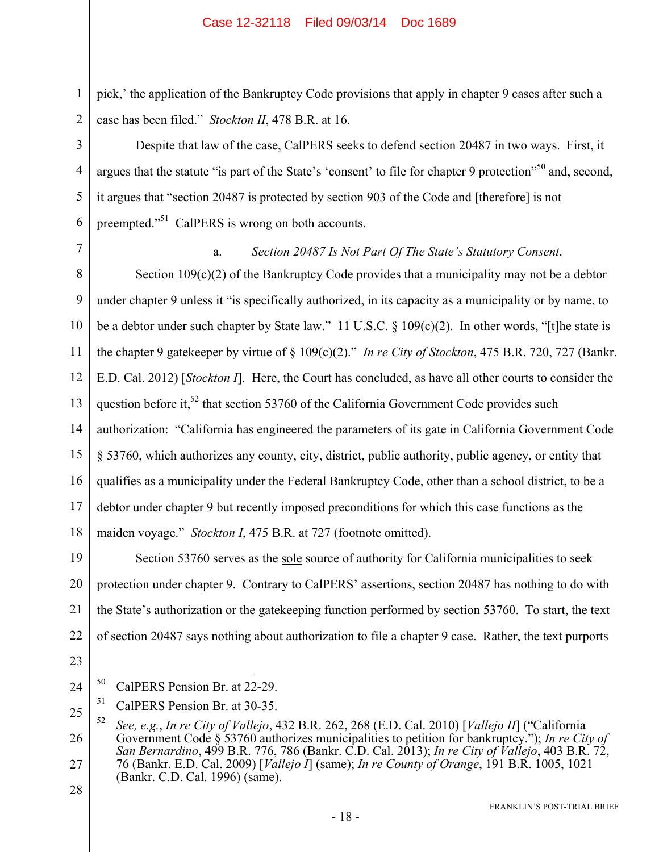pick,' the application of the Bankruptcy Code provisions that apply in chapter 9 cases after such a case has been filed." *Stockton II*, 478 B.R. at 16.

Despite that law of the case, CalPERS seeks to defend section 20487 in two ways. First, it argues that the statute "is part of the State's 'consent' to file for chapter 9 protection"<sup>50</sup> and, second, it argues that "section 20487 is protected by section 903 of the Code and [therefore] is not preempted."<sup>51</sup> CalPERS is wrong on both accounts.

7

1

2

3

4

5

6

#### a. *Section 20487 Is Not Part Of The State's Statutory Consent*.

8 9 10 11 12 13 14 15 16 17 18 Section 109(c)(2) of the Bankruptcy Code provides that a municipality may not be a debtor under chapter 9 unless it "is specifically authorized, in its capacity as a municipality or by name, to be a debtor under such chapter by State law." 11 U.S.C. § 109(c)(2). In other words, "[t]he state is the chapter 9 gatekeeper by virtue of § 109(c)(2)." *In re City of Stockton*, 475 B.R. 720, 727 (Bankr. E.D. Cal. 2012) [*Stockton I*]. Here, the Court has concluded, as have all other courts to consider the question before it,<sup>52</sup> that section 53760 of the California Government Code provides such authorization: "California has engineered the parameters of its gate in California Government Code § 53760, which authorizes any county, city, district, public authority, public agency, or entity that qualifies as a municipality under the Federal Bankruptcy Code, other than a school district, to be a debtor under chapter 9 but recently imposed preconditions for which this case functions as the maiden voyage." *Stockton I*, 475 B.R. at 727 (footnote omitted).

19 20 21 22 Section 53760 serves as the sole source of authority for California municipalities to seek protection under chapter 9. Contrary to CalPERS' assertions, section 20487 has nothing to do with the State's authorization or the gatekeeping function performed by section 53760. To start, the text of section 20487 says nothing about authorization to file a chapter 9 case. Rather, the text purports

23

24

<sup>50</sup> CalPERS Pension Br. at 22-29.

<sup>25</sup> <sup>51</sup> CalPERS Pension Br. at 30-35.

<sup>26</sup> 27 52 *See, e.g.*, *In re City of Vallejo*, 432 B.R. 262, 268 (E.D. Cal. 2010) [*Vallejo II*] ("California Government Code § 53760 authorizes municipalities to petition for bankruptcy."); *In re City of San Bernardino*, 499 B.R. 776, 786 (Bankr. C.D. Cal. 2013); *In re City of Vallejo*, 403 B.R. 72, 76 (Bankr. E.D. Cal. 2009) [*Vallejo I*] (same); *In re County of Orange*, 191 B.R. 1005, 1021 (Bankr. C.D. Cal. 1996) (same).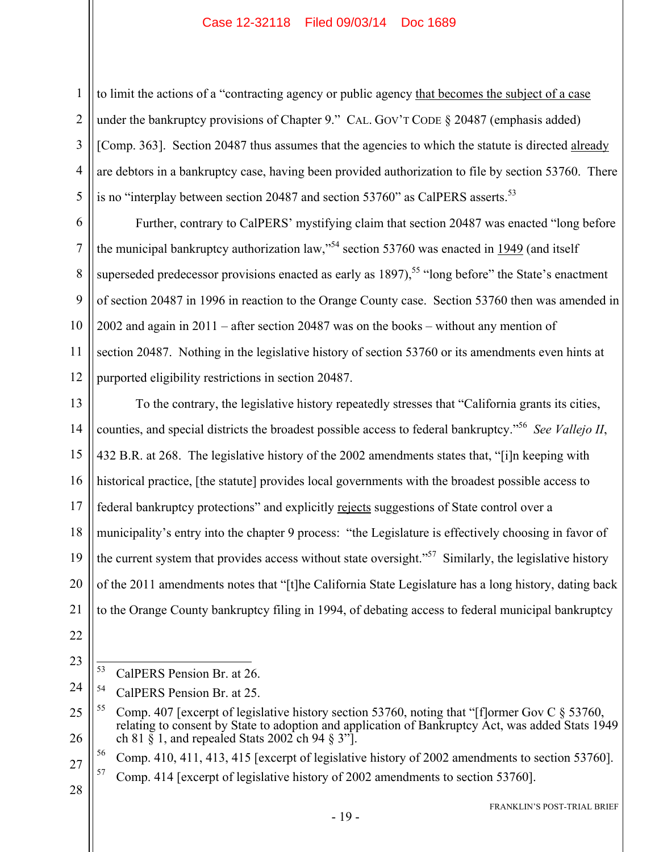to limit the actions of a "contracting agency or public agency that becomes the subject of a case under the bankruptcy provisions of Chapter 9." CAL. GOV'T CODE § 20487 (emphasis added) [Comp. 363]. Section 20487 thus assumes that the agencies to which the statute is directed already are debtors in a bankruptcy case, having been provided authorization to file by section 53760. There is no "interplay between section 20487 and section 53760" as CalPERS asserts.<sup>53</sup>

6 7 8 9 10 12 Further, contrary to CalPERS' mystifying claim that section 20487 was enacted "long before the municipal bankruptcy authorization law,"<sup>54</sup> section 53760 was enacted in  $\frac{1949}{2}$  (and itself superseded predecessor provisions enacted as early as  $1897$ ),<sup>55</sup> "long before" the State's enactment of section 20487 in 1996 in reaction to the Orange County case. Section 53760 then was amended in 2002 and again in 2011 – after section 20487 was on the books – without any mention of section 20487. Nothing in the legislative history of section 53760 or its amendments even hints at purported eligibility restrictions in section 20487.

13 14 15 16 17 18 19 20 21 To the contrary, the legislative history repeatedly stresses that "California grants its cities, counties, and special districts the broadest possible access to federal bankruptcy."56 *See Vallejo II*, 432 B.R. at 268. The legislative history of the 2002 amendments states that, "[i]n keeping with historical practice, [the statute] provides local governments with the broadest possible access to federal bankruptcy protections" and explicitly rejects suggestions of State control over a municipality's entry into the chapter 9 process: "the Legislature is effectively choosing in favor of the current system that provides access without state oversight."<sup>57</sup> Similarly, the legislative history of the 2011 amendments notes that "[t]he California State Legislature has a long history, dating back to the Orange County bankruptcy filing in 1994, of debating access to federal municipal bankruptcy

22

1

2

3

4

5

11

23

28

<sup>53</sup> CalPERS Pension Br. at 26.

<sup>24</sup> 54 CalPERS Pension Br. at 25.

<sup>25</sup> 26 <sup>55</sup> Comp. 407 [excerpt of legislative history section 53760, noting that "[f]ormer Gov C  $\&$  53760, relating to consent by State to adoption and application of Bankruptcy Act, was added Stats 1949 ch 81  $\tilde{\S}$  1, and repealed Stats 2002 ch 94  $\tilde{\S}$  3"].

<sup>56</sup> Comp. 410, 411, 413, 415 [excerpt of legislative history of 2002 amendments to section 53760].

<sup>57</sup> Comp. 414 [excerpt of legislative history of 2002 amendments to section 53760].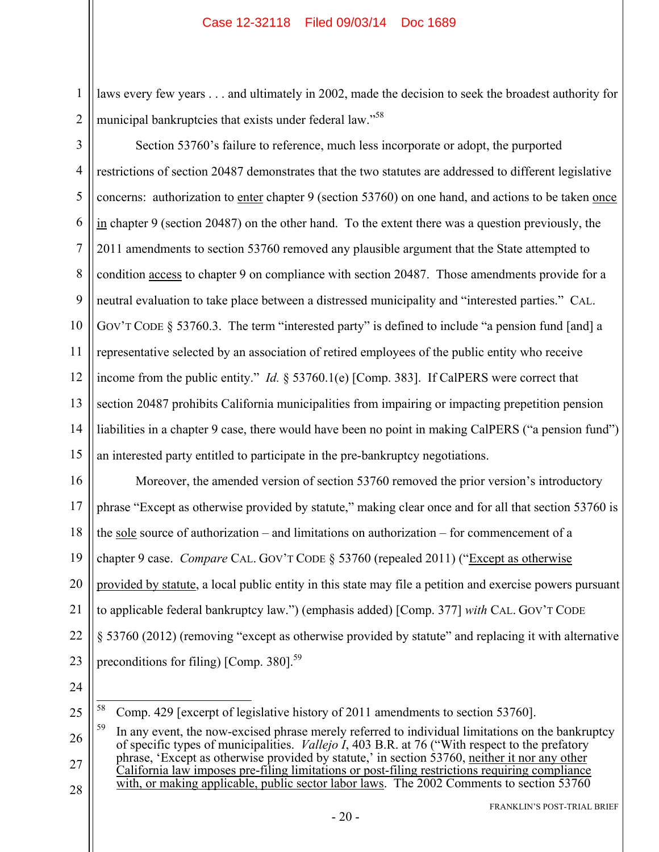1 2 laws every few years . . . and ultimately in 2002, made the decision to seek the broadest authority for municipal bankruptcies that exists under federal law."<sup>58</sup>

3

4 5 6 7 8 9 10 11 12 13 14 15 Section 53760's failure to reference, much less incorporate or adopt, the purported restrictions of section 20487 demonstrates that the two statutes are addressed to different legislative concerns: authorization to enter chapter 9 (section 53760) on one hand, and actions to be taken once in chapter 9 (section 20487) on the other hand. To the extent there was a question previously, the 2011 amendments to section 53760 removed any plausible argument that the State attempted to condition access to chapter 9 on compliance with section 20487. Those amendments provide for a neutral evaluation to take place between a distressed municipality and "interested parties." CAL. GOV'T CODE § 53760.3. The term "interested party" is defined to include "a pension fund [and] a representative selected by an association of retired employees of the public entity who receive income from the public entity." *Id.* § 53760.1(e) [Comp. 383]. If CalPERS were correct that section 20487 prohibits California municipalities from impairing or impacting prepetition pension liabilities in a chapter 9 case, there would have been no point in making CalPERS ("a pension fund") an interested party entitled to participate in the pre-bankruptcy negotiations.

16 17 18 19 20 21 22 23 Moreover, the amended version of section 53760 removed the prior version's introductory phrase "Except as otherwise provided by statute," making clear once and for all that section 53760 is the sole source of authorization – and limitations on authorization – for commencement of a chapter 9 case. *Compare* CAL. GOV'T CODE § 53760 (repealed 2011) ("Except as otherwise provided by statute, a local public entity in this state may file a petition and exercise powers pursuant to applicable federal bankruptcy law.") (emphasis added) [Comp. 377] *with* CAL. GOV'T CODE § 53760 (2012) (removing "except as otherwise provided by statute" and replacing it with alternative preconditions for filing) [Comp. 380].<sup>59</sup>

24

25

58 58 Comp. 429 [excerpt of legislative history of 2011 amendments to section 53760].

<sup>26</sup> 27 28 In any event, the now-excised phrase merely referred to individual limitations on the bankruptcy of specific types of municipalities. *Vallejo I*, 403 B.R. at 76 ("With respect to the prefatory phrase, 'Except as otherwise provided by statute,' in section 53760, neither it nor any other California law imposes pre-filing limitations or post-filing restrictions requiring compliance with, or making applicable, public sector labor laws. The 2002 Comments to section 53760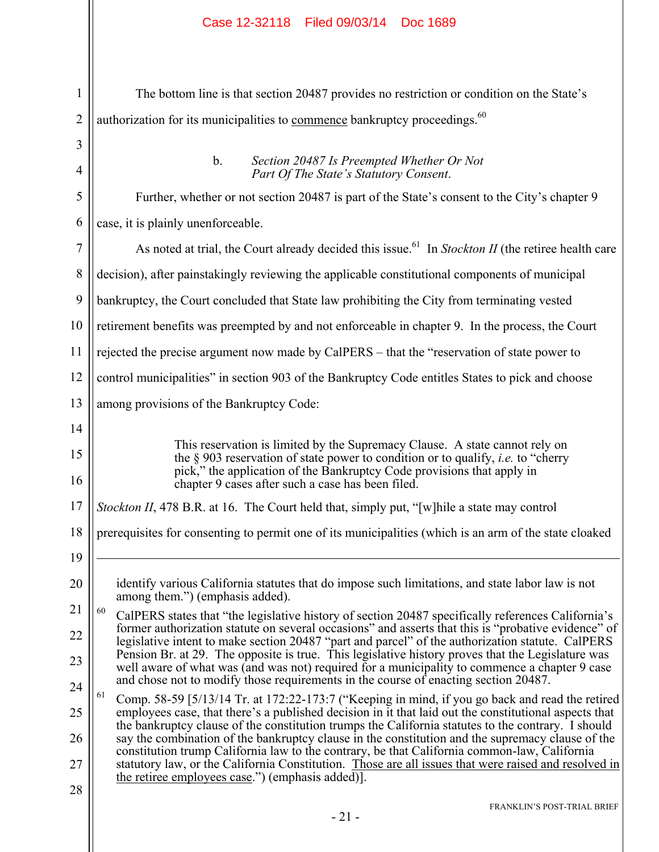| $\mathbf{1}$   | The bottom line is that section 20487 provides no restriction or condition on the State's                                                                                                                                                                                                             |  |  |
|----------------|-------------------------------------------------------------------------------------------------------------------------------------------------------------------------------------------------------------------------------------------------------------------------------------------------------|--|--|
| $\overline{2}$ | authorization for its municipalities to commence bankruptcy proceedings. <sup>60</sup>                                                                                                                                                                                                                |  |  |
| 3              |                                                                                                                                                                                                                                                                                                       |  |  |
| $\overline{4}$ | Section 20487 Is Preempted Whether Or Not<br>$b_{\cdot}$<br>Part Of The State's Statutory Consent.                                                                                                                                                                                                    |  |  |
| 5              | Further, whether or not section 20487 is part of the State's consent to the City's chapter 9                                                                                                                                                                                                          |  |  |
| 6              | case, it is plainly unenforceable.                                                                                                                                                                                                                                                                    |  |  |
| 7              | As noted at trial, the Court already decided this issue. <sup>61</sup> In Stockton II (the retiree health care                                                                                                                                                                                        |  |  |
| 8              | decision), after painstakingly reviewing the applicable constitutional components of municipal                                                                                                                                                                                                        |  |  |
| 9              | bankruptcy, the Court concluded that State law prohibiting the City from terminating vested                                                                                                                                                                                                           |  |  |
| 10             | retirement benefits was preempted by and not enforceable in chapter 9. In the process, the Court                                                                                                                                                                                                      |  |  |
| 11             | rejected the precise argument now made by CalPERS – that the "reservation of state power to                                                                                                                                                                                                           |  |  |
| 12             | control municipalities" in section 903 of the Bankruptcy Code entitles States to pick and choose                                                                                                                                                                                                      |  |  |
| 13             | among provisions of the Bankruptcy Code:                                                                                                                                                                                                                                                              |  |  |
| 14             |                                                                                                                                                                                                                                                                                                       |  |  |
| 15<br>16       | This reservation is limited by the Supremacy Clause. A state cannot rely on<br>the § 903 reservation of state power to condition or to qualify, <i>i.e.</i> to "cherry<br>pick," the application of the Bankruptcy Code provisions that apply in<br>chapter 9 cases after such a case has been filed. |  |  |
| 17             | Stockton II, 478 B.R. at 16. The Court held that, simply put, "[w] hile a state may control                                                                                                                                                                                                           |  |  |
| 18             | prerequisites for consenting to permit one of its municipalities (which is an arm of the state cloaked                                                                                                                                                                                                |  |  |
| 19             |                                                                                                                                                                                                                                                                                                       |  |  |
| 20             | identify various California statutes that do impose such limitations, and state labor law is not                                                                                                                                                                                                      |  |  |
| 21             | among them.") (emphasis added).<br>60<br>CalPERS states that "the legislative history of section 20487 specifically references California's                                                                                                                                                           |  |  |
| 22             | former authorization statute on several occasions" and asserts that this is "probative evidence" of<br>legislative intent to make section 20487 "part and parcel" of the authorization statute. CalPERS                                                                                               |  |  |
| 23             | Pension Br. at 29. The opposite is true. This legislative history proves that the Legislature was<br>well aware of what was (and was not) required for a municipality to commence a chapter 9 case                                                                                                    |  |  |
| 24             | and chose not to modify those requirements in the course of enacting section 20487.<br>61                                                                                                                                                                                                             |  |  |
| 25             | Comp. 58-59 [5/13/14 Tr. at 172:22-173:7 ("Keeping in mind, if you go back and read the retired<br>employees case, that there's a published decision in it that laid out the constitutional aspects that                                                                                              |  |  |
| 26             | the bankruptcy clause of the constitution trumps the California statutes to the contrary. I should<br>say the combination of the bankruptcy clause in the constitution and the supremacy clause of the                                                                                                |  |  |
| 27             | constitution trump California law to the contrary, be that California common-law, California<br>statutory law, or the California Constitution. Those are all issues that were raised and resolved in<br>the retiree employees case.") (emphasis added).                                               |  |  |
| 28             | <b>FRANKLIN'S POST-TRIAL BRIEF</b>                                                                                                                                                                                                                                                                    |  |  |
|                | $-21-$                                                                                                                                                                                                                                                                                                |  |  |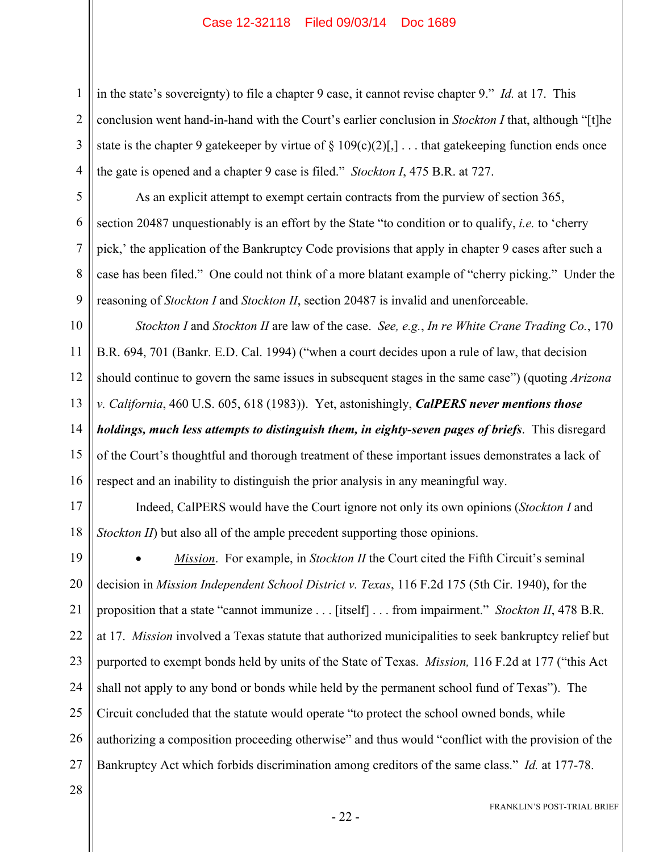in the state's sovereignty) to file a chapter 9 case, it cannot revise chapter 9." *Id.* at 17. This conclusion went hand-in-hand with the Court's earlier conclusion in *Stockton I* that, although "[t]he state is the chapter 9 gatekeeper by virtue of  $\S 109(c)(2)$ [,]... that gatekeeping function ends once the gate is opened and a chapter 9 case is filed." *Stockton I*, 475 B.R. at 727.

As an explicit attempt to exempt certain contracts from the purview of section 365, section 20487 unquestionably is an effort by the State "to condition or to qualify, *i.e.* to 'cherry pick,' the application of the Bankruptcy Code provisions that apply in chapter 9 cases after such a case has been filed." One could not think of a more blatant example of "cherry picking." Under the reasoning of *Stockton I* and *Stockton II*, section 20487 is invalid and unenforceable.

10 11 12 13 14 15 16 *Stockton I* and *Stockton II* are law of the case. *See, e.g.*, *In re White Crane Trading Co.*, 170 B.R. 694, 701 (Bankr. E.D. Cal. 1994) ("when a court decides upon a rule of law, that decision should continue to govern the same issues in subsequent stages in the same case") (quoting *Arizona v. California*, 460 U.S. 605, 618 (1983)). Yet, astonishingly, *CalPERS never mentions those holdings, much less attempts to distinguish them, in eighty-seven pages of briefs*. This disregard of the Court's thoughtful and thorough treatment of these important issues demonstrates a lack of respect and an inability to distinguish the prior analysis in any meaningful way.

17 18 Indeed, CalPERS would have the Court ignore not only its own opinions (*Stockton I* and *Stockton II*) but also all of the ample precedent supporting those opinions.

19 20 21 22 23 24 25 26 27 *Mission*. For example, in *Stockton II* the Court cited the Fifth Circuit's seminal decision in *Mission Independent School District v. Texas*, 116 F.2d 175 (5th Cir. 1940), for the proposition that a state "cannot immunize . . . [itself] . . . from impairment." *Stockton II*, 478 B.R. at 17. *Mission* involved a Texas statute that authorized municipalities to seek bankruptcy relief but purported to exempt bonds held by units of the State of Texas. *Mission,* 116 F.2d at 177 ("this Act shall not apply to any bond or bonds while held by the permanent school fund of Texas"). The Circuit concluded that the statute would operate "to protect the school owned bonds, while authorizing a composition proceeding otherwise" and thus would "conflict with the provision of the Bankruptcy Act which forbids discrimination among creditors of the same class." *Id.* at 177-78.

28

1

2

3

4

5

6

7

8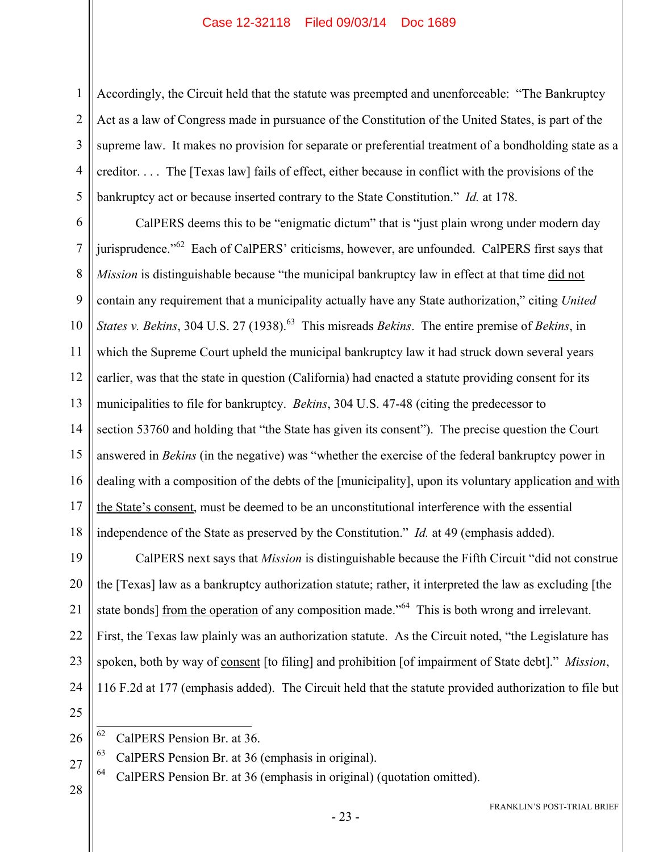1 2 3 4 5 Accordingly, the Circuit held that the statute was preempted and unenforceable: "The Bankruptcy Act as a law of Congress made in pursuance of the Constitution of the United States, is part of the supreme law. It makes no provision for separate or preferential treatment of a bondholding state as a creditor. . . . The [Texas law] fails of effect, either because in conflict with the provisions of the bankruptcy act or because inserted contrary to the State Constitution." *Id.* at 178.

6 7 8 9 10 11 12 13 14 15 16 17 18 CalPERS deems this to be "enigmatic dictum" that is "just plain wrong under modern day jurisprudence."<sup>62</sup> Each of CalPERS' criticisms, however, are unfounded. CalPERS first says that *Mission* is distinguishable because "the municipal bankruptcy law in effect at that time did not contain any requirement that a municipality actually have any State authorization," citing *United States v. Bekins*, 304 U.S. 27 (1938).<sup>63</sup> This misreads *Bekins*. The entire premise of *Bekins*, in which the Supreme Court upheld the municipal bankruptcy law it had struck down several years earlier, was that the state in question (California) had enacted a statute providing consent for its municipalities to file for bankruptcy. *Bekins*, 304 U.S. 47-48 (citing the predecessor to section 53760 and holding that "the State has given its consent"). The precise question the Court answered in *Bekins* (in the negative) was "whether the exercise of the federal bankruptcy power in dealing with a composition of the debts of the [municipality], upon its voluntary application and with the State's consent, must be deemed to be an unconstitutional interference with the essential independence of the State as preserved by the Constitution." *Id.* at 49 (emphasis added).

19 20 21 22 23 24 CalPERS next says that *Mission* is distinguishable because the Fifth Circuit "did not construe the [Texas] law as a bankruptcy authorization statute; rather, it interpreted the law as excluding [the state bonds] from the operation of any composition made."<sup>64</sup> This is both wrong and irrelevant. First, the Texas law plainly was an authorization statute. As the Circuit noted, "the Legislature has spoken, both by way of consent [to filing] and prohibition [of impairment of State debt]." *Mission*, 116 F.2d at 177 (emphasis added). The Circuit held that the statute provided authorization to file but

 $63$  CalPERS Pension Br. at 36 (emphasis in original).

64 CalPERS Pension Br. at 36 (emphasis in original) (quotation omitted).

28

<sup>25</sup> 26

<sup>62</sup> CalPERS Pension Br. at 36.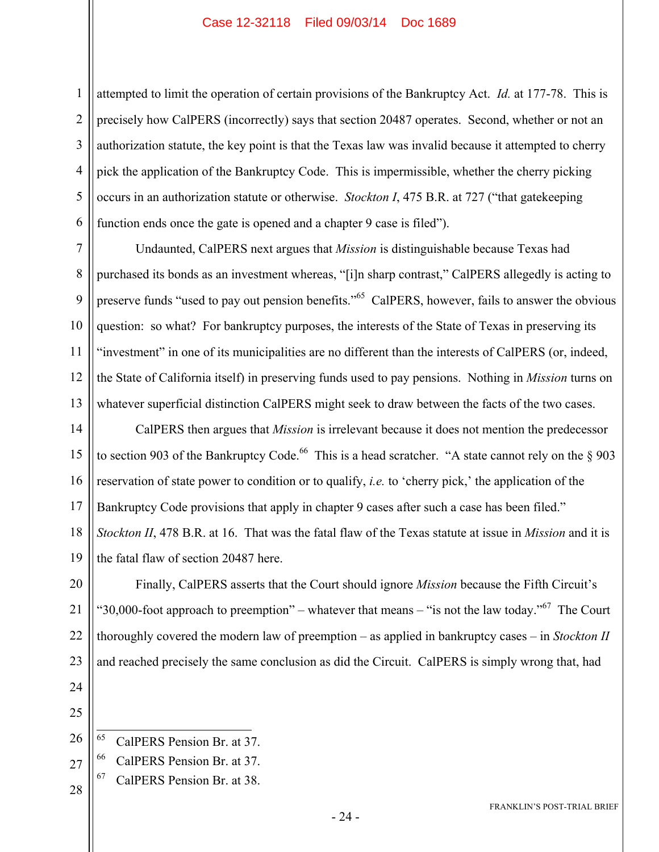1 2 3 4 5 6 attempted to limit the operation of certain provisions of the Bankruptcy Act. *Id.* at 177-78. This is precisely how CalPERS (incorrectly) says that section 20487 operates. Second, whether or not an authorization statute, the key point is that the Texas law was invalid because it attempted to cherry pick the application of the Bankruptcy Code. This is impermissible, whether the cherry picking occurs in an authorization statute or otherwise. *Stockton I*, 475 B.R. at 727 ("that gatekeeping function ends once the gate is opened and a chapter 9 case is filed").

7 8 9 10 11 12 13 Undaunted, CalPERS next argues that *Mission* is distinguishable because Texas had purchased its bonds as an investment whereas, "[i]n sharp contrast," CalPERS allegedly is acting to preserve funds "used to pay out pension benefits."<sup>65</sup> CalPERS, however, fails to answer the obvious question: so what? For bankruptcy purposes, the interests of the State of Texas in preserving its "investment" in one of its municipalities are no different than the interests of CalPERS (or, indeed, the State of California itself) in preserving funds used to pay pensions. Nothing in *Mission* turns on whatever superficial distinction CalPERS might seek to draw between the facts of the two cases.

14 15 16 17 18 19 CalPERS then argues that *Mission* is irrelevant because it does not mention the predecessor to section 903 of the Bankruptcy Code.<sup>66</sup> This is a head scratcher. "A state cannot rely on the  $\S$  903 reservation of state power to condition or to qualify, *i.e.* to 'cherry pick,' the application of the Bankruptcy Code provisions that apply in chapter 9 cases after such a case has been filed." *Stockton II*, 478 B.R. at 16. That was the fatal flaw of the Texas statute at issue in *Mission* and it is the fatal flaw of section 20487 here.

20 21 22 23 Finally, CalPERS asserts that the Court should ignore *Mission* because the Fifth Circuit's "30,000-foot approach to preemption" – whatever that means – "is not the law today."<sup>67</sup> The Court thoroughly covered the modern law of preemption – as applied in bankruptcy cases – in *Stockton II* and reached precisely the same conclusion as did the Circuit. CalPERS is simply wrong that, had

25

- 26 65 CalPERS Pension Br. at 37.
- 27 66 CalPERS Pension Br. at 37.
- 28 67 CalPERS Pension Br. at 38.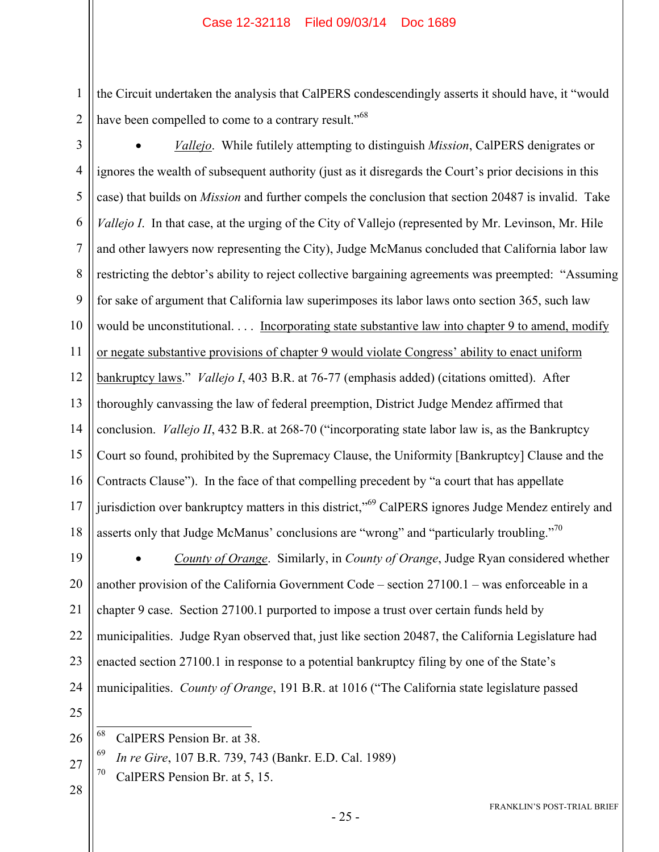the Circuit undertaken the analysis that CalPERS condescendingly asserts it should have, it "would have been compelled to come to a contrary result."<sup>68</sup>

3

2

1

4 5 6 7 8 9 10 11 12 13 14 15 16 17 18 *Vallejo*. While futilely attempting to distinguish *Mission*, CalPERS denigrates or ignores the wealth of subsequent authority (just as it disregards the Court's prior decisions in this case) that builds on *Mission* and further compels the conclusion that section 20487 is invalid. Take *Vallejo I*. In that case, at the urging of the City of Vallejo (represented by Mr. Levinson, Mr. Hile and other lawyers now representing the City), Judge McManus concluded that California labor law restricting the debtor's ability to reject collective bargaining agreements was preempted: "Assuming for sake of argument that California law superimposes its labor laws onto section 365, such law would be unconstitutional. . . . Incorporating state substantive law into chapter 9 to amend, modify or negate substantive provisions of chapter 9 would violate Congress' ability to enact uniform bankruptcy laws." *Vallejo I*, 403 B.R. at 76-77 (emphasis added) (citations omitted). After thoroughly canvassing the law of federal preemption, District Judge Mendez affirmed that conclusion. *Vallejo II*, 432 B.R. at 268-70 ("incorporating state labor law is, as the Bankruptcy Court so found, prohibited by the Supremacy Clause, the Uniformity [Bankruptcy] Clause and the Contracts Clause"). In the face of that compelling precedent by "a court that has appellate jurisdiction over bankruptcy matters in this district,"<sup>69</sup> CalPERS ignores Judge Mendez entirely and asserts only that Judge McManus' conclusions are "wrong" and "particularly troubling."<sup>70</sup>

19 20 21 22 23 24 *County of Orange*. Similarly, in *County of Orange*, Judge Ryan considered whether another provision of the California Government Code – section 27100.1 – was enforceable in a chapter 9 case. Section 27100.1 purported to impose a trust over certain funds held by municipalities. Judge Ryan observed that, just like section 20487, the California Legislature had enacted section 27100.1 in response to a potential bankruptcy filing by one of the State's municipalities. *County of Orange*, 191 B.R. at 1016 ("The California state legislature passed

25 26

- 69 *In re Gire*, 107 B.R. 739, 743 (Bankr. E.D. Cal. 1989)
- 70 CalPERS Pension Br. at 5, 15.

<sup>68</sup> CalPERS Pension Br. at 38.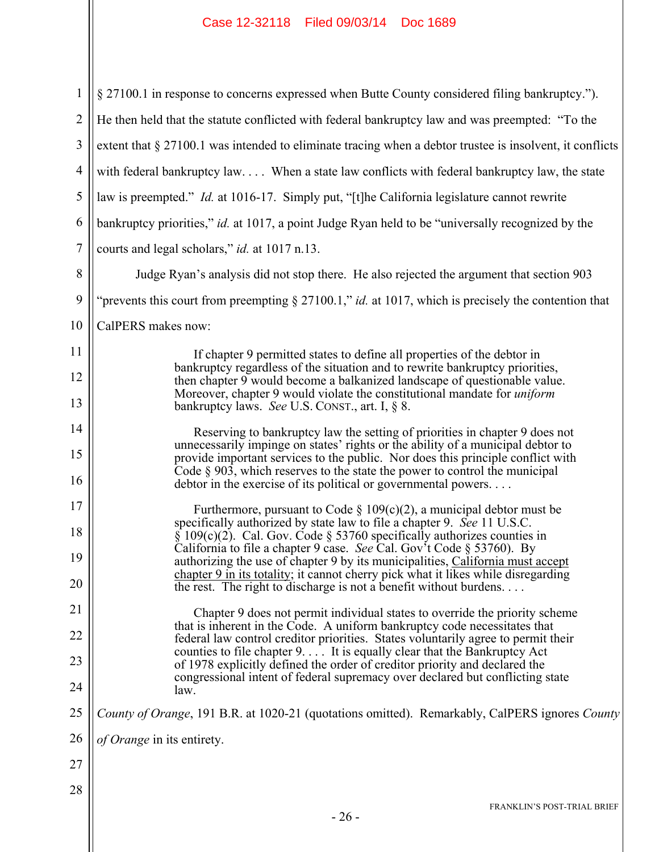| 1              | § 27100.1 in response to concerns expressed when Butte County considered filing bankruptcy.").                                                                                                                                    |
|----------------|-----------------------------------------------------------------------------------------------------------------------------------------------------------------------------------------------------------------------------------|
| $\overline{2}$ | He then held that the statute conflicted with federal bankruptcy law and was preempted: "To the                                                                                                                                   |
| 3              | extent that § 27100.1 was intended to eliminate tracing when a debtor trustee is insolvent, it conflicts                                                                                                                          |
| $\overline{4}$ | with federal bankruptcy law When a state law conflicts with federal bankruptcy law, the state                                                                                                                                     |
| 5              | law is preempted." <i>Id.</i> at 1016-17. Simply put, "[t]he California legislature cannot rewrite                                                                                                                                |
| 6              | bankruptcy priorities," id. at 1017, a point Judge Ryan held to be "universally recognized by the                                                                                                                                 |
| $\overline{7}$ | courts and legal scholars," id. at 1017 n.13.                                                                                                                                                                                     |
| 8              | Judge Ryan's analysis did not stop there. He also rejected the argument that section 903                                                                                                                                          |
| 9              | "prevents this court from preempting $\S 27100.1$ ," <i>id.</i> at 1017, which is precisely the contention that                                                                                                                   |
| 10             | CalPERS makes now:                                                                                                                                                                                                                |
| 11             | If chapter 9 permitted states to define all properties of the debtor in                                                                                                                                                           |
| 12             | bankruptcy regardless of the situation and to rewrite bankruptcy priorities,<br>then chapter 9 would become a balkanized landscape of questionable value.                                                                         |
| 13             | Moreover, chapter 9 would violate the constitutional mandate for <i>uniform</i><br>bankruptcy laws. See U.S. CONST., art. I, § 8.                                                                                                 |
| 14             | Reserving to bankruptcy law the setting of priorities in chapter 9 does not                                                                                                                                                       |
| 15             | unnecessarily impinge on states' rights or the ability of a municipal debtor to<br>provide important services to the public. Nor does this principle conflict with                                                                |
| 16             | Code $\S$ 903, which reserves to the state the power to control the municipal<br>debtor in the exercise of its political or governmental powers                                                                                   |
| 17             | Furthermore, pursuant to Code § $109(c)(2)$ , a municipal debtor must be                                                                                                                                                          |
| 18             | specifically authorized by state law to file a chapter 9. See 11 U.S.C.<br>$\S$ 109(c)(2). Cal. Gov. Code $\S$ 53760 specifically authorizes counties in<br>California to file a chapter 9 case. See Cal. Gov't Code § 53760). By |
| 19             | authorizing the use of chapter 9 by its municipalities, California must accept<br>chapter 9 in its totality; it cannot cherry pick what it likes while disregarding                                                               |
| 20             | the rest. The right to discharge is not a benefit without burdens                                                                                                                                                                 |
| 21             | Chapter 9 does not permit individual states to override the priority scheme<br>that is inherent in the Code. A uniform bankruptcy code necessitates that                                                                          |
| 22             | federal law control creditor priorities. States voluntarily agree to permit their<br>counties to file chapter 9. It is equally clear that the Bankruptcy Act                                                                      |
| 23             | of 1978 explicitly defined the order of creditor priority and declared the<br>congressional intent of federal supremacy over declared but conflicting state                                                                       |
| 24             | law.                                                                                                                                                                                                                              |
| 25             | County of Orange, 191 B.R. at 1020-21 (quotations omitted). Remarkably, CalPERS ignores County                                                                                                                                    |
| 26             | of Orange in its entirety.                                                                                                                                                                                                        |
| 27             |                                                                                                                                                                                                                                   |
| 28             | FRANKLIN'S POST-TRIAL BRIEF                                                                                                                                                                                                       |
|                | $-26-$                                                                                                                                                                                                                            |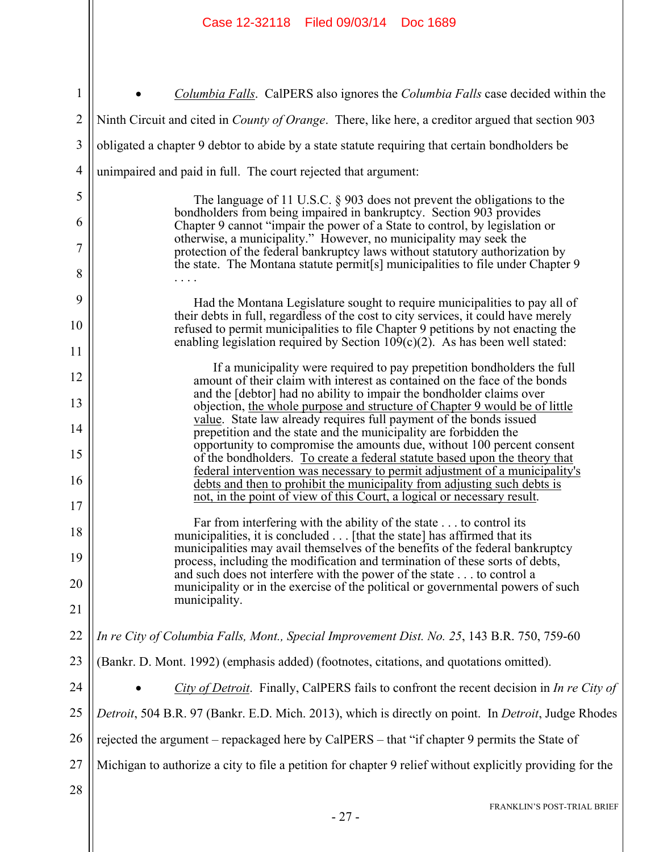|                | Case 12-32118 Filed 09/03/14 Doc 1689                                                                                                                                                                                            |
|----------------|----------------------------------------------------------------------------------------------------------------------------------------------------------------------------------------------------------------------------------|
|                |                                                                                                                                                                                                                                  |
| 1              | <i>Columbia Falls.</i> CalPERS also ignores the <i>Columbia Falls</i> case decided within the                                                                                                                                    |
| $\overline{2}$ | Ninth Circuit and cited in <i>County of Orange</i> . There, like here, a creditor argued that section 903                                                                                                                        |
| 3              | obligated a chapter 9 debtor to abide by a state statute requiring that certain bondholders be                                                                                                                                   |
| $\overline{4}$ | unimpaired and paid in full. The court rejected that argument:                                                                                                                                                                   |
| 5              |                                                                                                                                                                                                                                  |
| 6              | The language of 11 U.S.C. $\S$ 903 does not prevent the obligations to the<br>bondholders from being impaired in bankruptcy. Section 903 provides<br>Chapter 9 cannot "impair the power of a State to control, by legislation or |
| 7              | otherwise, a municipality." However, no municipality may seek the<br>protection of the federal bankruptcy laws without statutory authorization by                                                                                |
| 8              | the state. The Montana statute permit [s] municipalities to file under Chapter 9                                                                                                                                                 |
| 9              | Had the Montana Legislature sought to require municipalities to pay all of                                                                                                                                                       |
| 10             | their debts in full, regardless of the cost to city services, it could have merely<br>refused to permit municipalities to file Chapter 9 petitions by not enacting the                                                           |
| 11             | enabling legislation required by Section $109(c)(2)$ . As has been well stated:                                                                                                                                                  |
| 12             | If a municipality were required to pay prepetition bondholders the full<br>amount of their claim with interest as contained on the face of the bonds                                                                             |
| 13             | and the [debtor] had no ability to impair the bondholder claims over<br>objection, the whole purpose and structure of Chapter 9 would be of little                                                                               |
| 14             | value. State law already requires full payment of the bonds issued<br>prepetition and the state and the municipality are forbidden the<br>opportunity to compromise the amounts due, without 100 percent consent                 |
| 15             | of the bondholders. To create a federal statute based upon the theory that<br>federal intervention was necessary to permit adjustment of a municipality's                                                                        |
| 16             | debts and then to prohibit the municipality from adjusting such debts is<br>not, in the point of view of this Court, a logical or necessary result.                                                                              |
| $17$           |                                                                                                                                                                                                                                  |
| 18             | Far from interfering with the ability of the state to control its<br>municipalities, it is concluded [that the state] has affirmed that its<br>municipalities may avail themselves of the benefits of the federal bankruptcy     |
| 19<br>20       | process, including the modification and termination of these sorts of debts,<br>and such does not interfere with the power of the state to control a                                                                             |
| 21             | municipality or in the exercise of the political or governmental powers of such<br>municipality.                                                                                                                                 |
| 22             | In re City of Columbia Falls, Mont., Special Improvement Dist. No. 25, 143 B.R. 750, 759-60                                                                                                                                      |
| 23             | (Bankr. D. Mont. 1992) (emphasis added) (footnotes, citations, and quotations omitted).                                                                                                                                          |
| 24             | City of Detroit. Finally, CalPERS fails to confront the recent decision in In re City of                                                                                                                                         |
| 25             | Detroit, 504 B.R. 97 (Bankr. E.D. Mich. 2013), which is directly on point. In Detroit, Judge Rhodes                                                                                                                              |
| 26             | rejected the argument – repackaged here by CalPERS – that "if chapter 9 permits the State of                                                                                                                                     |
| 27             | Michigan to authorize a city to file a petition for chapter 9 relief without explicitly providing for the                                                                                                                        |
| 28             |                                                                                                                                                                                                                                  |
|                | FRANKLIN'S POST-TRIAL BRIEF                                                                                                                                                                                                      |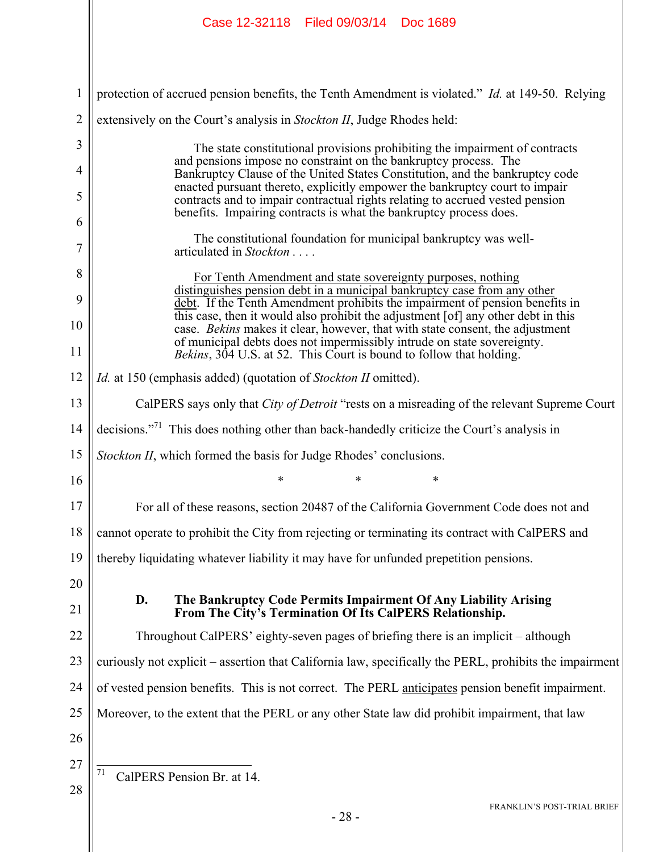|                | Case 12-32118 Filed 09/03/14 Doc 1689                                                                                                                             |
|----------------|-------------------------------------------------------------------------------------------------------------------------------------------------------------------|
|                |                                                                                                                                                                   |
| $\mathbf{1}$   | protection of accrued pension benefits, the Tenth Amendment is violated." <i>Id.</i> at 149-50. Relying                                                           |
| $\overline{2}$ | extensively on the Court's analysis in <i>Stockton II</i> , Judge Rhodes held:                                                                                    |
| 3              | The state constitutional provisions prohibiting the impairment of contracts                                                                                       |
| 4              | and pensions impose no constraint on the bankruptcy process. The<br>Bankruptcy Clause of the United States Constitution, and the bankruptcy code                  |
| 5              | enacted pursuant thereto, explicitly empower the bankruptcy court to impair<br>contracts and to impair contractual rights relating to accrued vested pension      |
| 6              | benefits. Impairing contracts is what the bankruptcy process does.                                                                                                |
| 7              | The constitutional foundation for municipal bankruptcy was well-<br>articulated in Stockton                                                                       |
| 8              | For Tenth Amendment and state sovereignty purposes, nothing<br>distinguishes pension debt in a municipal bankruptcy case from any other                           |
| 9              | debt. If the Tenth Amendment prohibits the impairment of pension benefits in<br>this case, then it would also prohibit the adjustment [of] any other debt in this |
| 10             | case. Bekins makes it clear, however, that with state consent, the adjustment<br>of municipal debts does not impermissibly intrude on state sovereignty.          |
| 11             | Bekins, 304 U.S. at 52. This Court is bound to follow that holding.                                                                                               |
| 12             | <i>Id.</i> at 150 (emphasis added) (quotation of <i>Stockton II</i> omitted).                                                                                     |
| 13             | CalPERS says only that <i>City of Detroit</i> "rests on a misreading of the relevant Supreme Court"                                                               |
| 14             | decisions." <sup>71</sup> This does nothing other than back-handedly criticize the Court's analysis in                                                            |
| 15             | Stockton II, which formed the basis for Judge Rhodes' conclusions.                                                                                                |
| 16             | *<br>∗                                                                                                                                                            |
| 17             | For all of these reasons, section 20487 of the California Government Code does not and                                                                            |
| 18             | cannot operate to prohibit the City from rejecting or terminating its contract with CalPERS and                                                                   |
| 19             | thereby liquidating whatever liability it may have for unfunded prepetition pensions.                                                                             |
| 20             | D.<br>The Bankruptcy Code Permits Impairment Of Any Liability Arising                                                                                             |
| 21             | From The City's Termination Of Its CalPERS Relationship.                                                                                                          |
| 22             | Throughout CalPERS' eighty-seven pages of briefing there is an implicit – although                                                                                |
| 23             | curiously not explicit – assertion that California law, specifically the PERL, prohibits the impairment                                                           |
| 24             | of vested pension benefits. This is not correct. The PERL anticipates pension benefit impairment.                                                                 |
| 25             | Moreover, to the extent that the PERL or any other State law did prohibit impairment, that law                                                                    |
| 26             |                                                                                                                                                                   |
| 27             | 71<br>CalPERS Pension Br. at 14.                                                                                                                                  |
| 28             | <b>FRANKLIN'S POST-TRIAL BRIEF</b>                                                                                                                                |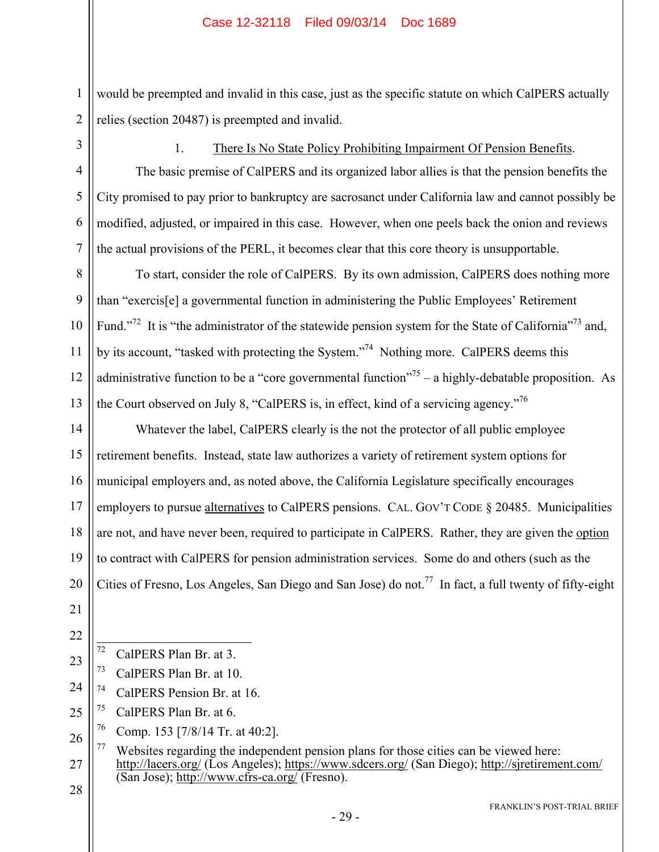would be preempted and invalid in this case, just as the specific statute on which CalPERS actually relies (section 20487) is preempted and invalid.

1

2

3

4

5

6

7

#### 1. There Is No State Policy Prohibiting Impairment Of Pension Benefits.

The basic premise of CalPERS and its organized labor allies is that the pension benefits the City promised to pay prior to bankruptcy are sacrosanct under California law and cannot possibly be modified, adjusted, or impaired in this case. However, when one peels back the onion and reviews the actual provisions of the PERL, it becomes clear that this core theory is unsupportable.

8 9 10 11 12 13 To start, consider the role of CalPERS. By its own admission, CalPERS does nothing more than "exercis[e] a governmental function in administering the Public Employees' Retirement Fund."<sup>72</sup> It is "the administrator of the statewide pension system for the State of California"<sup>73</sup> and, by its account, "tasked with protecting the System."<sup>74</sup> Nothing more. CalPERS deems this administrative function to be a "core governmental function"<sup>75</sup> – a highly-debatable proposition. As the Court observed on July 8, "CalPERS is, in effect, kind of a servicing agency."76

14 15 16 17 18 19 20 Whatever the label, CalPERS clearly is the not the protector of all public employee retirement benefits. Instead, state law authorizes a variety of retirement system options for municipal employers and, as noted above, the California Legislature specifically encourages employers to pursue alternatives to CalPERS pensions. CAL. GOV'T CODE § 20485. Municipalities are not, and have never been, required to participate in CalPERS. Rather, they are given the option to contract with CalPERS for pension administration services. Some do and others (such as the Cities of Fresno, Los Angeles, San Diego and San Jose) do not.<sup>77</sup> In fact, a full twenty of fifty-eight

- 21
- 22
- $72$ CalPERS Plan Br. at 3.
- 23 73 CalPERS Plan Br. at 10.
- 24 74 CalPERS Pension Br. at 16.
- 25  $75$  CalPERS Plan Br. at 6.
- 26 76 Comp. 153 [7/8/14 Tr. at 40:2].
- 27 28  $77$  Websites regarding the independent pension plans for those cities can be viewed here: http://lacers.org/ (Los Angeles); https://www.sdcers.org/ (San Diego); http://sjretirement.com/ (San Jose); http://www.cfrs-ca.org/ (Fresno).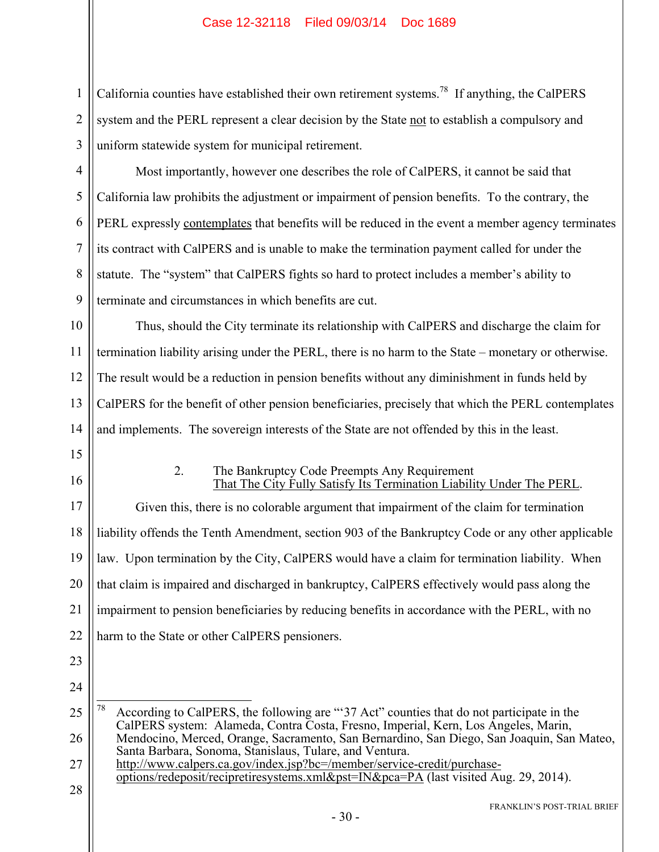1 2 3 California counties have established their own retirement systems.<sup>78</sup> If anything, the CalPERS system and the PERL represent a clear decision by the State not to establish a compulsory and uniform statewide system for municipal retirement.

4 5 6 7 8 9 Most importantly, however one describes the role of CalPERS, it cannot be said that California law prohibits the adjustment or impairment of pension benefits. To the contrary, the PERL expressly contemplates that benefits will be reduced in the event a member agency terminates its contract with CalPERS and is unable to make the termination payment called for under the statute. The "system" that CalPERS fights so hard to protect includes a member's ability to terminate and circumstances in which benefits are cut.

10 11 12 13 14 Thus, should the City terminate its relationship with CalPERS and discharge the claim for termination liability arising under the PERL, there is no harm to the State – monetary or otherwise. The result would be a reduction in pension benefits without any diminishment in funds held by CalPERS for the benefit of other pension beneficiaries, precisely that which the PERL contemplates and implements. The sovereign interests of the State are not offended by this in the least.

- 15
- 16

#### 2. The Bankruptcy Code Preempts Any Requirement That The City Fully Satisfy Its Termination Liability Under The PERL.

17 18 19 20 21 22 Given this, there is no colorable argument that impairment of the claim for termination liability offends the Tenth Amendment, section 903 of the Bankruptcy Code or any other applicable law. Upon termination by the City, CalPERS would have a claim for termination liability. When that claim is impaired and discharged in bankruptcy, CalPERS effectively would pass along the impairment to pension beneficiaries by reducing benefits in accordance with the PERL, with no harm to the State or other CalPERS pensioners.

- 23
- 24

25 26 78 According to CalPERS, the following are "'37 Act" counties that do not participate in the CalPERS system: Alameda, Contra Costa, Fresno, Imperial, Kern, Los Angeles, Marin, Mendocino, Merced, Orange, Sacramento, San Bernardino, San Diego, San Joaquin, San Mateo, Santa Barbara, Sonoma, Stanislaus, Tulare, and Ventura.

27 28 http://www.calpers.ca.gov/index.jsp?bc=/member/service-credit/purchaseoptions/redeposit/recipretiresystems.xml&pst=IN&pca=PA (last visited Aug. 29, 2014).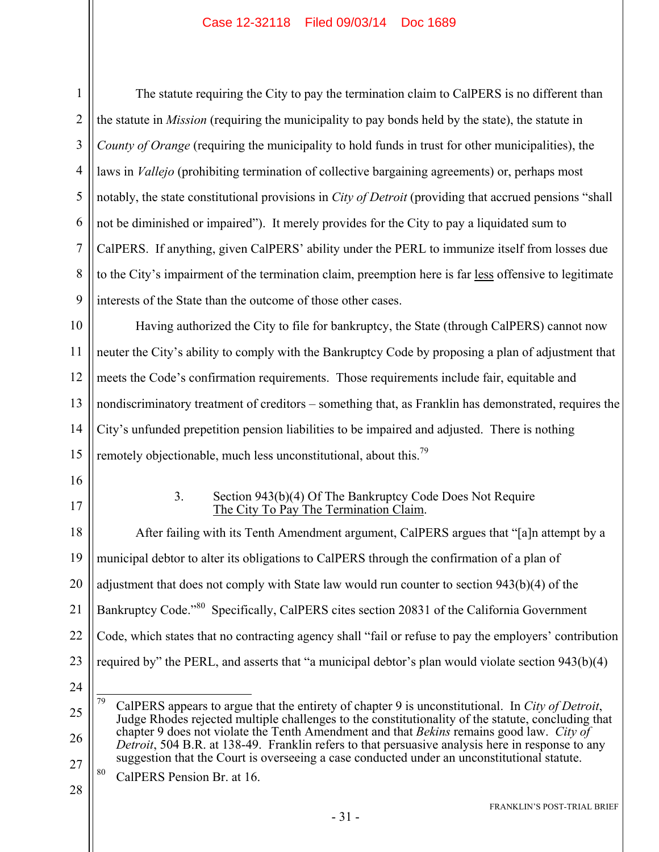1 2 3 4 5 6 7 8 9 The statute requiring the City to pay the termination claim to CalPERS is no different than the statute in *Mission* (requiring the municipality to pay bonds held by the state), the statute in *County of Orange* (requiring the municipality to hold funds in trust for other municipalities), the laws in *Vallejo* (prohibiting termination of collective bargaining agreements) or, perhaps most notably, the state constitutional provisions in *City of Detroit* (providing that accrued pensions "shall not be diminished or impaired"). It merely provides for the City to pay a liquidated sum to CalPERS. If anything, given CalPERS' ability under the PERL to immunize itself from losses due to the City's impairment of the termination claim, preemption here is far less offensive to legitimate interests of the State than the outcome of those other cases.

10 11 12 13 14 15 Having authorized the City to file for bankruptcy, the State (through CalPERS) cannot now neuter the City's ability to comply with the Bankruptcy Code by proposing a plan of adjustment that meets the Code's confirmation requirements. Those requirements include fair, equitable and nondiscriminatory treatment of creditors – something that, as Franklin has demonstrated, requires the City's unfunded prepetition pension liabilities to be impaired and adjusted. There is nothing remotely objectionable, much less unconstitutional, about this.<sup>79</sup>

- 16
- 17

#### 3. Section 943(b)(4) Of The Bankruptcy Code Does Not Require The City To Pay The Termination Claim.

18 19 20 21 22 23 After failing with its Tenth Amendment argument, CalPERS argues that "[a]n attempt by a municipal debtor to alter its obligations to CalPERS through the confirmation of a plan of adjustment that does not comply with State law would run counter to section 943(b)(4) of the Bankruptcy Code."<sup>80</sup> Specifically, CalPERS cites section 20831 of the California Government Code, which states that no contracting agency shall "fail or refuse to pay the employers' contribution required by" the PERL, and asserts that "a municipal debtor's plan would violate section 943(b)(4)

24

<sup>25</sup> 26 27 79 79 CalPERS appears to argue that the entirety of chapter 9 is unconstitutional. In *City of Detroit*, Judge Rhodes rejected multiple challenges to the constitutionality of the statute, concluding that chapter 9 does not violate the Tenth Amendment and that *Bekins* remains good law. *City of Detroit*, 504 B.R. at 138-49. Franklin refers to that persuasive analysis here in response to any suggestion that the Court is overseeing a case conducted under an unconstitutional statute.

<sup>80</sup> CalPERS Pension Br. at 16.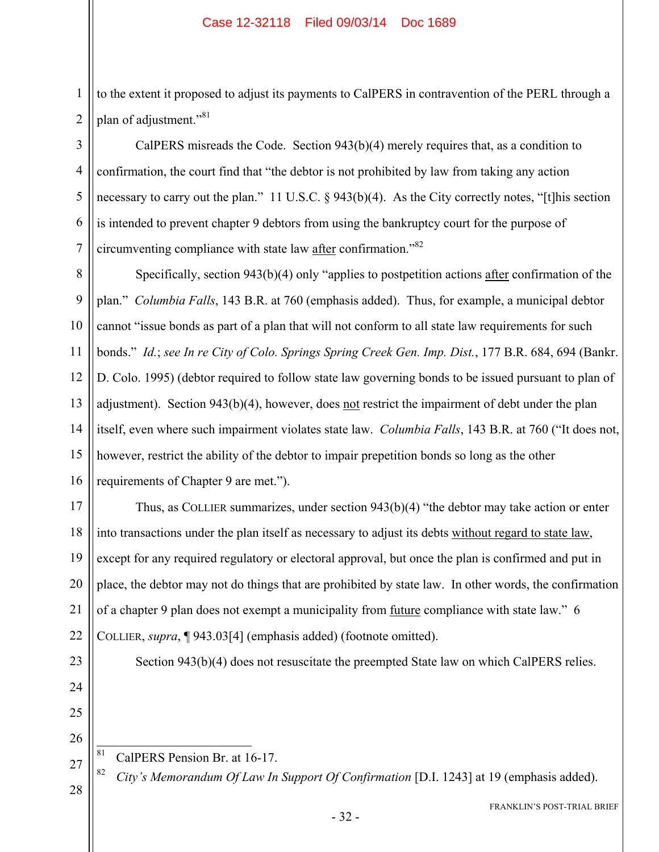1 2 to the extent it proposed to adjust its payments to CalPERS in contravention of the PERL through a plan of adjustment."<sup>81</sup>

3 4 5 6 7 CalPERS misreads the Code. Section 943(b)(4) merely requires that, as a condition to confirmation, the court find that "the debtor is not prohibited by law from taking any action necessary to carry out the plan." 11 U.S.C. § 943(b)(4). As the City correctly notes, "[t] his section is intended to prevent chapter 9 debtors from using the bankruptcy court for the purpose of circumventing compliance with state law after confirmation."<sup>82</sup>

8 9 10 11 12 13 14 15 16 Specifically, section 943(b)(4) only "applies to postpetition actions after confirmation of the plan." *Columbia Falls*, 143 B.R. at 760 (emphasis added). Thus, for example, a municipal debtor cannot "issue bonds as part of a plan that will not conform to all state law requirements for such bonds." *Id.*; *see In re City of Colo. Springs Spring Creek Gen. Imp. Dist.*, 177 B.R. 684, 694 (Bankr. D. Colo. 1995) (debtor required to follow state law governing bonds to be issued pursuant to plan of adjustment). Section 943(b)(4), however, does not restrict the impairment of debt under the plan itself, even where such impairment violates state law. *Columbia Falls*, 143 B.R. at 760 ("It does not, however, restrict the ability of the debtor to impair prepetition bonds so long as the other requirements of Chapter 9 are met.").

17 18 19 20 21 22 Thus, as COLLIER summarizes, under section 943(b)(4) "the debtor may take action or enter into transactions under the plan itself as necessary to adjust its debts without regard to state law, except for any required regulatory or electoral approval, but once the plan is confirmed and put in place, the debtor may not do things that are prohibited by state law. In other words, the confirmation of a chapter 9 plan does not exempt a municipality from future compliance with state law." 6 COLLIER, *supra*, ¶ 943.03[4] (emphasis added) (footnote omitted).

23

24

25

26

Section 943(b)(4) does not resuscitate the preempted State law on which CalPERS relies.

- 81
- 27 28

CalPERS Pension Br. at 16-17.

<sup>82</sup> *City's Memorandum Of Law In Support Of Confirmation* [D.I. 1243] at 19 (emphasis added).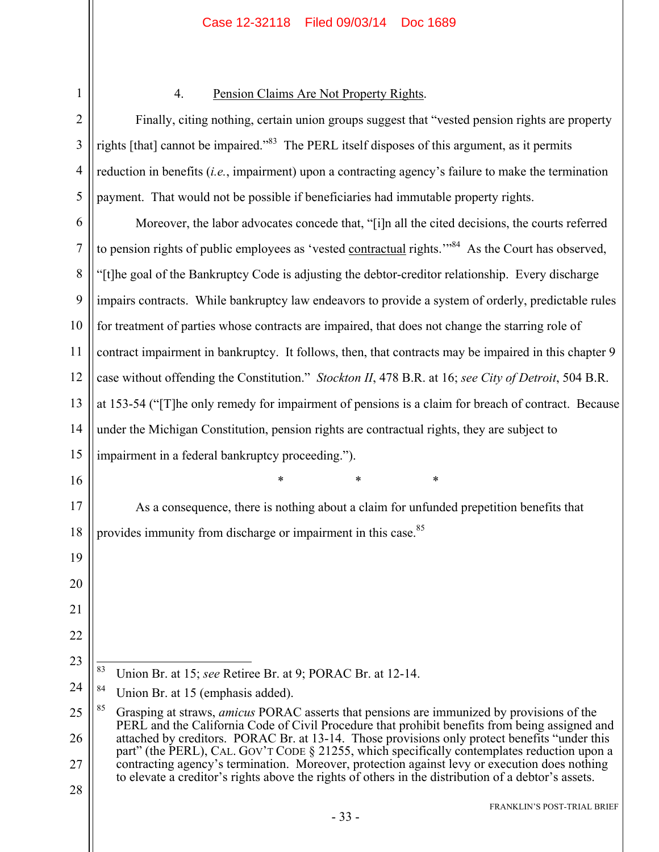| $\overline{2}$ |
|----------------|
| 3              |
| 4              |
| 5              |
| 6              |
| $\overline{7}$ |
| 8              |
| 9              |
| 10             |
| 11             |
| 12             |
| 13             |
| 14             |
| 15             |
| 16             |
| 17             |
| 18             |
| 19             |
| $20 \,$        |
| 21             |
| 22             |
| 23             |
| 24             |
| 25             |
| 26             |
| 27             |
| 2              |

1

#### 4. Pension Claims Are Not Property Rights.

Finally, citing nothing, certain union groups suggest that "vested pension rights are property rights [that] cannot be impaired."83 The PERL itself disposes of this argument, as it permits reduction in benefits (*i.e.*, impairment) upon a contracting agency's failure to make the termination payment. That would not be possible if beneficiaries had immutable property rights.

Moreover, the labor advocates concede that, "[i]n all the cited decisions, the courts referred to pension rights of public employees as 'vested contractual rights.'"<sup>84</sup> As the Court has observed, "[t]he goal of the Bankruptcy Code is adjusting the debtor-creditor relationship. Every discharge impairs contracts. While bankruptcy law endeavors to provide a system of orderly, predictable rules for treatment of parties whose contracts are impaired, that does not change the starring role of contract impairment in bankruptcy. It follows, then, that contracts may be impaired in this chapter 9 case without offending the Constitution." *Stockton II*, 478 B.R. at 16; *see City of Detroit*, 504 B.R. at 153-54 ("[T]he only remedy for impairment of pensions is a claim for breach of contract. Because under the Michigan Constitution, pension rights are contractual rights, they are subject to

impairment in a federal bankruptcy proceeding.").

\* \* \*

As a consequence, there is nothing about a claim for unfunded prepetition benefits that provides immunity from discharge or impairment in this case.<sup>85</sup>

<sup>83</sup> 83 Union Br. at 15; *see* Retiree Br. at 9; PORAC Br. at 12-14.

<sup>&</sup>lt;sup>84</sup> Union Br. at 15 (emphasis added).

<sup>85</sup> Grasping at straws, *amicus* PORAC asserts that pensions are immunized by provisions of the PERL and the California Code of Civil Procedure that prohibit benefits from being assigned and attached by creditors. PORAC Br. at 13-14. Those provisions only protect benefits "under this part" (the PERL), CAL. GOV'T CODE § 21255, which specifically contemplates reduction upon a contracting agency's termination. Moreover, protection against levy or execution does nothing to elevate a creditor's rights above the rights of others in the distribution of a debtor's assets.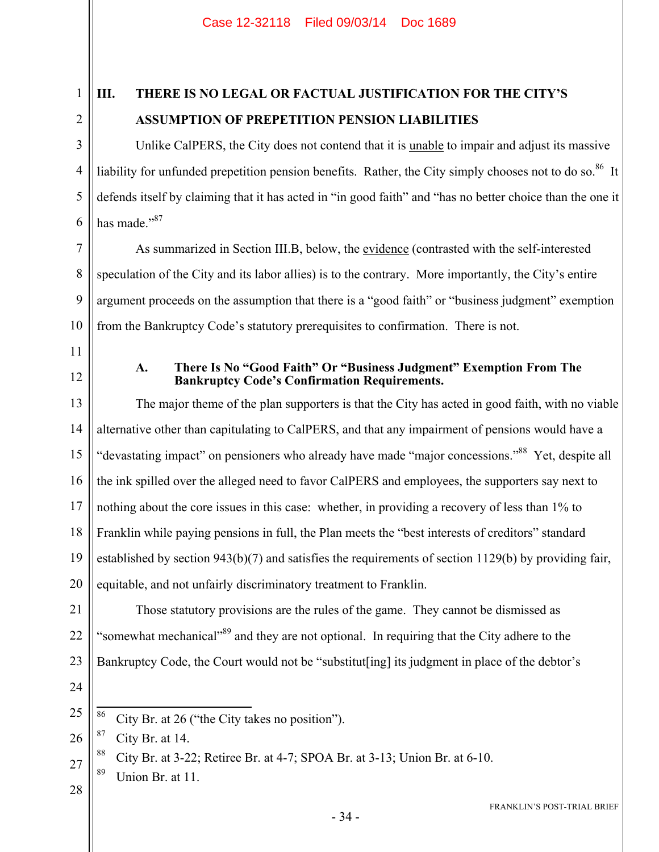1 2

3

4

5

6

7

8

9

# **III. THERE IS NO LEGAL OR FACTUAL JUSTIFICATION FOR THE CITY'S ASSUMPTION OF PREPETITION PENSION LIABILITIES**

Unlike CalPERS, the City does not contend that it is <u>unable</u> to impair and adjust its massive liability for unfunded prepetition pension benefits. Rather, the City simply chooses not to do so.<sup>86</sup> It defends itself by claiming that it has acted in "in good faith" and "has no better choice than the one it has made."87

As summarized in Section III.B, below, the evidence (contrasted with the self-interested speculation of the City and its labor allies) is to the contrary. More importantly, the City's entire argument proceeds on the assumption that there is a "good faith" or "business judgment" exemption from the Bankruptcy Code's statutory prerequisites to confirmation. There is not.

11

10

12

#### **A. There Is No "Good Faith" Or "Business Judgment" Exemption From The Bankruptcy Code's Confirmation Requirements.**

13 14 15 16 17 18 19 20 The major theme of the plan supporters is that the City has acted in good faith, with no viable alternative other than capitulating to CalPERS, and that any impairment of pensions would have a "devastating impact" on pensioners who already have made "major concessions."88 Yet, despite all the ink spilled over the alleged need to favor CalPERS and employees, the supporters say next to nothing about the core issues in this case: whether, in providing a recovery of less than 1% to Franklin while paying pensions in full, the Plan meets the "best interests of creditors" standard established by section 943(b)(7) and satisfies the requirements of section 1129(b) by providing fair, equitable, and not unfairly discriminatory treatment to Franklin.

21 22 23 Those statutory provisions are the rules of the game. They cannot be dismissed as "somewhat mechanical"<sup>89</sup> and they are not optional. In requiring that the City adhere to the Bankruptcy Code, the Court would not be "substitut[ing] its judgment in place of the debtor's

24

25

26  $87$  City Br. at 14.

<sup>88</sup> City Br. at 3-22; Retiree Br. at 4-7; SPOA Br. at 3-13; Union Br. at 6-10.

- 27  $89$  Union Br. at 11.
- 28

<sup>86</sup> City Br. at 26 ("the City takes no position").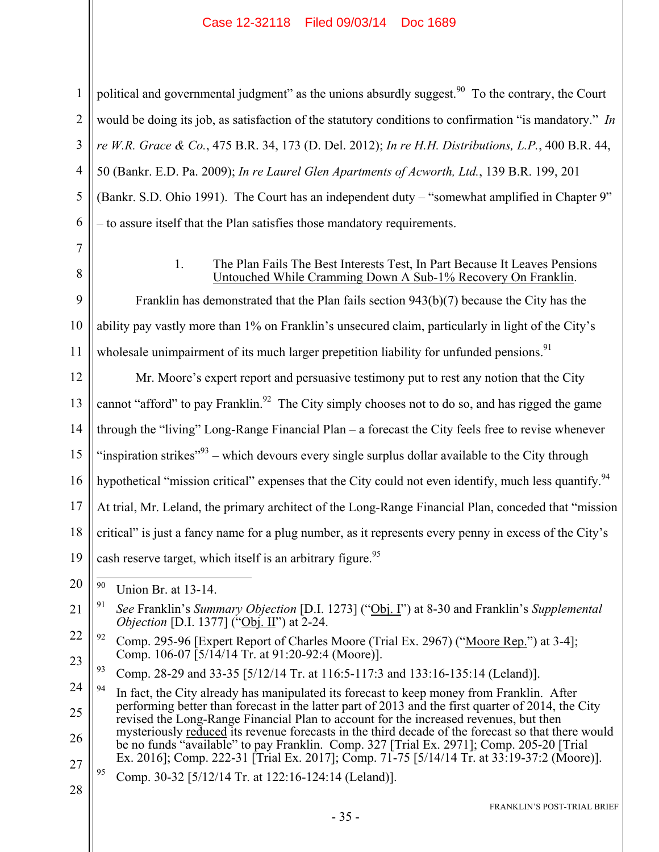political and governmental judgment" as the unions absurdly suggest.<sup>90</sup> To the contrary, the Court would be doing its job, as satisfaction of the statutory conditions to confirmation "is mandatory." *In re W.R. Grace & Co.*, 475 B.R. 34, 173 (D. Del. 2012); *In re H.H. Distributions, L.P.*, 400 B.R. 44, 50 (Bankr. E.D. Pa. 2009); *In re Laurel Glen Apartments of Acworth, Ltd.*, 139 B.R. 199, 201 (Bankr. S.D. Ohio 1991). The Court has an independent duty – "somewhat amplified in Chapter 9" – to assure itself that the Plan satisfies those mandatory requirements.

7 8

1

2

3

4

5

6

#### 1. The Plan Fails The Best Interests Test, In Part Because It Leaves Pensions Untouched While Cramming Down A Sub-1% Recovery On Franklin.

9 10 11 Franklin has demonstrated that the Plan fails section 943(b)(7) because the City has the ability pay vastly more than 1% on Franklin's unsecured claim, particularly in light of the City's wholesale unimpairment of its much larger prepetition liability for unfunded pensions.<sup>91</sup>

12 13 14 15 16 17 18 19 20 21 22 23 24 25 Mr. Moore's expert report and persuasive testimony put to rest any notion that the City cannot "afford" to pay Franklin.<sup>92</sup> The City simply chooses not to do so, and has rigged the game through the "living" Long-Range Financial Plan – a forecast the City feels free to revise whenever "inspiration strikes"<sup>93</sup> – which devours every single surplus dollar available to the City through hypothetical "mission critical" expenses that the City could not even identify, much less quantify.<sup>94</sup> At trial, Mr. Leland, the primary architect of the Long-Range Financial Plan, conceded that "mission critical" is just a fancy name for a plug number, as it represents every penny in excess of the City's cash reserve target, which itself is an arbitrary figure.<sup>95</sup> 90 Union Br. at 13-14. 91 *See* Franklin's *Summary Objection* [D.I. 1273] ("Obj. I") at 8-30 and Franklin's *Supplemental Objection* [D.I. 1377] ("Obj. II") at 2-24. <sup>92</sup> Comp. 295-96 [Expert Report of Charles Moore (Trial Ex. 2967) ("Moore Rep.") at 3-4]; Comp. 106-07 [5/14/14 Tr. at 91:20-92:4 (Moore)]. 93 Comp. 28-29 and 33-35 [5/12/14 Tr. at 116:5-117:3 and 133:16-135:14 (Leland)].  $94$  In fact, the City already has manipulated its forecast to keep money from Franklin. After performing better than forecast in the latter part of 2013 and the first quarter of 2014, the City

26 27 revised the Long-Range Financial Plan to account for the increased revenues, but then mysteriously reduced its revenue forecasts in the third decade of the forecast so that there would be no funds "available" to pay Franklin. Comp. 327 [Trial Ex. 2971]; Comp. 205-20 [Trial Ex. 2016]; Comp. 222-31 [Trial Ex. 2017]; Comp. 71-75 [5/14/14 Tr. at 33:19-37:2 (Moore)].

 $^{95}$  Comp. 30-32 [5/12/14 Tr. at 122:16-124:14 (Leland)].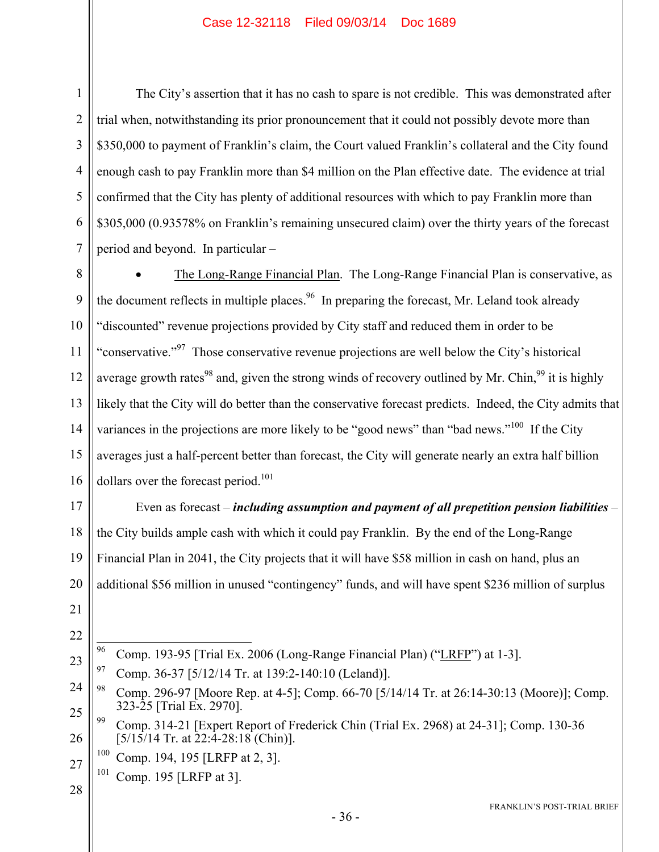The City's assertion that it has no cash to spare is not credible. This was demonstrated after trial when, notwithstanding its prior pronouncement that it could not possibly devote more than \$350,000 to payment of Franklin's claim, the Court valued Franklin's collateral and the City found enough cash to pay Franklin more than \$4 million on the Plan effective date. The evidence at trial confirmed that the City has plenty of additional resources with which to pay Franklin more than \$305,000 (0.93578% on Franklin's remaining unsecured claim) over the thirty years of the forecast period and beyond. In particular –

8 9 10 11 12 13 14 15 16 The Long-Range Financial Plan. The Long-Range Financial Plan is conservative, as the document reflects in multiple places.<sup>96</sup> In preparing the forecast, Mr. Leland took already "discounted" revenue projections provided by City staff and reduced them in order to be "conservative."<sup>97</sup> Those conservative revenue projections are well below the City's historical average growth rates<sup>98</sup> and, given the strong winds of recovery outlined by Mr. Chin,  $99$  it is highly likely that the City will do better than the conservative forecast predicts. Indeed, the City admits that variances in the projections are more likely to be "good news" than "bad news."<sup>100</sup> If the City averages just a half-percent better than forecast, the City will generate nearly an extra half billion dollars over the forecast period.<sup>101</sup>

17 18 19 20 Even as forecast – *including assumption and payment of all prepetition pension liabilities* – the City builds ample cash with which it could pay Franklin. By the end of the Long-Range Financial Plan in 2041, the City projects that it will have \$58 million in cash on hand, plus an additional \$56 million in unused "contingency" funds, and will have spent \$236 million of surplus

21

1

2

3

4

5

6

7

- 22
- 96 96 Comp. 193-95 [Trial Ex. 2006 (Long-Range Financial Plan) ("LRFP") at 1-3].
- 23  $^{97}$  Comp. 36-37 [5/12/14 Tr. at 139:2-140:10 (Leland)].
- 24 25 98 Comp. 296-97 [Moore Rep. at 4-5]; Comp. 66-70 [5/14/14 Tr. at 26:14-30:13 (Moore)]; Comp. 323-25 [Trial Ex. 2970].
- 26 99 Comp. 314-21 [Expert Report of Frederick Chin (Trial Ex. 2968) at 24-31]; Comp. 130-36  $[5/15/14$  Tr. at  $22:4-28:18$  (Chin)].
	- 100 Comp. 194, 195 [LRFP at 2, 3].
- 27 101 Comp. 195 [LRFP at 3].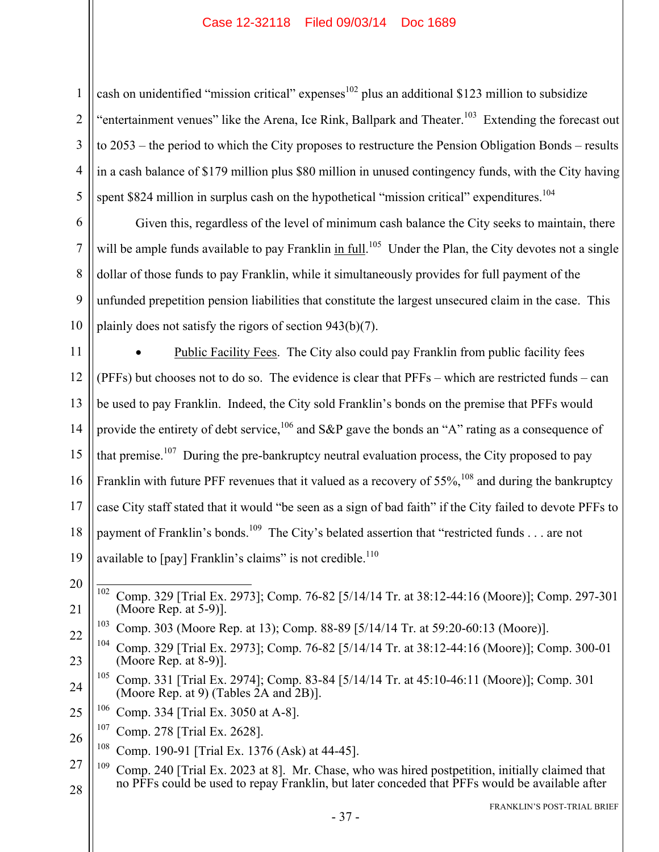cash on unidentified "mission critical" expenses $102$  plus an additional \$123 million to subsidize "entertainment venues" like the Arena, Ice Rink, Ballpark and Theater.<sup>103</sup> Extending the forecast out to 2053 – the period to which the City proposes to restructure the Pension Obligation Bonds – results in a cash balance of \$179 million plus \$80 million in unused contingency funds, with the City having spent \$824 million in surplus cash on the hypothetical "mission critical" expenditures.<sup>104</sup>

Given this, regardless of the level of minimum cash balance the City seeks to maintain, there will be ample funds available to pay Franklin in full.<sup>105</sup> Under the Plan, the City devotes not a single dollar of those funds to pay Franklin, while it simultaneously provides for full payment of the unfunded prepetition pension liabilities that constitute the largest unsecured claim in the case. This plainly does not satisfy the rigors of section 943(b)(7).

11 12 13 14 15 16 17 18 19 Public Facility Fees. The City also could pay Franklin from public facility fees (PFFs) but chooses not to do so. The evidence is clear that PFFs – which are restricted funds – can be used to pay Franklin. Indeed, the City sold Franklin's bonds on the premise that PFFs would provide the entirety of debt service,  $106$  and S&P gave the bonds an "A" rating as a consequence of that premise.<sup>107</sup> During the pre-bankruptcy neutral evaluation process, the City proposed to pay Franklin with future PFF revenues that it valued as a recovery of  $55\%$ ,  $^{108}$  and during the bankruptcy case City staff stated that it would "be seen as a sign of bad faith" if the City failed to devote PFFs to payment of Franklin's bonds.<sup>109</sup> The City's belated assertion that "restricted funds . . . are not available to  $\lceil$  pay  $\rceil$  Franklin's claims" is not credible.<sup>110</sup>

20

21

1

2

3

4

5

6

7

8

9

10

 $102\,$ 102 Comp. 329 [Trial Ex. 2973]; Comp. 76-82 [5/14/14 Tr. at 38:12-44:16 (Moore)]; Comp. 297-301 (Moore Rep. at 5-9)].

- 24 105 Comp. 331 [Trial Ex. 2974]; Comp. 83-84 [5/14/14 Tr. at 45:10-46:11 (Moore)]; Comp. 301 (Moore Rep. at 9) (Tables 2A and 2B)].
- 25 106 Comp. 334 [Trial Ex. 3050 at A-8].
- 26 107 Comp. 278 [Trial Ex. 2628].
	- 108 Comp. 190-91 [Trial Ex. 1376 (Ask) at 44-45].
- 27 28 <sup>109</sup> Comp. 240 [Trial Ex. 2023 at 8]. Mr. Chase, who was hired postpetition, initially claimed that no PFFs could be used to repay Franklin, but later conceded that PFFs would be available after

<sup>22</sup> 103 Comp. 303 (Moore Rep. at 13); Comp. 88-89 [5/14/14 Tr. at 59:20-60:13 (Moore)].

<sup>23</sup> 104 Comp. 329 [Trial Ex. 2973]; Comp. 76-82 [5/14/14 Tr. at 38:12-44:16 (Moore)]; Comp. 300-01 (Moore Rep. at 8-9)].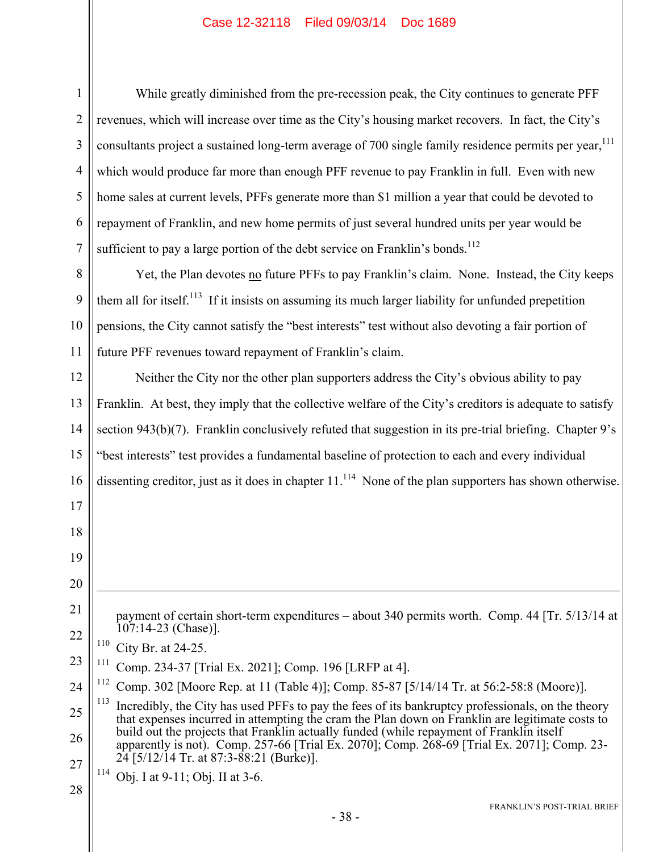1 2 3 4 5 6 7 8 9 10 11 12 13 14 15 16 17 18 19 20 21 22 23 24 25 26 27 28 FRANKLIN'S POST-TRIAL BRIEF While greatly diminished from the pre-recession peak, the City continues to generate PFF revenues, which will increase over time as the City's housing market recovers. In fact, the City's consultants project a sustained long-term average of 700 single family residence permits per year,<sup>111</sup> which would produce far more than enough PFF revenue to pay Franklin in full. Even with new home sales at current levels, PFFs generate more than \$1 million a year that could be devoted to repayment of Franklin, and new home permits of just several hundred units per year would be sufficient to pay a large portion of the debt service on Franklin's bonds.<sup>112</sup> Yet, the Plan devotes no future PFFs to pay Franklin's claim. None. Instead, the City keeps them all for itself.<sup>113</sup> If it insists on assuming its much larger liability for unfunded prepetition pensions, the City cannot satisfy the "best interests" test without also devoting a fair portion of future PFF revenues toward repayment of Franklin's claim. Neither the City nor the other plan supporters address the City's obvious ability to pay Franklin. At best, they imply that the collective welfare of the City's creditors is adequate to satisfy section 943(b)(7). Franklin conclusively refuted that suggestion in its pre-trial briefing. Chapter 9's "best interests" test provides a fundamental baseline of protection to each and every individual dissenting creditor, just as it does in chapter  $11$ .<sup>114</sup> None of the plan supporters has shown otherwise.  $\overline{a}$ payment of certain short-term expenditures – about 340 permits worth. Comp. 44 [Tr. 5/13/14 at 107:14-23 (Chase)].  $110$  City Br. at 24-25. 111 Comp. 234-37 [Trial Ex. 2021]; Comp. 196 [LRFP at 4]. Comp. 302 [Moore Rep. at 11 (Table 4)]; Comp. 85-87 [5/14/14 Tr. at 56:2-58:8 (Moore)]. <sup>113</sup> Incredibly, the City has used PFFs to pay the fees of its bankruptcy professionals, on the theory that expenses incurred in attempting the cram the Plan down on Franklin are legitimate costs to build out the projects that Franklin actually funded (while repayment of Franklin itself apparently is not). Comp. 257-66 [Trial Ex. 2070]; Comp. 268-69 [Trial Ex. 2071]; Comp. 23-  $24$  [5/12/14 Tr. at 87:3-88:21 (Burke)]. 114 Obj. I at 9-11; Obj. II at 3-6.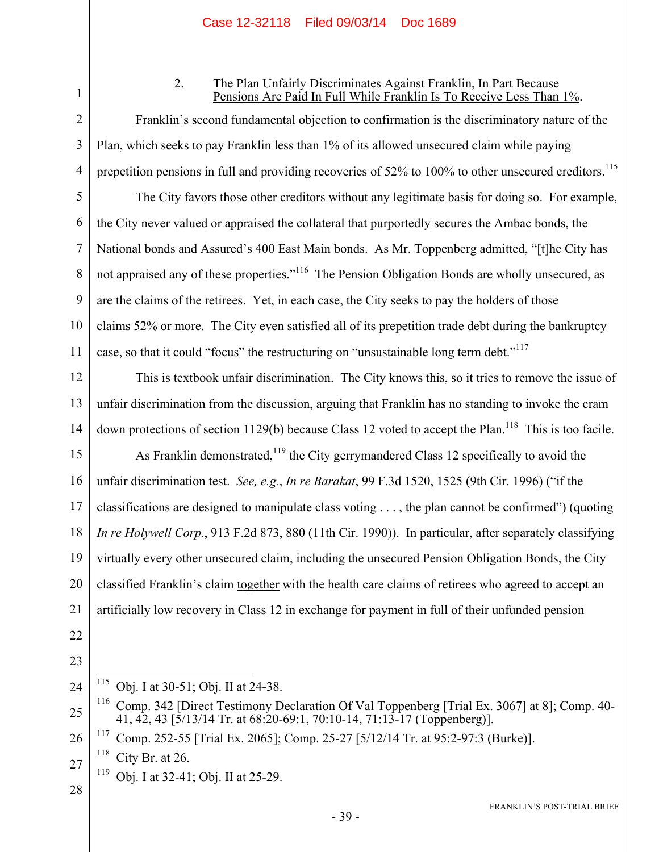2

1

3

4

5

6

7

8

9

10

11

#### 2. The Plan Unfairly Discriminates Against Franklin, In Part Because Pensions Are Paid In Full While Franklin Is To Receive Less Than 1%.

Franklin's second fundamental objection to confirmation is the discriminatory nature of the Plan, which seeks to pay Franklin less than 1% of its allowed unsecured claim while paying prepetition pensions in full and providing recoveries of 52% to 100% to other unsecured creditors.<sup>115</sup>

The City favors those other creditors without any legitimate basis for doing so. For example, the City never valued or appraised the collateral that purportedly secures the Ambac bonds, the National bonds and Assured's 400 East Main bonds. As Mr. Toppenberg admitted, "[t]he City has not appraised any of these properties."<sup>116</sup> The Pension Obligation Bonds are wholly unsecured, as are the claims of the retirees. Yet, in each case, the City seeks to pay the holders of those claims 52% or more. The City even satisfied all of its prepetition trade debt during the bankruptcy case, so that it could "focus" the restructuring on "unsustainable long term debt."<sup>117</sup>

12 13 14 This is textbook unfair discrimination. The City knows this, so it tries to remove the issue of unfair discrimination from the discussion, arguing that Franklin has no standing to invoke the cram down protections of section 1129(b) because Class 12 voted to accept the Plan.<sup>118</sup> This is too facile.

15 16 17 18 19 20 21 As Franklin demonstrated,<sup>119</sup> the City gerrymandered Class 12 specifically to avoid the unfair discrimination test. *See, e.g.*, *In re Barakat*, 99 F.3d 1520, 1525 (9th Cir. 1996) ("if the classifications are designed to manipulate class voting . . . , the plan cannot be confirmed") (quoting *In re Holywell Corp.*, 913 F.2d 873, 880 (11th Cir. 1990)). In particular, after separately classifying virtually every other unsecured claim, including the unsecured Pension Obligation Bonds, the City classified Franklin's claim together with the health care claims of retirees who agreed to accept an artificially low recovery in Class 12 in exchange for payment in full of their unfunded pension

- 22
- 23 24

27 119 Obj. I at 32-41; Obj. II at 25-29.

 $\overline{a}$ <sup>115</sup> Obj. I at 30-51; Obj. II at 24-38.

<sup>25</sup> 116 Comp. 342 [Direct Testimony Declaration Of Val Toppenberg [Trial Ex. 3067] at 8]; Comp. 40- 41, 42, 43 [5/13/14 Tr. at 68:20-69:1, 70:10-14, 71:13-17 (Toppenberg)].

<sup>26</sup> 117 Comp. 252-55 [Trial Ex. 2065]; Comp. 25-27 [5/12/14 Tr. at 95:2-97:3 (Burke)].

 $118$  City Br. at 26.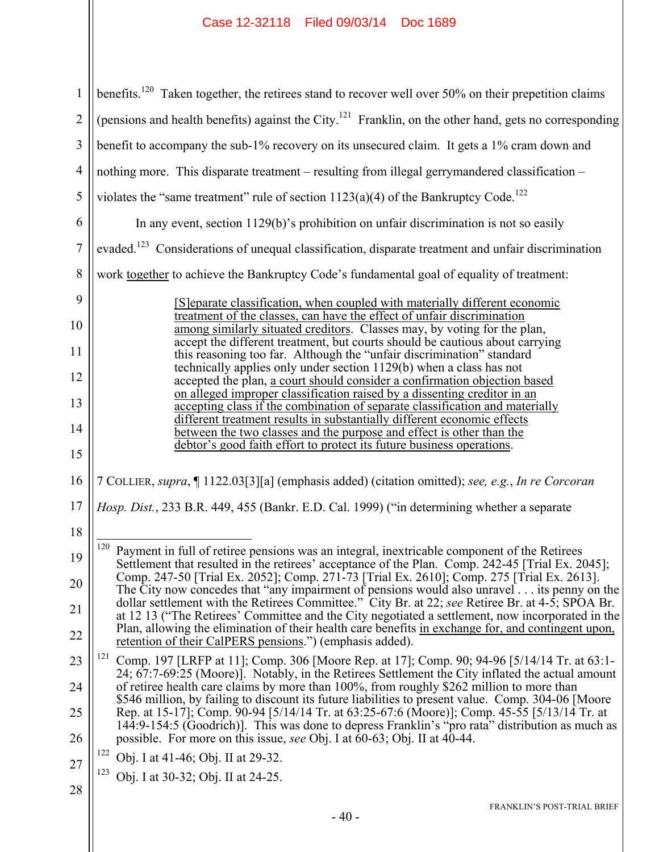| $\mathbf{1}$   | benefits. <sup>120</sup> Taken together, the retirees stand to recover well over 50% on their prepetition claims                                                                                                                                                                                                                                                                           |  |
|----------------|--------------------------------------------------------------------------------------------------------------------------------------------------------------------------------------------------------------------------------------------------------------------------------------------------------------------------------------------------------------------------------------------|--|
| $\overline{2}$ | (pensions and health benefits) against the City. <sup>121</sup> Franklin, on the other hand, gets no corresponding                                                                                                                                                                                                                                                                         |  |
| 3              | benefit to accompany the sub-1% recovery on its unsecured claim. It gets a 1% cram down and                                                                                                                                                                                                                                                                                                |  |
| $\overline{4}$ | nothing more. This disparate treatment – resulting from illegal gerrymandered classification –                                                                                                                                                                                                                                                                                             |  |
| 5              | violates the "same treatment" rule of section $1123(a)(4)$ of the Bankruptcy Code. <sup>122</sup>                                                                                                                                                                                                                                                                                          |  |
| 6              | In any event, section $1129(b)$ 's prohibition on unfair discrimination is not so easily                                                                                                                                                                                                                                                                                                   |  |
| 7              | evaded. <sup>123</sup> Considerations of unequal classification, disparate treatment and unfair discrimination                                                                                                                                                                                                                                                                             |  |
| 8              | work together to achieve the Bankruptcy Code's fundamental goal of equality of treatment:                                                                                                                                                                                                                                                                                                  |  |
| 9<br>10<br>11  | [S] eparate classification, when coupled with materially different economic<br>treatment of the classes, can have the effect of unfair discrimination<br>among similarly situated creditors. Classes may, by voting for the plan,<br>accept the different treatment, but courts should be cautious about carrying<br>this reasoning too far. Although the "unfair discrimination" standard |  |
| 12             | technically applies only under section 1129(b) when a class has not                                                                                                                                                                                                                                                                                                                        |  |
| 13             | accepted the plan, a court should consider a confirmation objection based<br>on alleged improper classification raised by a dissenting creditor in an                                                                                                                                                                                                                                      |  |
| 14             | accepting class if the combination of separate classification and materially<br>different treatment results in substantially different economic effects<br>between the two classes and the purpose and effect is other than the                                                                                                                                                            |  |
| 15             | debtor's good faith effort to protect its future business operations.                                                                                                                                                                                                                                                                                                                      |  |
| 16             | 7 COLLIER, supra, [1122.03[3][a] (emphasis added) (citation omitted); see, e.g., In re Corcoran                                                                                                                                                                                                                                                                                            |  |
| 17             | Hosp. Dist., 233 B.R. 449, 455 (Bankr. E.D. Cal. 1999) ("in determining whether a separate                                                                                                                                                                                                                                                                                                 |  |
| 18             |                                                                                                                                                                                                                                                                                                                                                                                            |  |
| 19             | <sup>120</sup> Payment in full of retiree pensions was an integral, inextricable component of the Retirees<br>Settlement that resulted in the retirees' acceptance of the Plan. Comp. 242-45 [Trial Ex. 2045];                                                                                                                                                                             |  |
| 20             | Comp. 247-50 [Trial Ex. 2052]; Comp. 271-73 [Trial Ex. 2610]; Comp. 275 [Trial Ex. 2613].<br>The City now concedes that "any impairment of pensions would also unravel its penny on the                                                                                                                                                                                                    |  |
| 21             | dollar settlement with the Retirees Committee." City Br. at 22; see Retiree Br. at 4-5; SPOA Br.<br>at 12 13 ("The Retirees' Committee and the City negotiated a settlement, now incorporated in the                                                                                                                                                                                       |  |
| 22             | Plan, allowing the elimination of their health care benefits in exchange for, and contingent upon,<br>retention of their CalPERS pensions.") (emphasis added).                                                                                                                                                                                                                             |  |
| 23             | 121<br>Comp. 197 [LRFP at 11]; Comp. 306 [Moore Rep. at 17]; Comp. 90; 94-96 [5/14/14 Tr. at 63:1-                                                                                                                                                                                                                                                                                         |  |
| 24             | 24; 67:7-69:25 (Moore)]. Notably, in the Retirees Settlement the City inflated the actual amount<br>of retiree health care claims by more than 100%, from roughly \$262 million to more than                                                                                                                                                                                               |  |
| 25             | \$546 million, by failing to discount its future liabilities to present value. Comp. 304-06 [Moore<br>Rep. at 15-17]; Comp. 90-94 [5/14/14 Tr. at 63:25-67:6 (Moore)]; Comp. 45-55 [5/13/14 Tr. at                                                                                                                                                                                         |  |
| 26             | 144:9-154:5 (Goodrich)]. This was done to depress Franklin's "pro rata" distribution as much as<br>possible. For more on this issue, see Obj. I at 60-63; Obj. II at 40-44.                                                                                                                                                                                                                |  |
| 27             | 122<br>Obj. I at 41-46; Obj. II at 29-32.                                                                                                                                                                                                                                                                                                                                                  |  |
|                | 123<br>Obj. I at 30-32; Obj. II at 24-25.                                                                                                                                                                                                                                                                                                                                                  |  |
| 28             | FRANKLIN'S POST-TRIAL BRIEF                                                                                                                                                                                                                                                                                                                                                                |  |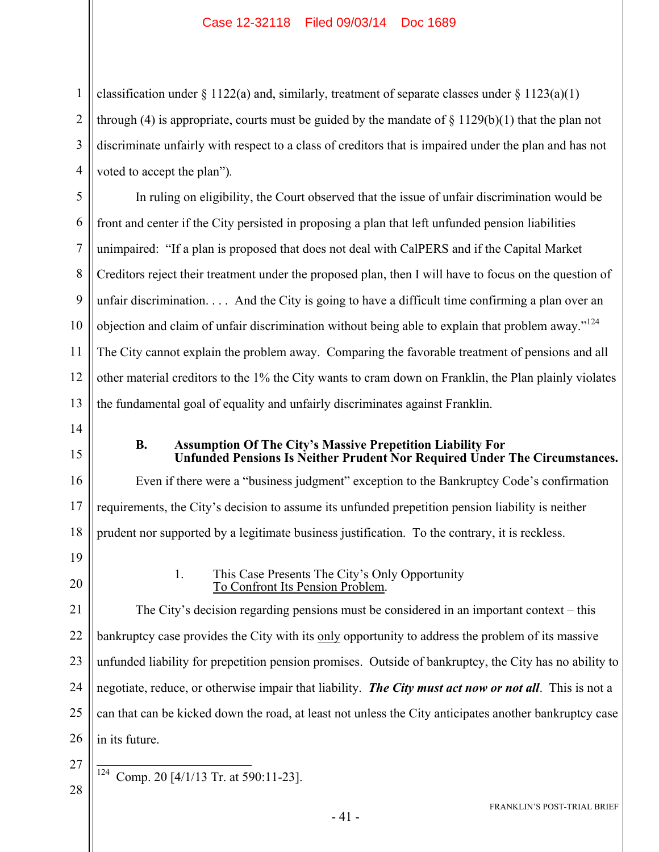1 2 3 4 classification under  $\S 1122(a)$  and, similarly, treatment of separate classes under  $\S 1123(a)(1)$ through (4) is appropriate, courts must be guided by the mandate of  $\S 1129(b)(1)$  that the plan not discriminate unfairly with respect to a class of creditors that is impaired under the plan and has not voted to accept the plan")*.*

5 6 7 8 9 10 11 12 13 In ruling on eligibility, the Court observed that the issue of unfair discrimination would be front and center if the City persisted in proposing a plan that left unfunded pension liabilities unimpaired: "If a plan is proposed that does not deal with CalPERS and if the Capital Market Creditors reject their treatment under the proposed plan, then I will have to focus on the question of unfair discrimination. . . . And the City is going to have a difficult time confirming a plan over an objection and claim of unfair discrimination without being able to explain that problem away."124 The City cannot explain the problem away. Comparing the favorable treatment of pensions and all other material creditors to the 1% the City wants to cram down on Franklin, the Plan plainly violates the fundamental goal of equality and unfairly discriminates against Franklin.

- 14
- 15

#### **B. Assumption Of The City's Massive Prepetition Liability For Unfunded Pensions Is Neither Prudent Nor Required Under The Circumstances.**

16 17 18 Even if there were a "business judgment" exception to the Bankruptcy Code's confirmation requirements, the City's decision to assume its unfunded prepetition pension liability is neither prudent nor supported by a legitimate business justification. To the contrary, it is reckless.

19 20

1. This Case Presents The City's Only Opportunity To Confront Its Pension Problem.

21 22 23 24 25 26 The City's decision regarding pensions must be considered in an important context – this bankruptcy case provides the City with its only opportunity to address the problem of its massive unfunded liability for prepetition pension promises. Outside of bankruptcy, the City has no ability to negotiate, reduce, or otherwise impair that liability. *The City must act now or not all*. This is not a can that can be kicked down the road, at least not unless the City anticipates another bankruptcy case in its future.

27 28

124 Comp. 20 [4/1/13 Tr. at 590:11-23].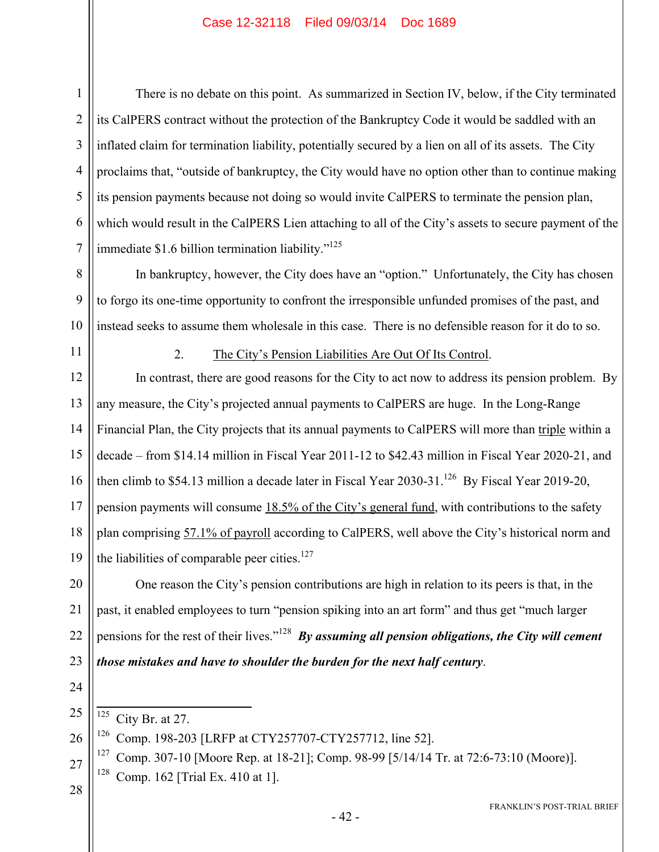1

There is no debate on this point. As summarized in Section IV, below, if the City terminated its CalPERS contract without the protection of the Bankruptcy Code it would be saddled with an inflated claim for termination liability, potentially secured by a lien on all of its assets. The City proclaims that, "outside of bankruptcy, the City would have no option other than to continue making its pension payments because not doing so would invite CalPERS to terminate the pension plan, which would result in the CalPERS Lien attaching to all of the City's assets to secure payment of the immediate \$1.6 billion termination liability."<sup>125</sup>

8 9 10 In bankruptcy, however, the City does have an "option." Unfortunately, the City has chosen to forgo its one-time opportunity to confront the irresponsible unfunded promises of the past, and instead seeks to assume them wholesale in this case. There is no defensible reason for it do to so.

11

2. The City's Pension Liabilities Are Out Of Its Control.

12 13 14 15 16 17 18 19 In contrast, there are good reasons for the City to act now to address its pension problem. By any measure, the City's projected annual payments to CalPERS are huge. In the Long-Range Financial Plan, the City projects that its annual payments to CalPERS will more than triple within a decade – from \$14.14 million in Fiscal Year 2011-12 to \$42.43 million in Fiscal Year 2020-21, and then climb to \$54.13 million a decade later in Fiscal Year 2030-31.<sup>126</sup> By Fiscal Year 2019-20, pension payments will consume 18.5% of the City's general fund, with contributions to the safety plan comprising 57.1% of payroll according to CalPERS, well above the City's historical norm and the liabilities of comparable peer cities. $127$ 

20 21 22 23 One reason the City's pension contributions are high in relation to its peers is that, in the past, it enabled employees to turn "pension spiking into an art form" and thus get "much larger pensions for the rest of their lives."128 *By assuming all pension obligations, the City will cement those mistakes and have to shoulder the burden for the next half century*.

24

25 125 City Br. at 27.

26 126 Comp. 198-203 [LRFP at CTY257707-CTY257712, line 52].

27 127 Comp. 307-10 [Moore Rep. at 18-21]; Comp. 98-99 [5/14/14 Tr. at 72:6-73:10 (Moore)]. <sup>128</sup> Comp. 162 [Trial Ex. 410 at 1].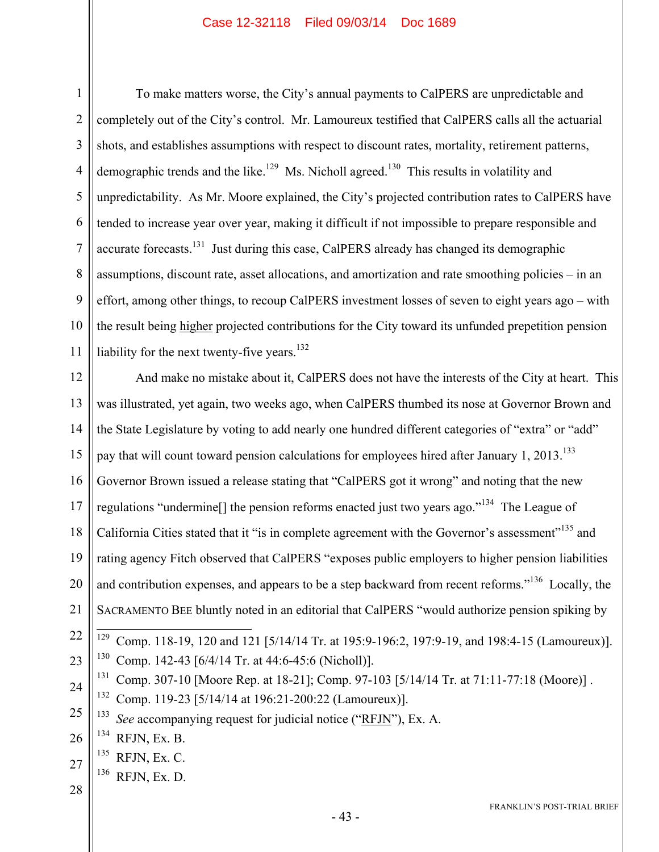1 2 3 4 5 6 7 8 9 10 11 To make matters worse, the City's annual payments to CalPERS are unpredictable and completely out of the City's control. Mr. Lamoureux testified that CalPERS calls all the actuarial shots, and establishes assumptions with respect to discount rates, mortality, retirement patterns, demographic trends and the like.<sup>129</sup> Ms. Nicholl agreed.<sup>130</sup> This results in volatility and unpredictability. As Mr. Moore explained, the City's projected contribution rates to CalPERS have tended to increase year over year, making it difficult if not impossible to prepare responsible and accurate forecasts.<sup>131</sup> Just during this case, CalPERS already has changed its demographic assumptions, discount rate, asset allocations, and amortization and rate smoothing policies – in an effort, among other things, to recoup CalPERS investment losses of seven to eight years ago – with the result being higher projected contributions for the City toward its unfunded prepetition pension liability for the next twenty-five years. $132$ 

12 13 14 15 16 17 18 19 20 21 22 23 24 25 And make no mistake about it, CalPERS does not have the interests of the City at heart. This was illustrated, yet again, two weeks ago, when CalPERS thumbed its nose at Governor Brown and the State Legislature by voting to add nearly one hundred different categories of "extra" or "add" pay that will count toward pension calculations for employees hired after January 1, 2013.<sup>133</sup> Governor Brown issued a release stating that "CalPERS got it wrong" and noting that the new regulations "undermine[] the pension reforms enacted just two years ago."134 The League of California Cities stated that it "is in complete agreement with the Governor's assessment"<sup>135</sup> and rating agency Fitch observed that CalPERS "exposes public employers to higher pension liabilities and contribution expenses, and appears to be a step backward from recent reforms."<sup>136</sup> Locally, the SACRAMENTO BEE bluntly noted in an editorial that CalPERS "would authorize pension spiking by 129 129 Comp. 118-19, 120 and 121 [5/14/14 Tr. at 195:9-196:2, 197:9-19, and 198:4-15 (Lamoureux)]. 130 Comp. 142-43 [6/4/14 Tr. at 44:6-45:6 (Nicholl)]. <sup>131</sup> Comp. 307-10 [Moore Rep. at 18-21]; Comp. 97-103 [5/14/14 Tr. at 71:11-77:18 (Moore)]. 132 Comp. 119-23 [5/14/14 at 196:21-200:22 (Lamoureux)]. 133 *See* accompanying request for judicial notice ("RFJN"), Ex. A.

26  $134$  RFJN, Ex. B.

27 135 RFJN, Ex. C.

 $136$  RFJN, Ex. D.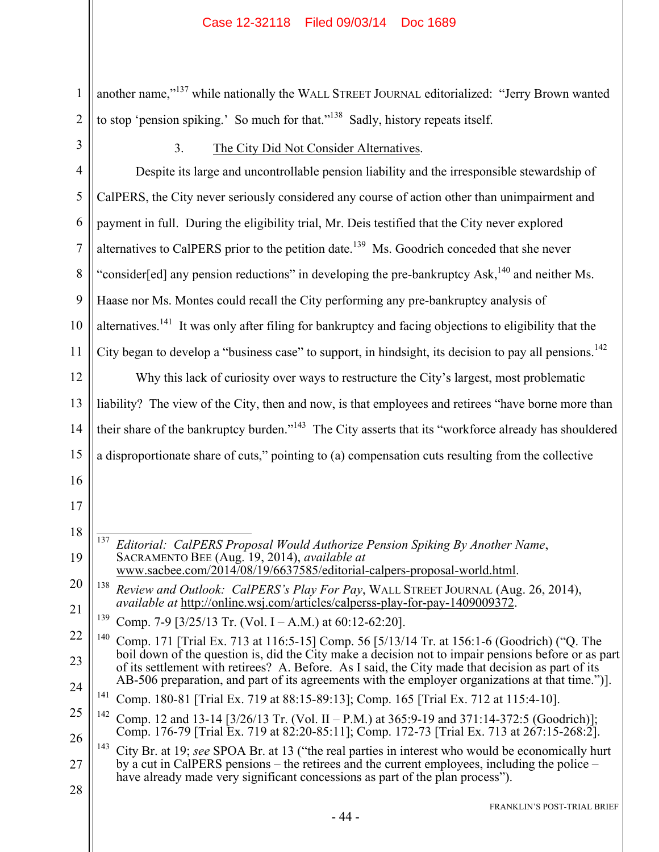1 2 another name,"<sup>137</sup> while nationally the WALL STREET JOURNAL editorialized: "Jerry Brown wanted to stop 'pension spiking.' So much for that."<sup>138</sup> Sadly, history repeats itself.

3

## 3. The City Did Not Consider Alternatives.

| $\overline{4}$ | Despite its large and uncontrollable pension liability and the irresponsible stewardship of                                                                                                              |
|----------------|----------------------------------------------------------------------------------------------------------------------------------------------------------------------------------------------------------|
| 5              | CalPERS, the City never seriously considered any course of action other than unimpairment and                                                                                                            |
| 6              | payment in full. During the eligibility trial, Mr. Deis testified that the City never explored                                                                                                           |
| 7              | alternatives to CalPERS prior to the petition date. <sup>139</sup> Ms. Goodrich conceded that she never                                                                                                  |
| 8              | "consider[ed] any pension reductions" in developing the pre-bankruptcy Ask, $^{140}$ and neither Ms.                                                                                                     |
| 9              | Haase nor Ms. Montes could recall the City performing any pre-bankruptcy analysis of                                                                                                                     |
| 10             | alternatives. <sup>141</sup> It was only after filing for bankruptcy and facing objections to eligibility that the                                                                                       |
| 11             | City began to develop a "business case" to support, in hindsight, its decision to pay all pensions. <sup>142</sup>                                                                                       |
| 12             | Why this lack of curiosity over ways to restructure the City's largest, most problematic                                                                                                                 |
| 13             | liability? The view of the City, then and now, is that employees and retirees "have borne more than                                                                                                      |
| 14             | their share of the bankruptcy burden." <sup>143</sup> The City asserts that its "workforce already has shouldered                                                                                        |
| 15             | a disproportionate share of cuts," pointing to (a) compensation cuts resulting from the collective                                                                                                       |
| 16             |                                                                                                                                                                                                          |
| 17             |                                                                                                                                                                                                          |
| 18             | 137<br>Editorial: CalPERS Proposal Would Authorize Pension Spiking By Another Name,                                                                                                                      |
| 19             | SACRAMENTO BEE (Aug. 19, 2014), available at<br>www.sacbee.com/2014/08/19/6637585/editorial-calpers-proposal-world.html.                                                                                 |
| 20             | 138<br>Review and Outlook: CalPERS's Play For Pay, WALL STREET JOURNAL (Aug. 26, 2014),                                                                                                                  |
| 21             | <i>available at http://online.wsj.com/articles/calperss-play-for-pay-1409009372.</i><br>139<br>Comp. 7-9 [3/25/13 Tr. (Vol. I – A.M.) at 60:12-62:20].                                                   |
| 22             | <sup>140</sup> Comp. 171 [Trial Ex. 713 at 116:5-15] Comp. 56 [5/13/14 Tr. at 156:1-6 (Goodrich) ("Q. The                                                                                                |
| 23             | boil down of the question is, did the City make a decision not to impair pensions before or as part<br>of its settlement with retirees? A. Before. As I said, the City made that decision as part of its |
| 24             | AB-506 preparation, and part of its agreements with the employer organizations at that time.").<br><sup>141</sup> Comp. 180-81 [Trial Ex. 719 at 88:15-89:13]; Comp. 165 [Trial Ex. 712 at 115:4-10].    |
| 25             | 142<br>Comp. 12 and 13-14 [3/26/13 Tr. (Vol. II – P.M.) at 365:9-19 and 371:14-372:5 (Goodrich)];                                                                                                        |
| 26             | Comp. 176-79 [Trial Ex. 719 at 82:20-85:11]; Comp. 172-73 [Trial Ex. 713 at 267:15-268:2].<br>143<br>City Br. at 19; see SPOA Br. at 13 ("the real parties in interest who would be economically hurt    |
| 27             | by a cut in CalPERS pensions – the retirees and the current employees, including the police –<br>have already made very significant concessions as part of the plan process").                           |
| 28             |                                                                                                                                                                                                          |
|                | FRANKLIN'S POST-TRIAL BRIEF<br>- 44 -                                                                                                                                                                    |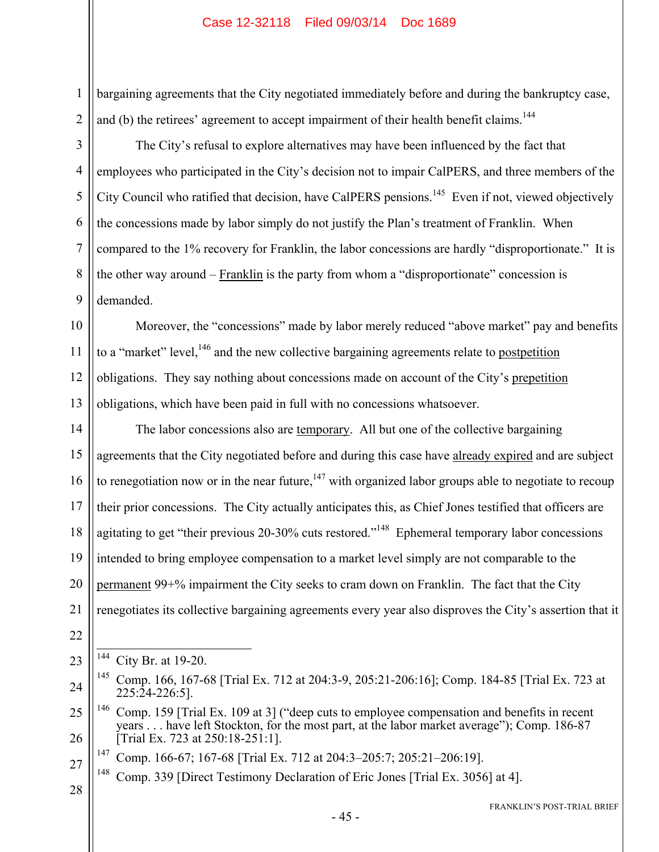bargaining agreements that the City negotiated immediately before and during the bankruptcy case, and (b) the retirees' agreement to accept impairment of their health benefit claims.<sup>144</sup>

The City's refusal to explore alternatives may have been influenced by the fact that employees who participated in the City's decision not to impair CalPERS, and three members of the City Council who ratified that decision, have CalPERS pensions.<sup>145</sup> Even if not, viewed objectively the concessions made by labor simply do not justify the Plan's treatment of Franklin. When compared to the 1% recovery for Franklin, the labor concessions are hardly "disproportionate." It is the other way around – Franklin is the party from whom a "disproportionate" concession is demanded.

10 12 13 Moreover, the "concessions" made by labor merely reduced "above market" pay and benefits to a "market" level,<sup>146</sup> and the new collective bargaining agreements relate to postpetition obligations. They say nothing about concessions made on account of the City's prepetition obligations, which have been paid in full with no concessions whatsoever.

14 15 16 17 18 19 20 21 The labor concessions also are temporary. All but one of the collective bargaining agreements that the City negotiated before and during this case have already expired and are subject to renegotiation now or in the near future,  $147$  with organized labor groups able to negotiate to recoup their prior concessions. The City actually anticipates this, as Chief Jones testified that officers are agitating to get "their previous 20-30% cuts restored."<sup>148</sup> Ephemeral temporary labor concessions intended to bring employee compensation to a market level simply are not comparable to the permanent 99+% impairment the City seeks to cram down on Franklin. The fact that the City renegotiates its collective bargaining agreements every year also disproves the City's assertion that it

22

23

1

2

3

4

5

6

7

8

9

11

 $\overline{a}$ <sup>144</sup> City Br. at 19-20.

<sup>24</sup> 145 Comp. 166, 167-68 [Trial Ex. 712 at 204:3-9, 205:21-206:16]; Comp. 184-85 [Trial Ex. 723 at 225:24-226:5].

<sup>25</sup> 26 <sup>146</sup> Comp. 159 [Trial Ex. 109 at 3] ("deep cuts to employee compensation and benefits in recent years . . . have left Stockton, for the most part, at the labor market average"); Comp. 186-87 [Trial Ex. 723 at 250:18-251:1].

<sup>27</sup> 147 Comp. 166-67; 167-68 [Trial Ex. 712 at 204:3–205:7; 205:21–206:19].

<sup>&</sup>lt;sup>148</sup> Comp. 339 [Direct Testimony Declaration of Eric Jones [Trial Ex. 3056] at 4].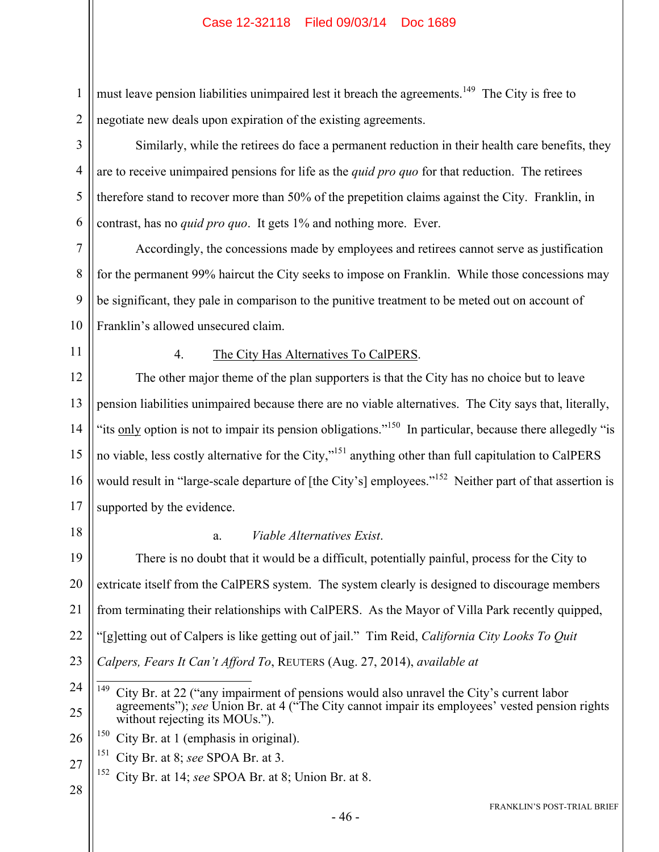must leave pension liabilities unimpaired lest it breach the agreements.<sup>149</sup> The City is free to negotiate new deals upon expiration of the existing agreements.

Similarly, while the retirees do face a permanent reduction in their health care benefits, they are to receive unimpaired pensions for life as the *quid pro quo* for that reduction. The retirees therefore stand to recover more than 50% of the prepetition claims against the City. Franklin, in contrast, has no *quid pro quo*. It gets 1% and nothing more. Ever.

7 8 9 10 Accordingly, the concessions made by employees and retirees cannot serve as justification for the permanent 99% haircut the City seeks to impose on Franklin. While those concessions may be significant, they pale in comparison to the punitive treatment to be meted out on account of Franklin's allowed unsecured claim.

11

1

2

3

4

5

6

#### 4. The City Has Alternatives To CalPERS.

12 13 14 15 16 17 The other major theme of the plan supporters is that the City has no choice but to leave pension liabilities unimpaired because there are no viable alternatives. The City says that, literally, "its only option is not to impair its pension obligations."<sup>150</sup> In particular, because there allegedly "is no viable, less costly alternative for the City,"<sup>151</sup> anything other than full capitulation to CalPERS would result in "large-scale departure of [the City's] employees."<sup>152</sup> Neither part of that assertion is supported by the evidence.

18

#### a. *Viable Alternatives Exist*.

19 20 21 22 23 There is no doubt that it would be a difficult, potentially painful, process for the City to extricate itself from the CalPERS system. The system clearly is designed to discourage members from terminating their relationships with CalPERS. As the Mayor of Villa Park recently quipped, "[g]etting out of Calpers is like getting out of jail." Tim Reid, *California City Looks To Quit Calpers, Fears It Can't Afford To*, REUTERS (Aug. 27, 2014), *available at*

26  $150$  City Br. at 1 (emphasis in original).

- 27 151 City Br. at 8; *see* SPOA Br. at 3.
	- 152 City Br. at 14; *see* SPOA Br. at 8; Union Br. at 8.
- 28

<sup>24</sup> 25 149 149 City Br. at 22 ("any impairment of pensions would also unravel the City's current labor agreements"); *see* Union Br. at 4 ("The City cannot impair its employees' vested pension rights without rejecting its MOUs.").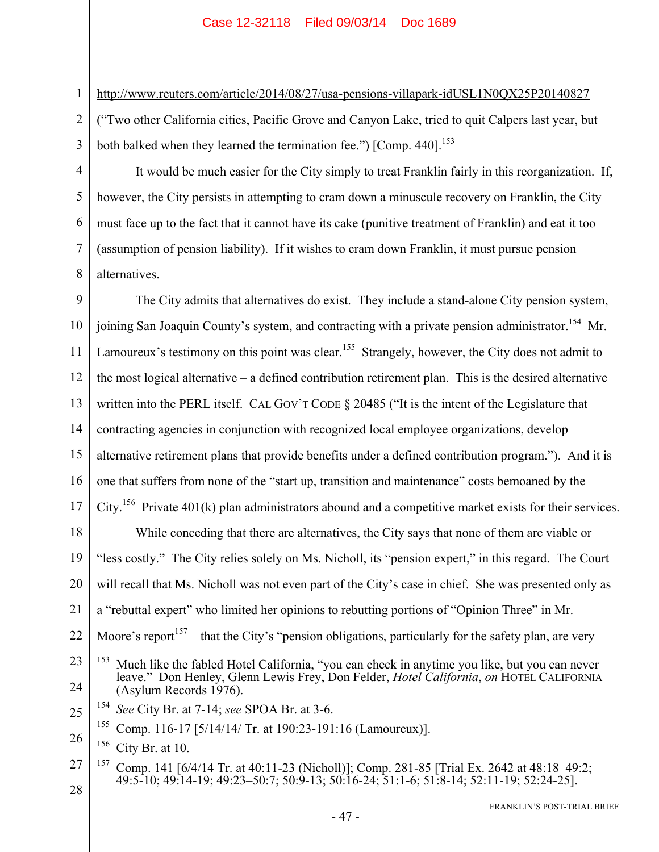http://www.reuters.com/article/2014/08/27/usa-pensions-villapark-idUSL1N0QX25P20140827 ("Two other California cities, Pacific Grove and Canyon Lake, tried to quit Calpers last year, but both balked when they learned the termination fee.") [Comp.  $440$ ].<sup>153</sup>

It would be much easier for the City simply to treat Franklin fairly in this reorganization. If, however, the City persists in attempting to cram down a minuscule recovery on Franklin, the City must face up to the fact that it cannot have its cake (punitive treatment of Franklin) and eat it too (assumption of pension liability). If it wishes to cram down Franklin, it must pursue pension alternatives.

9 10 11 12 13 14 15 16 17 18 19 20 21 22 23 24 25 26 27 The City admits that alternatives do exist. They include a stand-alone City pension system, joining San Joaquin County's system, and contracting with a private pension administrator.<sup>154</sup> Mr. Lamoureux's testimony on this point was clear.<sup>155</sup> Strangely, however, the City does not admit to the most logical alternative – a defined contribution retirement plan. This is the desired alternative written into the PERL itself. CAL GOV'T CODE § 20485 ("It is the intent of the Legislature that contracting agencies in conjunction with recognized local employee organizations, develop alternative retirement plans that provide benefits under a defined contribution program."). And it is one that suffers from none of the "start up, transition and maintenance" costs bemoaned by the City.<sup>156</sup> Private 401(k) plan administrators abound and a competitive market exists for their services. While conceding that there are alternatives, the City says that none of them are viable or "less costly." The City relies solely on Ms. Nicholl, its "pension expert," in this regard. The Court will recall that Ms. Nicholl was not even part of the City's case in chief. She was presented only as a "rebuttal expert" who limited her opinions to rebutting portions of "Opinion Three" in Mr. Moore's report<sup>157</sup> – that the City's "pension obligations, particularly for the safety plan, are very 153 Much like the fabled Hotel California, "you can check in anytime you like, but you can never leave." Don Henley, Glenn Lewis Frey, Don Felder, *Hotel California*, *on* HOTEL CALIFORNIA (Asylum Records 1976). 154 *See* City Br. at 7-14; *see* SPOA Br. at 3-6. <sup>155</sup> Comp. 116-17 [5/14/14/ Tr. at 190:23-191:16 (Lamoureux)].  $156$  City Br. at 10. 157 Comp. 141 [6/4/14 Tr. at 40:11-23 (Nicholl)]; Comp. 281-85 [Trial Ex. 2642 at 48:18–49:2; 49:5-10; 49:14-19; 49:23–50:7; 50:9-13; 50:16-24; 51:1-6; 51:8-14; 52:11-19; 52:24-25].

28

1

2

3

4

5

6

7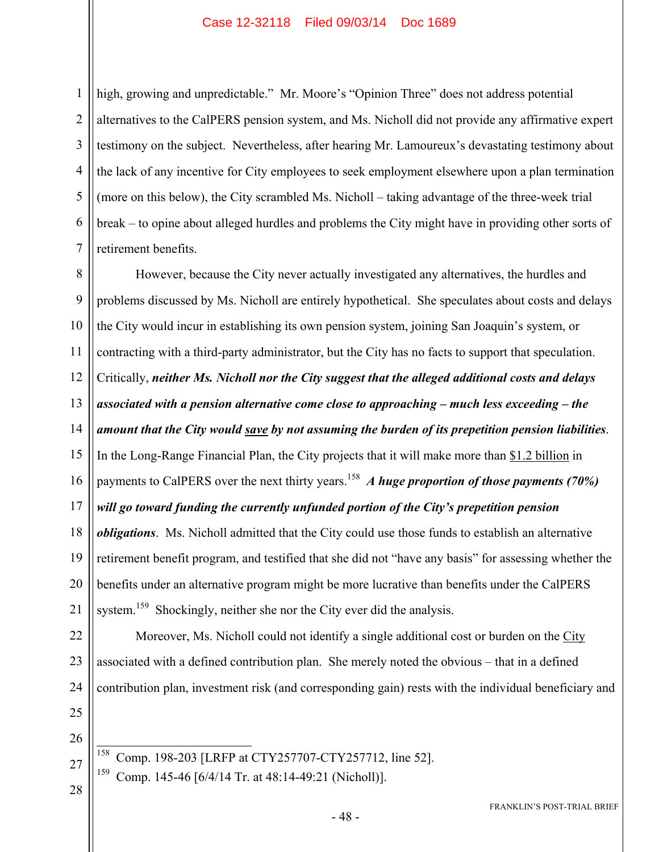1 2 3 4 5 6 7 high, growing and unpredictable." Mr. Moore's "Opinion Three" does not address potential alternatives to the CalPERS pension system, and Ms. Nicholl did not provide any affirmative expert testimony on the subject. Nevertheless, after hearing Mr. Lamoureux's devastating testimony about the lack of any incentive for City employees to seek employment elsewhere upon a plan termination (more on this below), the City scrambled Ms. Nicholl – taking advantage of the three-week trial break – to opine about alleged hurdles and problems the City might have in providing other sorts of retirement benefits.

8 9 10 11 12 13 14 15 16 17 18 19 20 21 However, because the City never actually investigated any alternatives, the hurdles and problems discussed by Ms. Nicholl are entirely hypothetical. She speculates about costs and delays the City would incur in establishing its own pension system, joining San Joaquin's system, or contracting with a third-party administrator, but the City has no facts to support that speculation. Critically, *neither Ms. Nicholl nor the City suggest that the alleged additional costs and delays associated with a pension alternative come close to approaching – much less exceeding – the amount that the City would save by not assuming the burden of its prepetition pension liabilities*. In the Long-Range Financial Plan, the City projects that it will make more than \$1.2 billion in payments to CalPERS over the next thirty years.<sup>158</sup> *A huge proportion of those payments (70%) will go toward funding the currently unfunded portion of the City's prepetition pension obligations*. Ms. Nicholl admitted that the City could use those funds to establish an alternative retirement benefit program, and testified that she did not "have any basis" for assessing whether the benefits under an alternative program might be more lucrative than benefits under the CalPERS system.<sup>159</sup> Shockingly, neither she nor the City ever did the analysis.

22 23 24 Moreover, Ms. Nicholl could not identify a single additional cost or burden on the City associated with a defined contribution plan. She merely noted the obvious – that in a defined contribution plan, investment risk (and corresponding gain) rests with the individual beneficiary and

- 25 26
- 158 Comp. 198-203 [LRFP at CTY257707-CTY257712, line 52].
- 159 Comp. 145-46 [6/4/14 Tr. at 48:14-49:21 (Nicholl)].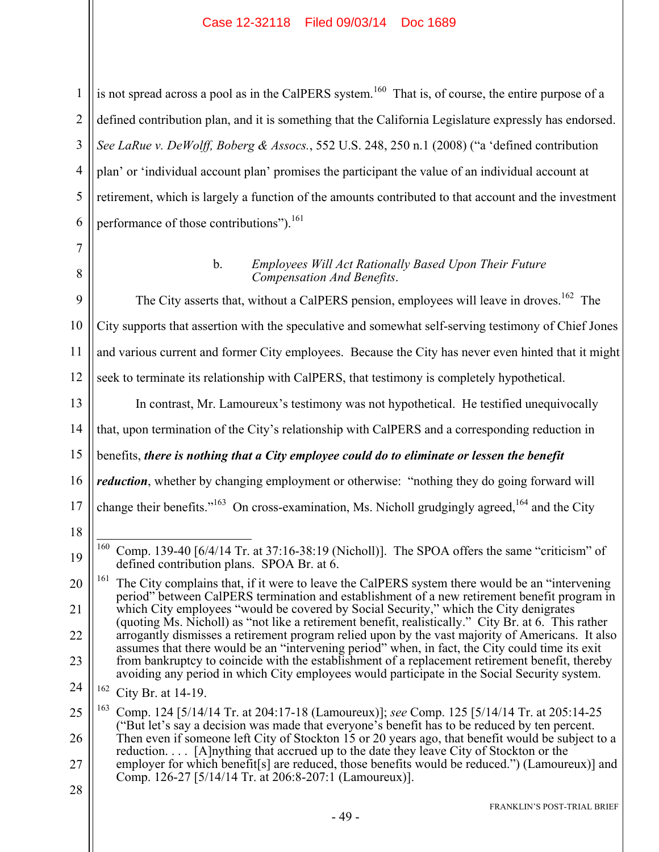2 3 4 5 6 is not spread across a pool as in the CalPERS system.<sup>160</sup> That is, of course, the entire purpose of a defined contribution plan, and it is something that the California Legislature expressly has endorsed. *See LaRue v. DeWolff, Boberg & Assocs.*, 552 U.S. 248, 250 n.1 (2008) ("a 'defined contribution plan' or 'individual account plan' promises the participant the value of an individual account at retirement, which is largely a function of the amounts contributed to that account and the investment performance of those contributions").<sup>161</sup>

7

1

#### b. *Employees Will Act Rationally Based Upon Their Future Compensation And Benefits*.

9 10 11 12 The City asserts that, without a CalPERS pension, employees will leave in droves.<sup>162</sup> The City supports that assertion with the speculative and somewhat self-serving testimony of Chief Jones and various current and former City employees. Because the City has never even hinted that it might seek to terminate its relationship with CalPERS, that testimony is completely hypothetical.

In contrast, Mr. Lamoureux's testimony was not hypothetical. He testified unequivocally

14 that, upon termination of the City's relationship with CalPERS and a corresponding reduction in

15 benefits, *there is nothing that a City employee could do to eliminate or lessen the benefit* 

16 *reduction*, whether by changing employment or otherwise: "nothing they do going forward will

- 17 change their benefits."<sup>163</sup> On cross-examination, Ms. Nicholl grudgingly agreed,<sup>164</sup> and the City
- 18

13

24 162 City Br. at 14-19.

<sup>8</sup>

<sup>19</sup> 160 160 Comp. 139-40 [6/4/14 Tr. at 37:16-38:19 (Nicholl)]. The SPOA offers the same "criticism" of defined contribution plans. SPOA Br. at 6.

<sup>20</sup> 21 22 23 The City complains that, if it were to leave the CalPERS system there would be an "intervening" period" between CalPERS termination and establishment of a new retirement benefit program in which City employees "would be covered by Social Security," which the City denigrates (quoting Ms. Nicholl) as "not like a retirement benefit, realistically." City Br. at 6. This rather arrogantly dismisses a retirement program relied upon by the vast majority of Americans. It also assumes that there would be an "intervening period" when, in fact, the City could time its exit from bankruptcy to coincide with the establishment of a replacement retirement benefit, thereby avoiding any period in which City employees would participate in the Social Security system.

<sup>25</sup> 26 27 163 Comp. 124 [5/14/14 Tr. at 204:17-18 (Lamoureux)]; *see* Comp. 125 [5/14/14 Tr. at 205:14-25 ("But let's say a decision was made that everyone's benefit has to be reduced by ten percent. Then even if someone left City of Stockton 15 or 20 years ago, that benefit would be subject to a reduction. . . . [A]nything that accrued up to the date they leave City of Stockton or the employer for which benefit[s] are reduced, those benefits would be reduced.") (Lamoureux)] and Comp. 126-27 [5/14/14 Tr. at 206:8-207:1 (Lamoureux)].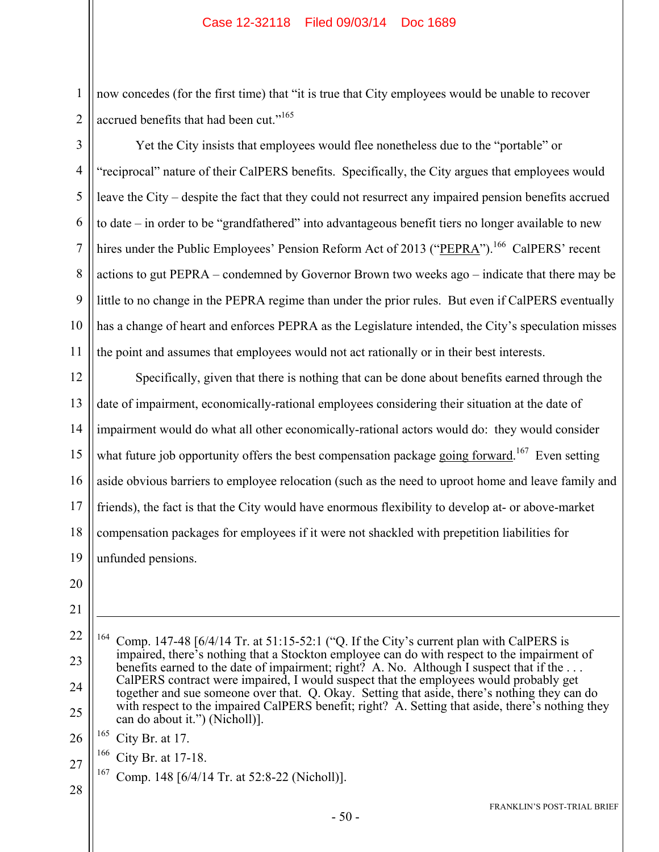now concedes (for the first time) that "it is true that City employees would be unable to recover accrued benefits that had been cut."<sup>165</sup>

Yet the City insists that employees would flee nonetheless due to the "portable" or

3 4 5

1

2

6 7 8 9 10 11 "reciprocal" nature of their CalPERS benefits. Specifically, the City argues that employees would leave the City – despite the fact that they could not resurrect any impaired pension benefits accrued to date – in order to be "grandfathered" into advantageous benefit tiers no longer available to new hires under the Public Employees' Pension Reform Act of 2013 ("PEPRA").<sup>166</sup> CalPERS' recent actions to gut PEPRA – condemned by Governor Brown two weeks ago – indicate that there may be little to no change in the PEPRA regime than under the prior rules. But even if CalPERS eventually has a change of heart and enforces PEPRA as the Legislature intended, the City's speculation misses the point and assumes that employees would not act rationally or in their best interests.

12 13 14 15 16 17 18 19 Specifically, given that there is nothing that can be done about benefits earned through the date of impairment, economically-rational employees considering their situation at the date of impairment would do what all other economically-rational actors would do: they would consider what future job opportunity offers the best compensation package going forward.<sup>167</sup> Even setting aside obvious barriers to employee relocation (such as the need to uproot home and leave family and friends), the fact is that the City would have enormous flexibility to develop at- or above-market compensation packages for employees if it were not shackled with prepetition liabilities for unfunded pensions.

- 20
- 21

1

- 22
- 23

24

25

<sup>164</sup> Comp. 147-48 [6/4/14 Tr. at 51:15-52:1 ("Q. If the City's current plan with CalPERS is impaired, there's nothing that a Stockton employee can do with respect to the impairment of benefits earned to the date of impairment; right? A. No. Although I suspect that if the ... CalPERS contract were impaired, I would suspect that the employees would probably get together and sue someone over that. Q. Okay. Setting that aside, there's nothing they can do with respect to the impaired CalPERS benefit; right? A. Setting that aside, there's nothing they can do about it.") (Nicholl)].

26  $165$  City Br. at 17.

166 City Br. at 17-18.

 $167$  Comp. 148 [6/4/14 Tr. at 52:8-22 (Nicholl)].

28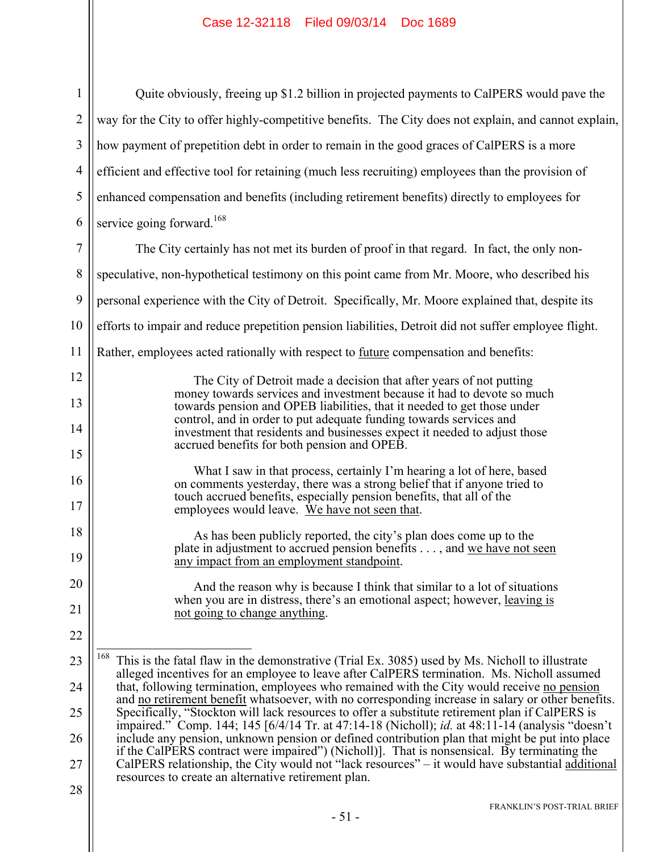| $1 \parallel$ | Quite obviously, freeing up \$1.2 billion in projected payments to CalPERS would pave the                           |
|---------------|---------------------------------------------------------------------------------------------------------------------|
|               | $2 \parallel$ way for the City to offer highly-competitive benefits. The City does not explain, and cannot explain, |
|               | $3$    how payment of prepetition debt in order to remain in the good graces of CalPERS is a more                   |
|               | 4   efficient and effective tool for retaining (much less recruiting) employees than the provision of               |
|               | $5$   enhanced compensation and benefits (including retirement benefits) directly to employees for                  |
|               | 6   service going forward. <sup>168</sup>                                                                           |

7 8 9 10 11 12 13 14 15 16 17 18 19 20 21 22 23 24 25 26 27 28 The City certainly has not met its burden of proof in that regard. In fact, the only nonspeculative, non-hypothetical testimony on this point came from Mr. Moore, who described his personal experience with the City of Detroit. Specifically, Mr. Moore explained that, despite its efforts to impair and reduce prepetition pension liabilities, Detroit did not suffer employee flight. Rather, employees acted rationally with respect to <u>future</u> compensation and benefits: The City of Detroit made a decision that after years of not putting money towards services and investment because it had to devote so much towards pension and OPEB liabilities, that it needed to get those under control, and in order to put adequate funding towards services and investment that residents and businesses expect it needed to adjust those accrued benefits for both pension and OPEB. What I saw in that process, certainly I'm hearing a lot of here, based on comments yesterday, there was a strong belief that if anyone tried to touch accrued benefits, especially pension benefits, that all of the employees would leave. We have not seen that. As has been publicly reported, the city's plan does come up to the plate in adjustment to accrued pension benefits . . . , and we have not seen any impact from an employment standpoint. And the reason why is because I think that similar to a lot of situations when you are in distress, there's an emotional aspect; however, leaving is not going to change anything.  $\overline{a}$ 168 This is the fatal flaw in the demonstrative (Trial Ex. 3085) used by Ms. Nicholl to illustrate alleged incentives for an employee to leave after CalPERS termination. Ms. Nicholl assumed that, following termination, employees who remained with the City would receive no pension and no retirement benefit whatsoever, with no corresponding increase in salary or other benefits. Specifically, "Stockton will lack resources to offer a substitute retirement plan if CalPERS is impaired." Comp. 144; 145 [6/4/14 Tr. at 47:14-18 (Nicholl); *id.* at 48:11-14 (analysis "doesn't include any pension, unknown pension or defined contribution plan that might be put into place if the CalPERS contract were impaired") (Nicholl)]. That is nonsensical. By terminating the CalPERS relationship, the City would not "lack resources" – it would have substantial additional resources to create an alternative retirement plan.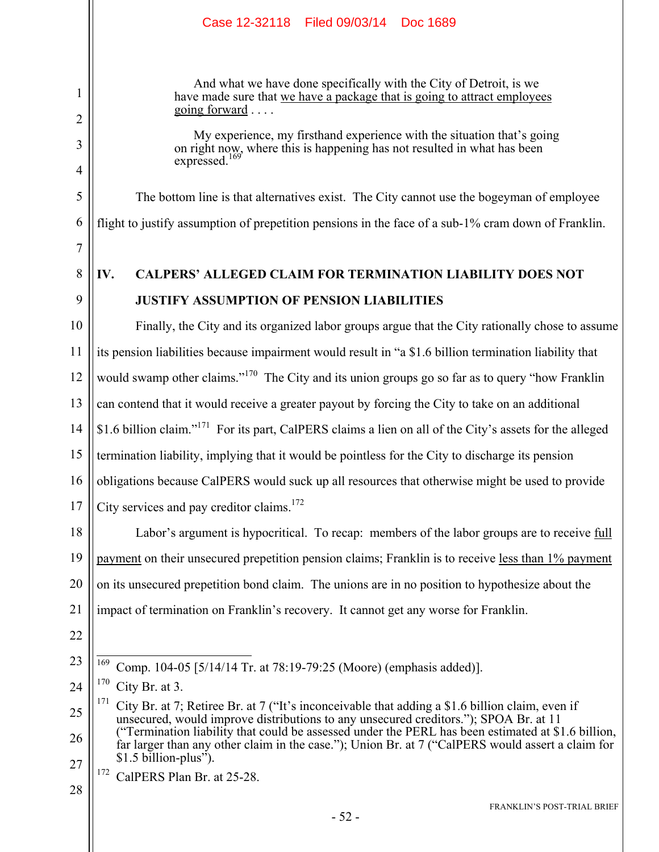And what we have done specifically with the City of Detroit, is we have made sure that we have a package that is going to attract employees going forward . . . .

My experience, my firsthand experience with the situation that's going on right now, where this is happening has not resulted in what has been  $expressed.$ <sup>1</sup>

The bottom line is that alternatives exist. The City cannot use the bogeyman of employee flight to justify assumption of prepetition pensions in the face of a sub-1% cram down of Franklin.

#### 8 9 **IV. CALPERS' ALLEGED CLAIM FOR TERMINATION LIABILITY DOES NOT JUSTIFY ASSUMPTION OF PENSION LIABILITIES**

10 11 12 13 14 15 16 17 Finally, the City and its organized labor groups argue that the City rationally chose to assume its pension liabilities because impairment would result in "a \$1.6 billion termination liability that would swamp other claims."<sup>170</sup> The City and its union groups go so far as to query "how Franklin" can contend that it would receive a greater payout by forcing the City to take on an additional \$1.6 billion claim."171 For its part, CalPERS claims a lien on all of the City's assets for the alleged termination liability, implying that it would be pointless for the City to discharge its pension obligations because CalPERS would suck up all resources that otherwise might be used to provide City services and pay creditor claims.<sup>172</sup>

18 19 20 21 Labor's argument is hypocritical. To recap: members of the labor groups are to receive full payment on their unsecured prepetition pension claims; Franklin is to receive less than 1% payment on its unsecured prepetition bond claim. The unions are in no position to hypothesize about the impact of termination on Franklin's recovery. It cannot get any worse for Franklin.

22

23

1

2

3

4

5

6

7

<sup>172</sup> CalPERS Plan Br. at 25-28.

<sup>169</sup> 169 Comp. 104-05 [5/14/14 Tr. at 78:19-79:25 (Moore) (emphasis added)].

<sup>24</sup>  $170$  City Br. at 3.

<sup>25</sup> 26 27 <sup>171</sup> City Br. at 7; Retiree Br. at 7 ("It's inconceivable that adding a \$1.6 billion claim, even if unsecured, would improve distributions to any unsecured creditors."); SPOA Br. at 11 ("Termination liability that could be assessed under the PERL has been estimated at \$1.6 billion, far larger than any other claim in the case."); Union Br. at 7 ("CalPERS would assert a claim for  $$1.5$  billion-plus<sup>3</sup>.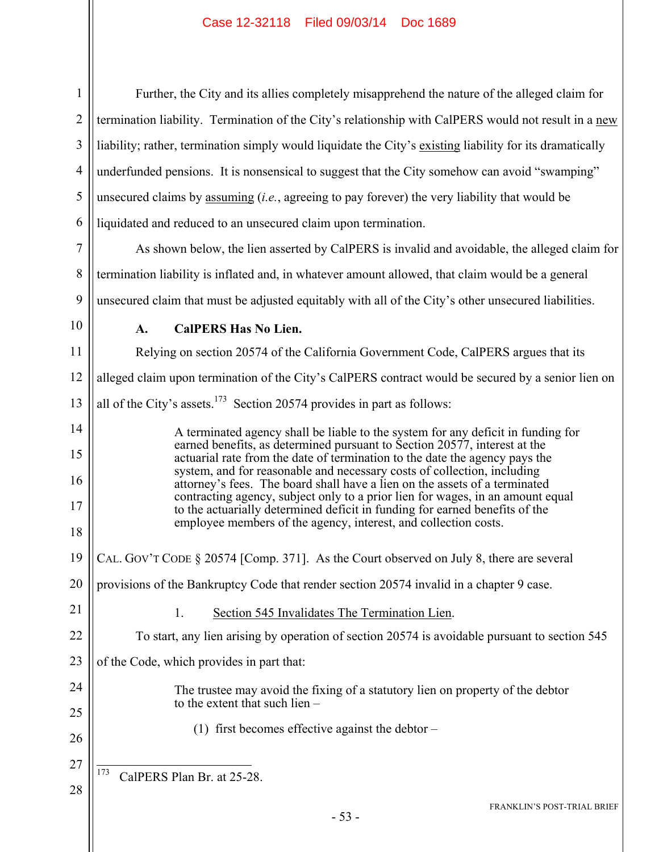| $\mathbf{1}$   | Further, the City and its allies completely misapprehend the nature of the alleged claim for                                                                  |
|----------------|---------------------------------------------------------------------------------------------------------------------------------------------------------------|
| $\overline{2}$ | termination liability. Termination of the City's relationship with CalPERS would not result in a new                                                          |
| 3              | liability; rather, termination simply would liquidate the City's existing liability for its dramatically                                                      |
| $\overline{4}$ | underfunded pensions. It is nonsensical to suggest that the City somehow can avoid "swamping"                                                                 |
| 5              | unsecured claims by assuming <i>(i.e., agreeing to pay forever)</i> the very liability that would be                                                          |
| 6              | liquidated and reduced to an unsecured claim upon termination.                                                                                                |
| 7              | As shown below, the lien asserted by CalPERS is invalid and avoidable, the alleged claim for                                                                  |
| 8              | termination liability is inflated and, in whatever amount allowed, that claim would be a general                                                              |
| 9              | unsecured claim that must be adjusted equitably with all of the City's other unsecured liabilities.                                                           |
| 10             | <b>CalPERS Has No Lien.</b><br>A.                                                                                                                             |
| 11             | Relying on section 20574 of the California Government Code, CalPERS argues that its                                                                           |
| 12             | alleged claim upon termination of the City's CalPERS contract would be secured by a senior lien on                                                            |
| 13             | all of the City's assets. <sup>173</sup> Section 20574 provides in part as follows:                                                                           |
| 14             | A terminated agency shall be liable to the system for any deficit in funding for                                                                              |
| 15             | earned benefits, as determined pursuant to Section 20577, interest at the<br>actuarial rate from the date of termination to the date the agency pays the      |
| 16             | system, and for reasonable and necessary costs of collection, including<br>attorney's fees. The board shall have a lien on the assets of a terminated         |
| 17             | contracting agency, subject only to a prior lien for wages, in an amount equal<br>to the actuarially determined deficit in funding for earned benefits of the |
| 18             | employee members of the agency, interest, and collection costs.                                                                                               |
| 19             | CAL. GOV'T CODE § 20574 [Comp. 371]. As the Court observed on July 8, there are several                                                                       |
| 20             | provisions of the Bankruptcy Code that render section 20574 invalid in a chapter 9 case.                                                                      |
| 21             | Section 545 Invalidates The Termination Lien.<br>1.                                                                                                           |
| 22             | To start, any lien arising by operation of section 20574 is avoidable pursuant to section 545                                                                 |
| 23             | of the Code, which provides in part that:                                                                                                                     |
| 24             | The trustee may avoid the fixing of a statutory lien on property of the debtor                                                                                |
| 25             | to the extent that such lien $-$                                                                                                                              |
| 26             | (1) first becomes effective against the debtor $-$                                                                                                            |
| 27             | 173<br>CalPERS Plan Br. at 25-28.                                                                                                                             |
| 28             | FRANKLIN'S POST-TRIAL BRIEF                                                                                                                                   |
|                |                                                                                                                                                               |

FRANKLIN'S POST-TRIAL BRIEF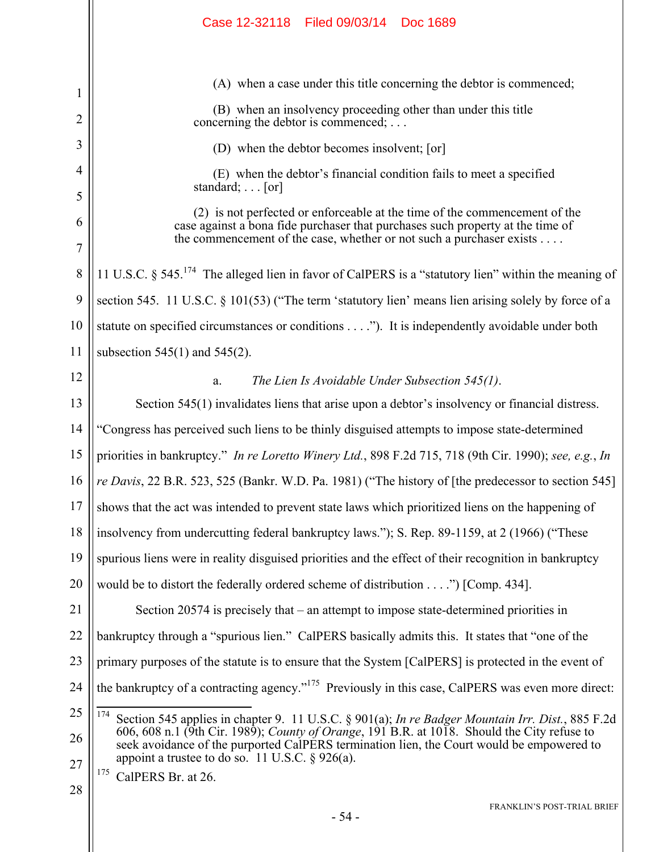|        | Case 12-32118 Filed 09/03/14 Doc 1689                                                                                                                                                                                                |
|--------|--------------------------------------------------------------------------------------------------------------------------------------------------------------------------------------------------------------------------------------|
|        | (A) when a case under this title concerning the debtor is commenced;                                                                                                                                                                 |
| 1      | (B) when an insolvency proceeding other than under this title                                                                                                                                                                        |
| 2      | concerning the debtor is commenced; $\dots$                                                                                                                                                                                          |
| 3      | (D) when the debtor becomes insolvent; [or]                                                                                                                                                                                          |
| 4<br>5 | (E) when the debtor's financial condition fails to meet a specified<br>standard; $\ldots$ [or]                                                                                                                                       |
| 6<br>7 | (2) is not perfected or enforceable at the time of the commencement of the<br>case against a bona fide purchaser that purchases such property at the time of<br>the commencement of the case, whether or not such a purchaser exists |
| 8      | 11 U.S.C. § 545. <sup>174</sup> The alleged lien in favor of CalPERS is a "statutory lien" within the meaning of                                                                                                                     |
| 9      | section 545. 11 U.S.C. § 101(53) ("The term 'statutory lien' means lien arising solely by force of a                                                                                                                                 |
| 10     | statute on specified circumstances or conditions"). It is independently avoidable under both                                                                                                                                         |
| 11     | subsection $545(1)$ and $545(2)$ .                                                                                                                                                                                                   |
| 12     | The Lien Is Avoidable Under Subsection 545(1).<br>a.                                                                                                                                                                                 |
| 13     | Section 545(1) invalidates liens that arise upon a debtor's insolvency or financial distress.                                                                                                                                        |
| 14     | "Congress has perceived such liens to be thinly disguised attempts to impose state-determined                                                                                                                                        |
| 15     | priorities in bankruptcy." In re Loretto Winery Ltd., 898 F.2d 715, 718 (9th Cir. 1990); see, e.g., In                                                                                                                               |
| 16     | re Davis, 22 B.R. 523, 525 (Bankr. W.D. Pa. 1981) ("The history of [the predecessor to section 545]                                                                                                                                  |
| 17     | shows that the act was intended to prevent state laws which prioritized liens on the happening of                                                                                                                                    |
| 18     | insolvency from undercutting federal bankruptcy laws."); S. Rep. 89-1159, at 2 (1966) ("These                                                                                                                                        |
| 19     | spurious liens were in reality disguised priorities and the effect of their recognition in bankruptcy                                                                                                                                |
| 20     | would be to distort the federally ordered scheme of distribution $\dots$ .") [Comp. 434].                                                                                                                                            |
| 21     | Section 20574 is precisely that $-$ an attempt to impose state-determined priorities in                                                                                                                                              |
| 22     | bankruptcy through a "spurious lien." CalPERS basically admits this. It states that "one of the                                                                                                                                      |
| 23     | primary purposes of the statute is to ensure that the System [CalPERS] is protected in the event of                                                                                                                                  |
| 24     | the bankruptcy of a contracting agency." <sup>175</sup> Previously in this case, CalPERS was even more direct:                                                                                                                       |
| 25     | 174<br>Section 545 applies in chapter 9. 11 U.S.C. § 901(a); In re Badger Mountain Irr. Dist., 885 F.2d                                                                                                                              |
| 26     | 606, 608 n.1 (9th Cir. 1989); County of Orange, 191 B.R. at 1018. Should the City refuse to<br>seek avoidance of the purported CalPERS termination lien, the Court would be empowered to                                             |
| 27     | appoint a trustee to do so. 11 U.S.C. $\S$ 926(a).                                                                                                                                                                                   |
| 28     | <sup>175</sup> CalPERS Br. at 26.                                                                                                                                                                                                    |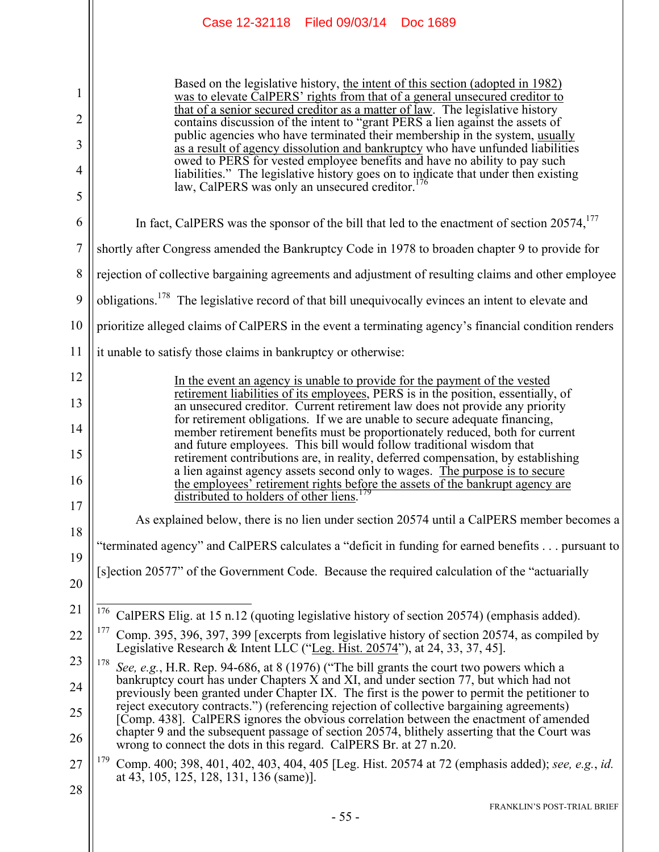|                                    | Case 12-32118 Filed 09/03/14 Doc 1689                                                                                                                                                                                                                                                                                                                                                                                                                                                                                                                                                                                                                                                                                                                                          |
|------------------------------------|--------------------------------------------------------------------------------------------------------------------------------------------------------------------------------------------------------------------------------------------------------------------------------------------------------------------------------------------------------------------------------------------------------------------------------------------------------------------------------------------------------------------------------------------------------------------------------------------------------------------------------------------------------------------------------------------------------------------------------------------------------------------------------|
| 1<br>$\overline{2}$<br>3<br>4<br>5 | Based on the legislative history, the intent of this section (adopted in 1982)<br>was to elevate CalPERS' rights from that of a general unsecured creditor to<br>that of a senior secured creditor as a matter of law. The legislative history<br>contains discussion of the intent to "grant PERS a lien against the assets of<br>public agencies who have terminated their membership in the system, usually<br>as a result of agency dissolution and bankruptcy who have unfunded liabilities<br>owed to PERS for vested employee benefits and have no ability to pay such<br>liabilities." The legislative history goes on to indicate that under then existing<br>law CalDEDS was sply an uncounsel are<br>ditar $^{176}$<br>law, CalPERS was only an unsecured creditor. |
| 6                                  | In fact, CalPERS was the sponsor of the bill that led to the enactment of section 20574, <sup>177</sup>                                                                                                                                                                                                                                                                                                                                                                                                                                                                                                                                                                                                                                                                        |
| 7                                  | shortly after Congress amended the Bankruptcy Code in 1978 to broaden chapter 9 to provide for                                                                                                                                                                                                                                                                                                                                                                                                                                                                                                                                                                                                                                                                                 |
| 8                                  | rejection of collective bargaining agreements and adjustment of resulting claims and other employee                                                                                                                                                                                                                                                                                                                                                                                                                                                                                                                                                                                                                                                                            |
| 9                                  | obligations. <sup>178</sup> The legislative record of that bill unequivocally evinces an intent to elevate and                                                                                                                                                                                                                                                                                                                                                                                                                                                                                                                                                                                                                                                                 |
| 10                                 | prioritize alleged claims of CalPERS in the event a terminating agency's financial condition renders                                                                                                                                                                                                                                                                                                                                                                                                                                                                                                                                                                                                                                                                           |
| 11                                 | it unable to satisfy those claims in bankruptcy or otherwise:                                                                                                                                                                                                                                                                                                                                                                                                                                                                                                                                                                                                                                                                                                                  |
| 12<br>13                           | In the event an agency is unable to provide for the payment of the vested<br>retirement liabilities of its employees, PERS is in the position, essentially, of<br>an unsecured creditor. Current retirement law does not provide any priority                                                                                                                                                                                                                                                                                                                                                                                                                                                                                                                                  |
| 14<br>15                           | for retirement obligations. If we are unable to secure adequate financing,<br>member retirement benefits must be proportionately reduced, both for current<br>and future employees. This bill would follow traditional wisdom that                                                                                                                                                                                                                                                                                                                                                                                                                                                                                                                                             |
| 16                                 | retirement contributions are, in reality, deferred compensation, by establishing<br>a lien against agency assets second only to wages. The purpose is to secure<br>the employees' retirement rights before the assets of the bankrupt agency are<br>179<br>distributed to holders of other liens.                                                                                                                                                                                                                                                                                                                                                                                                                                                                              |
| 17                                 | As explained below, there is no lien under section 20574 until a CalPERS member becomes a                                                                                                                                                                                                                                                                                                                                                                                                                                                                                                                                                                                                                                                                                      |
| 18                                 | "terminated agency" and CalPERS calculates a "deficit in funding for earned benefits pursuant to                                                                                                                                                                                                                                                                                                                                                                                                                                                                                                                                                                                                                                                                               |
| 19<br>20                           | [s] ection 20577" of the Government Code. Because the required calculation of the "actuarially                                                                                                                                                                                                                                                                                                                                                                                                                                                                                                                                                                                                                                                                                 |
| 21                                 | <sup>176</sup> CalPERS Elig. at 15 n.12 (quoting legislative history of section 20574) (emphasis added).                                                                                                                                                                                                                                                                                                                                                                                                                                                                                                                                                                                                                                                                       |
| 22                                 | 177<br>Comp. 395, 396, 397, 399 [excerpts from legislative history of section 20574, as compiled by                                                                                                                                                                                                                                                                                                                                                                                                                                                                                                                                                                                                                                                                            |
| 23                                 | Legislative Research & Intent LLC ("Leg. Hist. 20574"), at 24, 33, 37, 45].<br>178<br>See, e.g., H.R. Rep. 94-686, at 8 (1976) ("The bill grants the court two powers which a                                                                                                                                                                                                                                                                                                                                                                                                                                                                                                                                                                                                  |
| 24                                 | bankruptcy court has under Chapters X and XI, and under section 77, but which had not<br>previously been granted under Chapter IX. The first is the power to permit the petitioner to                                                                                                                                                                                                                                                                                                                                                                                                                                                                                                                                                                                          |
| 25<br>26                           | reject executory contracts.") (referencing rejection of collective bargaining agreements)<br>[Comp. 438]. CalPERS ignores the obvious correlation between the enactment of amended<br>chapter 9 and the subsequent passage of section 20574, blithely asserting that the Court was                                                                                                                                                                                                                                                                                                                                                                                                                                                                                             |
| 27                                 | wrong to connect the dots in this regard. CalPERS Br. at 27 n.20.<br>179<br>Comp. 400; 398, 401, 402, 403, 404, 405 [Leg. Hist. 20574 at 72 (emphasis added); see, e.g., id.                                                                                                                                                                                                                                                                                                                                                                                                                                                                                                                                                                                                   |
| 28                                 | at 43, 105, 125, 128, 131, 136 (same).                                                                                                                                                                                                                                                                                                                                                                                                                                                                                                                                                                                                                                                                                                                                         |
|                                    | FRANKLIN'S POST-TRIAL BRIEF<br>$-55-$                                                                                                                                                                                                                                                                                                                                                                                                                                                                                                                                                                                                                                                                                                                                          |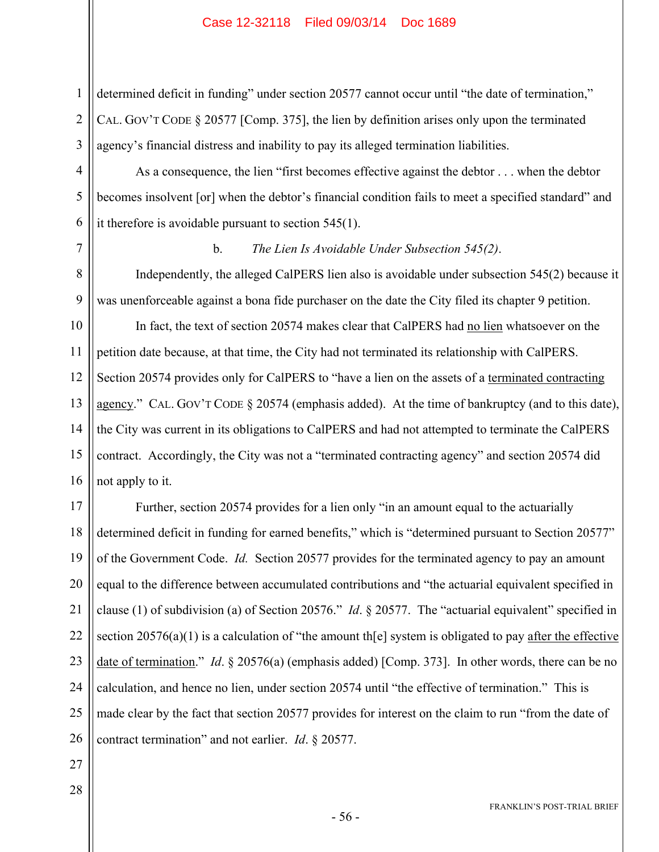determined deficit in funding" under section 20577 cannot occur until "the date of termination," CAL. GOV'T CODE § 20577 [Comp. 375], the lien by definition arises only upon the terminated agency's financial distress and inability to pay its alleged termination liabilities.

As a consequence, the lien "first becomes effective against the debtor . . . when the debtor becomes insolvent [or] when the debtor's financial condition fails to meet a specified standard" and it therefore is avoidable pursuant to section 545(1).

7

1

2

3

4

5

6

8

9

## b. *The Lien Is Avoidable Under Subsection 545(2)*.

Independently, the alleged CalPERS lien also is avoidable under subsection 545(2) because it was unenforceable against a bona fide purchaser on the date the City filed its chapter 9 petition.

10 11 12 13 14 15 16 In fact, the text of section 20574 makes clear that CalPERS had no lien whatsoever on the petition date because, at that time, the City had not terminated its relationship with CalPERS. Section 20574 provides only for CalPERS to "have a lien on the assets of a terminated contracting agency." CAL. GOV'T CODE § 20574 (emphasis added). At the time of bankruptcy (and to this date), the City was current in its obligations to CalPERS and had not attempted to terminate the CalPERS contract. Accordingly, the City was not a "terminated contracting agency" and section 20574 did not apply to it.

17 18 19 20 21 22 23 24 25 26 Further, section 20574 provides for a lien only "in an amount equal to the actuarially determined deficit in funding for earned benefits," which is "determined pursuant to Section 20577" of the Government Code. *Id.* Section 20577 provides for the terminated agency to pay an amount equal to the difference between accumulated contributions and "the actuarial equivalent specified in clause (1) of subdivision (a) of Section 20576." *Id*. § 20577. The "actuarial equivalent" specified in section  $20576(a)(1)$  is a calculation of "the amount th[e] system is obligated to pay after the effective date of termination." *Id*. § 20576(a) (emphasis added) [Comp. 373]. In other words, there can be no calculation, and hence no lien, under section 20574 until "the effective of termination." This is made clear by the fact that section 20577 provides for interest on the claim to run "from the date of contract termination" and not earlier. *Id*. § 20577.

- 27
- 28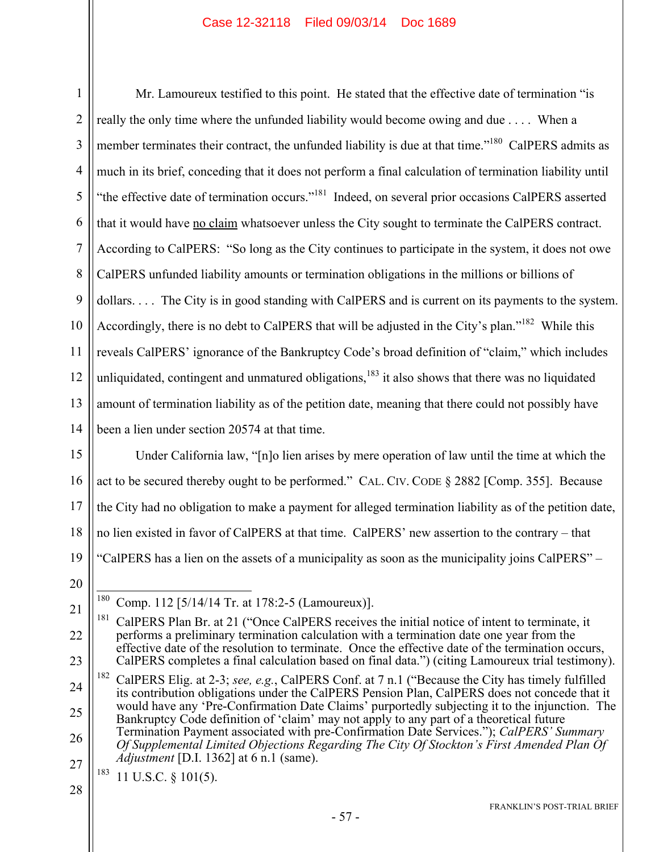1 2 3 4 5 6 7 8 9 10 11 12 13 14 Mr. Lamoureux testified to this point. He stated that the effective date of termination "is really the only time where the unfunded liability would become owing and due . . . . When a member terminates their contract, the unfunded liability is due at that time."<sup>180</sup> CalPERS admits as much in its brief, conceding that it does not perform a final calculation of termination liability until "the effective date of termination occurs."<sup>181</sup> Indeed, on several prior occasions CalPERS asserted that it would have no claim whatsoever unless the City sought to terminate the CalPERS contract. According to CalPERS: "So long as the City continues to participate in the system, it does not owe CalPERS unfunded liability amounts or termination obligations in the millions or billions of dollars. . . . The City is in good standing with CalPERS and is current on its payments to the system. Accordingly, there is no debt to CalPERS that will be adjusted in the City's plan."<sup>182</sup> While this reveals CalPERS' ignorance of the Bankruptcy Code's broad definition of "claim," which includes unliquidated, contingent and unmatured obligations, $183$  it also shows that there was no liquidated amount of termination liability as of the petition date, meaning that there could not possibly have been a lien under section 20574 at that time.

15 16 17 18 19 Under California law, "[n]o lien arises by mere operation of law until the time at which the act to be secured thereby ought to be performed." CAL. CIV. CODE § 2882 [Comp. 355]. Because the City had no obligation to make a payment for alleged termination liability as of the petition date, no lien existed in favor of CalPERS at that time. CalPERS' new assertion to the contrary – that "CalPERS has a lien on the assets of a municipality as soon as the municipality joins CalPERS" –

20

 $180\,$ Comp. 112 [5/14/14 Tr. at 178:2-5 (Lamoureux)].

<sup>21</sup> 22 23 <sup>181</sup> CalPERS Plan Br. at 21 ("Once CalPERS receives the initial notice of intent to terminate, it performs a preliminary termination calculation with a termination date one year from the effective date of the resolution to terminate. Once the effective date of the termination occurs, CalPERS completes a final calculation based on final data.") (citing Lamoureux trial testimony).

<sup>24</sup> 25 26 27 182 CalPERS Elig. at 2-3; *see, e.g.*, CalPERS Conf. at 7 n.1 ("Because the City has timely fulfilled its contribution obligations under the CalPERS Pension Plan, CalPERS does not concede that it would have any 'Pre-Confirmation Date Claims' purportedly subjecting it to the injunction. The Bankruptcy Code definition of 'claim' may not apply to any part of a theoretical future Termination Payment associated with pre-Confirmation Date Services."); *CalPERS' Summary Of Supplemental Limited Objections Regarding The City Of Stockton's First Amended Plan Of Adjustment* [D.I. 1362] at 6 n.1 (same).

 $183$  11 U.S.C. § 101(5).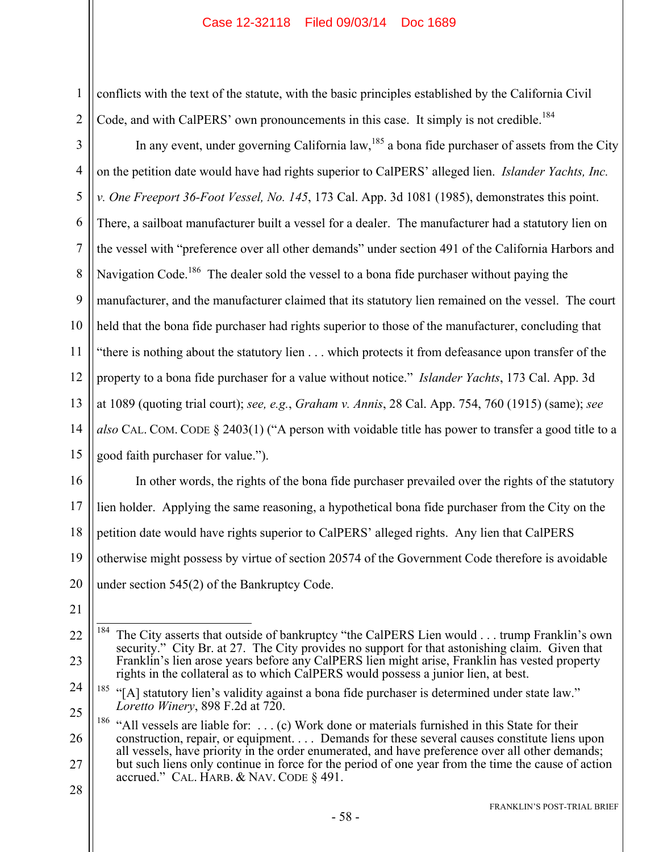conflicts with the text of the statute, with the basic principles established by the California Civil Code, and with CalPERS' own pronouncements in this case. It simply is not credible.<sup>184</sup>

3 4 5 6 7 8 9 10 11 12 13 14 15 In any event, under governing California law,  $185$  a bona fide purchaser of assets from the City on the petition date would have had rights superior to CalPERS' alleged lien. *Islander Yachts, Inc. v. One Freeport 36-Foot Vessel, No. 145*, 173 Cal. App. 3d 1081 (1985), demonstrates this point. There, a sailboat manufacturer built a vessel for a dealer. The manufacturer had a statutory lien on the vessel with "preference over all other demands" under section 491 of the California Harbors and Navigation Code.<sup>186</sup> The dealer sold the vessel to a bona fide purchaser without paying the manufacturer, and the manufacturer claimed that its statutory lien remained on the vessel. The court held that the bona fide purchaser had rights superior to those of the manufacturer, concluding that "there is nothing about the statutory lien . . . which protects it from defeasance upon transfer of the property to a bona fide purchaser for a value without notice." *Islander Yachts*, 173 Cal. App. 3d at 1089 (quoting trial court); *see, e.g.*, *Graham v. Annis*, 28 Cal. App. 754, 760 (1915) (same); *see also* CAL. COM. CODE § 2403(1) ("A person with voidable title has power to transfer a good title to a good faith purchaser for value.").

16 17 18 19 20 In other words, the rights of the bona fide purchaser prevailed over the rights of the statutory lien holder. Applying the same reasoning, a hypothetical bona fide purchaser from the City on the petition date would have rights superior to CalPERS' alleged rights. Any lien that CalPERS otherwise might possess by virtue of section 20574 of the Government Code therefore is avoidable under section 545(2) of the Bankruptcy Code.

21

1

2

<sup>22</sup> 23 184 The City asserts that outside of bankruptcy "the CalPERS Lien would . . . trump Franklin's own security." City Br. at 27. The City provides no support for that astonishing claim. Given that Franklin's lien arose years before any CalPERS lien might arise, Franklin has vested property rights in the collateral as to which CalPERS would possess a junior lien, at best.

<sup>24</sup> 25 <sup>185</sup> "[A] statutory lien's validity against a bona fide purchaser is determined under state law." *Loretto Winery*, 898 F.2d at 720.

<sup>26</sup> 27 <sup>186</sup> "All vessels are liable for: . . . (c) Work done or materials furnished in this State for their construction, repair, or equipment. . . . Demands for these several causes constitute liens upon all vessels, have priority in the order enumerated, and have preference over all other demands; but such liens only continue in force for the period of one year from the time the cause of action accrued." CAL. HARB. & NAV. CODE § 491.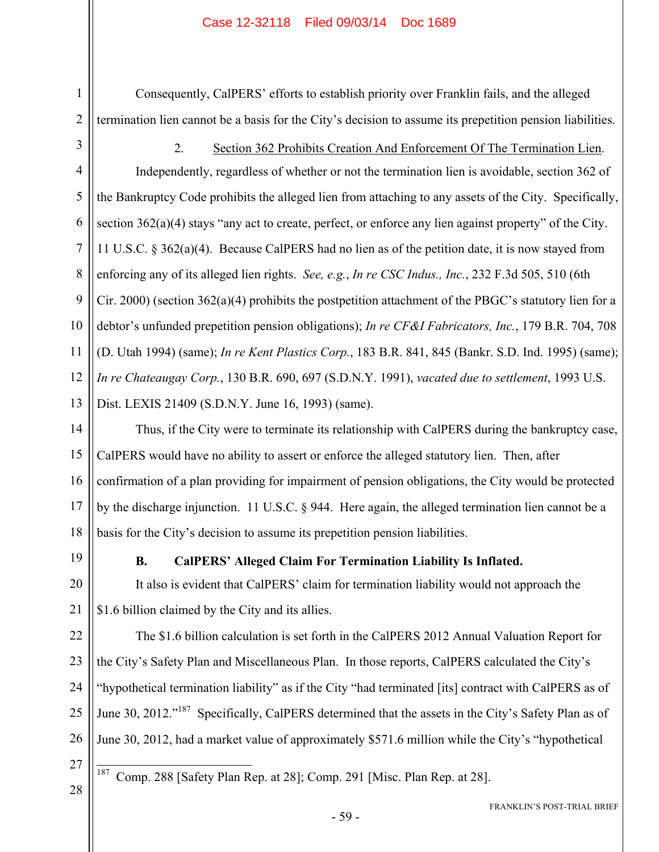Consequently, CalPERS' efforts to establish priority over Franklin fails, and the alleged termination lien cannot be a basis for the City's decision to assume its prepetition pension liabilities.

1

2

3

4

5

6

7

8

9

10

11

12

13

2. Section 362 Prohibits Creation And Enforcement Of The Termination Lien. Independently, regardless of whether or not the termination lien is avoidable, section 362 of the Bankruptcy Code prohibits the alleged lien from attaching to any assets of the City. Specifically, section 362(a)(4) stays "any act to create, perfect, or enforce any lien against property" of the City. 11 U.S.C. § 362(a)(4). Because CalPERS had no lien as of the petition date, it is now stayed from enforcing any of its alleged lien rights. *See, e.g.*, *In re CSC Indus., Inc.*, 232 F.3d 505, 510 (6th Cir. 2000) (section 362(a)(4) prohibits the postpetition attachment of the PBGC's statutory lien for a debtor's unfunded prepetition pension obligations); *In re CF&I Fabricators, Inc.*, 179 B.R. 704, 708 (D. Utah 1994) (same); *In re Kent Plastics Corp.*, 183 B.R. 841, 845 (Bankr. S.D. Ind. 1995) (same); *In re Chateaugay Corp.*, 130 B.R. 690, 697 (S.D.N.Y. 1991), *vacated due to settlement*, 1993 U.S. Dist. LEXIS 21409 (S.D.N.Y. June 16, 1993) (same).

14 15 16 17 18 Thus, if the City were to terminate its relationship with CalPERS during the bankruptcy case, CalPERS would have no ability to assert or enforce the alleged statutory lien. Then, after confirmation of a plan providing for impairment of pension obligations, the City would be protected by the discharge injunction. 11 U.S.C. § 944. Here again, the alleged termination lien cannot be a basis for the City's decision to assume its prepetition pension liabilities.

19

20

21

#### **B. CalPERS' Alleged Claim For Termination Liability Is Inflated.**

It also is evident that CalPERS' claim for termination liability would not approach the \$1.6 billion claimed by the City and its allies.

22 23 24 25 26 The \$1.6 billion calculation is set forth in the CalPERS 2012 Annual Valuation Report for the City's Safety Plan and Miscellaneous Plan. In those reports, CalPERS calculated the City's "hypothetical termination liability" as if the City "had terminated [its] contract with CalPERS as of June 30, 2012."<sup>187</sup> Specifically, CalPERS determined that the assets in the City's Safety Plan as of June 30, 2012, had a market value of approximately \$571.6 million while the City's "hypothetical

27

 $\overline{a}$ 

187 Comp. 288 [Safety Plan Rep. at 28]; Comp. 291 [Misc. Plan Rep. at 28].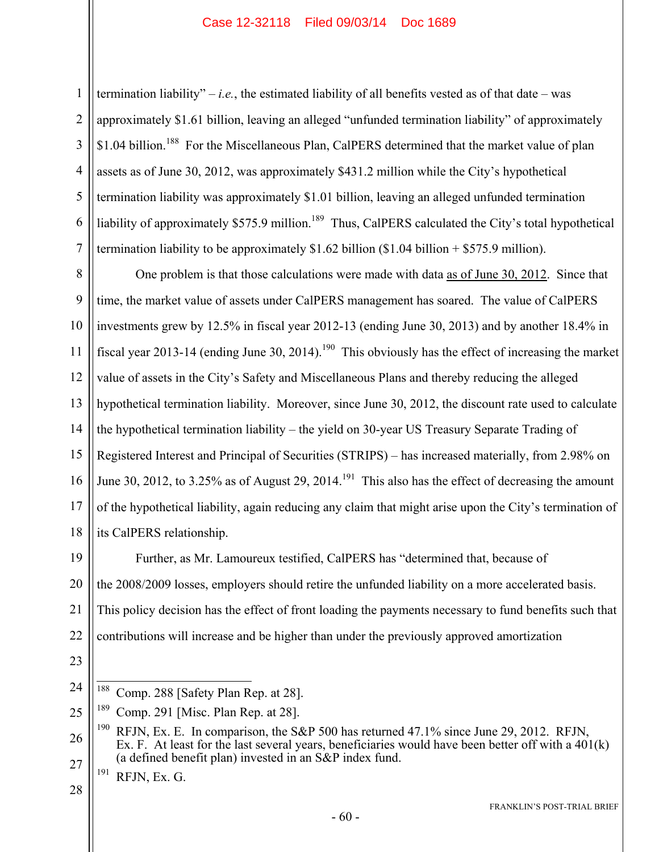2 3

4

5

6

7

1

termination liability" – *i.e.*, the estimated liability of all benefits vested as of that date – was approximately \$1.61 billion, leaving an alleged "unfunded termination liability" of approximately \$1.04 billion.<sup>188</sup> For the Miscellaneous Plan, CalPERS determined that the market value of plan assets as of June 30, 2012, was approximately \$431.2 million while the City's hypothetical termination liability was approximately \$1.01 billion, leaving an alleged unfunded termination liability of approximately \$575.9 million.<sup>189</sup> Thus, CalPERS calculated the City's total hypothetical termination liability to be approximately  $$1.62$  billion  $$1.04$  billion +  $$575.9$  million).

8 9 10 11 12 13 14 15 16 17 18 One problem is that those calculations were made with data as of June 30, 2012. Since that time, the market value of assets under CalPERS management has soared. The value of CalPERS investments grew by 12.5% in fiscal year 2012-13 (ending June 30, 2013) and by another 18.4% in fiscal year 2013-14 (ending June 30, 2014).<sup>190</sup> This obviously has the effect of increasing the market value of assets in the City's Safety and Miscellaneous Plans and thereby reducing the alleged hypothetical termination liability. Moreover, since June 30, 2012, the discount rate used to calculate the hypothetical termination liability – the yield on 30-year US Treasury Separate Trading of Registered Interest and Principal of Securities (STRIPS) – has increased materially, from 2.98% on June 30, 2012, to 3.25% as of August 29, 2014.<sup>191</sup> This also has the effect of decreasing the amount of the hypothetical liability, again reducing any claim that might arise upon the City's termination of its CalPERS relationship.

19 20 21 22 Further, as Mr. Lamoureux testified, CalPERS has "determined that, because of the 2008/2009 losses, employers should retire the unfunded liability on a more accelerated basis. This policy decision has the effect of front loading the payments necessary to fund benefits such that contributions will increase and be higher than under the previously approved amortization

- <sup>191</sup> RFJN, Ex. G.
- 28

<sup>24</sup> 188 Comp. 288 [Safety Plan Rep. at 28].

<sup>25</sup> <sup>189</sup> Comp. 291 [Misc. Plan Rep. at 28].

<sup>26</sup> 27 <sup>190</sup> RFJN, Ex. E. In comparison, the S&P 500 has returned 47.1% since June 29, 2012. RFJN, Ex. F. At least for the last several years, beneficiaries would have been better off with a 401(k) (a defined benefit plan) invested in an S&P index fund.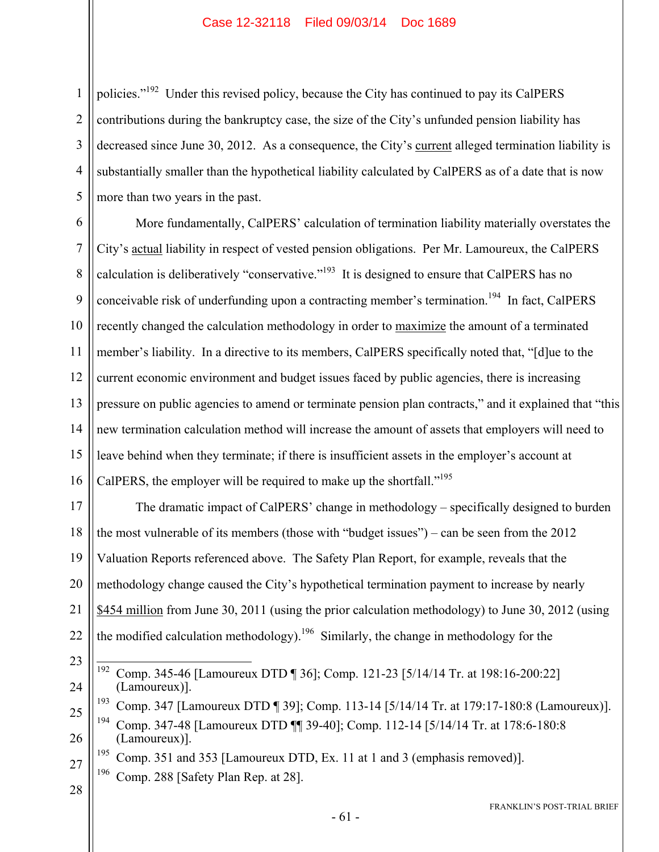1 2 3 4 5 policies."192 Under this revised policy, because the City has continued to pay its CalPERS contributions during the bankruptcy case, the size of the City's unfunded pension liability has decreased since June 30, 2012. As a consequence, the City's current alleged termination liability is substantially smaller than the hypothetical liability calculated by CalPERS as of a date that is now more than two years in the past.

6 7 8 9 10 11 12 13 14 15 16 More fundamentally, CalPERS' calculation of termination liability materially overstates the City's actual liability in respect of vested pension obligations. Per Mr. Lamoureux, the CalPERS calculation is deliberatively "conservative."<sup>193</sup> It is designed to ensure that CalPERS has no conceivable risk of underfunding upon a contracting member's termination.<sup>194</sup> In fact, CalPERS recently changed the calculation methodology in order to maximize the amount of a terminated member's liability. In a directive to its members, CalPERS specifically noted that, "[d]ue to the current economic environment and budget issues faced by public agencies, there is increasing pressure on public agencies to amend or terminate pension plan contracts," and it explained that "this new termination calculation method will increase the amount of assets that employers will need to leave behind when they terminate; if there is insufficient assets in the employer's account at CalPERS, the employer will be required to make up the shortfall."<sup>195</sup>

17 18 19 20 21 22 The dramatic impact of CalPERS' change in methodology – specifically designed to burden the most vulnerable of its members (those with "budget issues") – can be seen from the 2012 Valuation Reports referenced above. The Safety Plan Report, for example, reveals that the methodology change caused the City's hypothetical termination payment to increase by nearly \$454 million from June 30, 2011 (using the prior calculation methodology) to June 30, 2012 (using the modified calculation methodology).<sup>196</sup> Similarly, the change in methodology for the

- 23 24 192 192 Comp. 345-46 [Lamoureux DTD ¶ 36]; Comp. 121-23 [5/14/14 Tr. at 198:16-200:22] (Lamoureux)].
- 25 26 193 Comp. 347 [Lamoureux DTD ¶ 39]; Comp. 113-14 [5/14/14 Tr. at 179:17-180:8 (Lamoureux)]. 194 Comp. 347-48 [Lamoureux DTD ¶¶ 39-40]; Comp. 112-14 [5/14/14 Tr. at 178:6-180:8 (Lamoureux)].
	- <sup>195</sup> Comp. 351 and 353 [Lamoureux DTD, Ex. 11 at 1 and 3 (emphasis removed)].
- 27 196 Comp. 288 [Safety Plan Rep. at 28].
- 28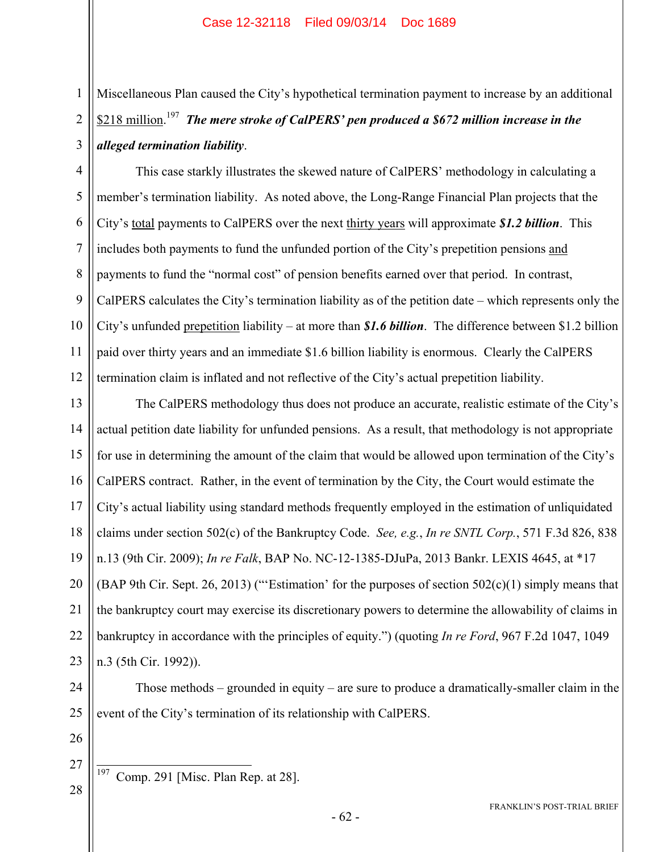Miscellaneous Plan caused the City's hypothetical termination payment to increase by an additional \$218 million. 197 *The mere stroke of CalPERS' pen produced a \$672 million increase in the alleged termination liability*.

4 5 6 7 8 9 10 11 12 This case starkly illustrates the skewed nature of CalPERS' methodology in calculating a member's termination liability. As noted above, the Long-Range Financial Plan projects that the City's total payments to CalPERS over the next thirty years will approximate *\$1.2 billion*. This includes both payments to fund the unfunded portion of the City's prepetition pensions and payments to fund the "normal cost" of pension benefits earned over that period. In contrast, CalPERS calculates the City's termination liability as of the petition date – which represents only the City's unfunded prepetition liability – at more than *\$1.6 billion*. The difference between \$1.2 billion paid over thirty years and an immediate \$1.6 billion liability is enormous. Clearly the CalPERS termination claim is inflated and not reflective of the City's actual prepetition liability.

13 14 15 16 17 18 19 20 21 22 23 The CalPERS methodology thus does not produce an accurate, realistic estimate of the City's actual petition date liability for unfunded pensions. As a result, that methodology is not appropriate for use in determining the amount of the claim that would be allowed upon termination of the City's CalPERS contract. Rather, in the event of termination by the City, the Court would estimate the City's actual liability using standard methods frequently employed in the estimation of unliquidated claims under section 502(c) of the Bankruptcy Code. *See, e.g.*, *In re SNTL Corp.*, 571 F.3d 826, 838 n.13 (9th Cir. 2009); *In re Falk*, BAP No. NC-12-1385-DJuPa, 2013 Bankr. LEXIS 4645, at \*17 (BAP 9th Cir. Sept. 26, 2013) ("'Estimation' for the purposes of section  $502(c)(1)$  simply means that the bankruptcy court may exercise its discretionary powers to determine the allowability of claims in bankruptcy in accordance with the principles of equity.") (quoting *In re Ford*, 967 F.2d 1047, 1049 n.3 (5th Cir. 1992)).

24 25 Those methods – grounded in equity – are sure to produce a dramatically-smaller claim in the event of the City's termination of its relationship with CalPERS.

26

27

28

1

2

3

 $\overline{a}$  $197$  Comp. 291 [Misc. Plan Rep. at 28].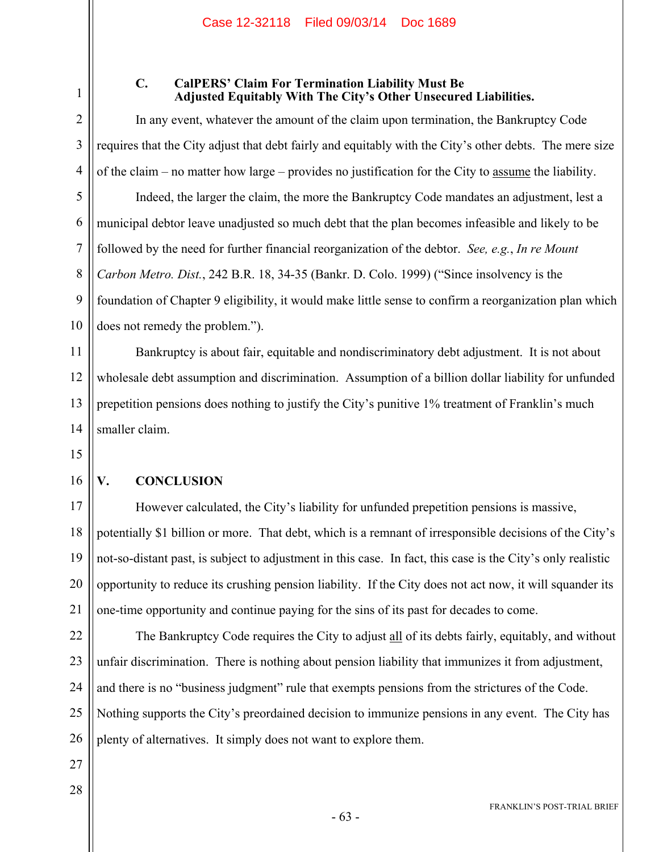1 2

3

4

5

6

7

8

9

10

#### **C. CalPERS' Claim For Termination Liability Must Be Adjusted Equitably With The City's Other Unsecured Liabilities.**

In any event, whatever the amount of the claim upon termination, the Bankruptcy Code requires that the City adjust that debt fairly and equitably with the City's other debts. The mere size of the claim – no matter how large – provides no justification for the City to assume the liability.

Indeed, the larger the claim, the more the Bankruptcy Code mandates an adjustment, lest a municipal debtor leave unadjusted so much debt that the plan becomes infeasible and likely to be followed by the need for further financial reorganization of the debtor. *See, e.g.*, *In re Mount Carbon Metro. Dist.*, 242 B.R. 18, 34-35 (Bankr. D. Colo. 1999) ("Since insolvency is the foundation of Chapter 9 eligibility, it would make little sense to confirm a reorganization plan which does not remedy the problem.").

11 12 13 14 Bankruptcy is about fair, equitable and nondiscriminatory debt adjustment. It is not about wholesale debt assumption and discrimination. Assumption of a billion dollar liability for unfunded prepetition pensions does nothing to justify the City's punitive 1% treatment of Franklin's much smaller claim.

- 15
- 16

## **V. CONCLUSION**

17 18 19 20 21 However calculated, the City's liability for unfunded prepetition pensions is massive, potentially \$1 billion or more. That debt, which is a remnant of irresponsible decisions of the City's not-so-distant past, is subject to adjustment in this case. In fact, this case is the City's only realistic opportunity to reduce its crushing pension liability. If the City does not act now, it will squander its one-time opportunity and continue paying for the sins of its past for decades to come.

22 23 24 25 26 The Bankruptcy Code requires the City to adjust all of its debts fairly, equitably, and without unfair discrimination. There is nothing about pension liability that immunizes it from adjustment, and there is no "business judgment" rule that exempts pensions from the strictures of the Code. Nothing supports the City's preordained decision to immunize pensions in any event. The City has plenty of alternatives. It simply does not want to explore them.